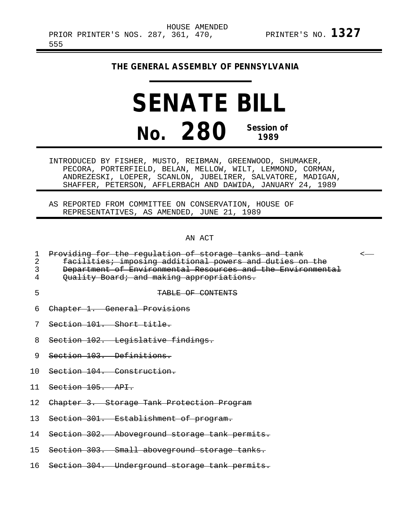## **THE GENERAL ASSEMBLY OF PENNSYLVANIA**

## **SENATE BILL No. 280 Session of 1989**

INTRODUCED BY FISHER, MUSTO, REIBMAN, GREENWOOD, SHUMAKER, PECORA, PORTERFIELD, BELAN, MELLOW, WILT, LEMMOND, CORMAN, ANDREZESKI, LOEPER, SCANLON, JUBELIRER, SALVATORE, MADIGAN, SHAFFER, PETERSON, AFFLERBACH AND DAWIDA, JANUARY 24, 1989

AS REPORTED FROM COMMITTEE ON CONSERVATION, HOUSE OF REPRESENTATIVES, AS AMENDED, JUNE 21, 1989

AN ACT

|  |  | 1 Droviding for the requistion of sterege tanks and tank |  |  |  |
|--|--|----------------------------------------------------------|--|--|--|
|  |  | T LIOAIAINA TOI CHE LEAAIACION OI BEOIAAE CANNS ANA CANE |  |  |  |

2 facilities; imposing additional powers and duties on the

3 Department of Environmental Resources and the Environmental<br>4 Ouality Board; and making appropriations.

- Quality Board; and making appropriations.
- 

## 5 TABLE OF CONTENTS

- 6 Chapter 1. General Provisions
- 7 Section 101. Short title.
- 8 Section 102. Legislative findings.
- 9 Section 103. Definitions.
- 10 Section 104. Construction.
- 11 Section 105. API.
- 12 Chapter 3. Storage Tank Protection Program
- 13 Section 301. Establishment of program.
- 14 Section 302. Aboveground storage tank permits.
- 15 Section 303. Small aboveground storage tanks.
- 16 Section 304. Underground storage tank permits.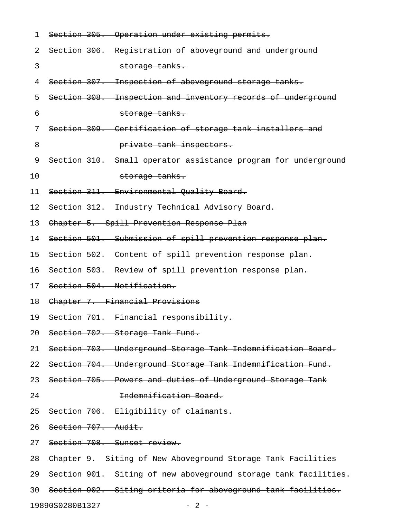| 1  | Section 305. Operation under existing permits.                  |
|----|-----------------------------------------------------------------|
| 2  | Section 306. Registration of aboveground and underground        |
| 3  | storage tanks.                                                  |
| 4  | Section 307. Inspection of aboveground storage tanks.           |
| 5  | Section 308. Inspection and inventory records of underground    |
| 6  | storage tanks.                                                  |
| 7  | Section 309. Certification of storage tank installers and       |
| 8  | private tank inspectors.                                        |
| 9  | Section 310. Small operator assistance program for underground  |
| 10 | storage tanks.                                                  |
| 11 | Section 311. Environmental Quality Board.                       |
| 12 | Section 312. Industry Technical Advisory Board.                 |
| 13 | Chapter 5. Spill Prevention Response Plan                       |
| 14 | Section 501. Submission of spill prevention response plan.      |
| 15 | Section 502. Content of spill prevention response plan.         |
| 16 | Section 503. Review of spill prevention response plan.          |
| 17 | Section 504. Notification.                                      |
| 18 | Chapter 7. Financial Provisions                                 |
| 19 | Section 701. Financial responsibility.                          |
| 20 | Section 702. Storage Tank Fund.                                 |
| 21 | Section 703. Underground Storage Tank Indemnification Board.    |
| 22 | Section 704. Underground Storage Tank Indemnification Fund.     |
| 23 | Section 705. Powers and duties of Underground Storage Tank      |
| 24 | Indemnification Board.                                          |
| 25 | Section 706. Eligibility of claimants.                          |
| 26 | Section 707. Audit.                                             |
| 27 | Section 708. Sunset review.                                     |
| 28 | Chapter 9. Siting of New Aboveground Storage Tank Facilities    |
| 29 | Section 901. Siting of new aboveground storage tank facilities. |
| 30 | Section 902. Siting criteria for aboveground tank facilities.   |
|    | 19890S0280B1327<br>$-2-$                                        |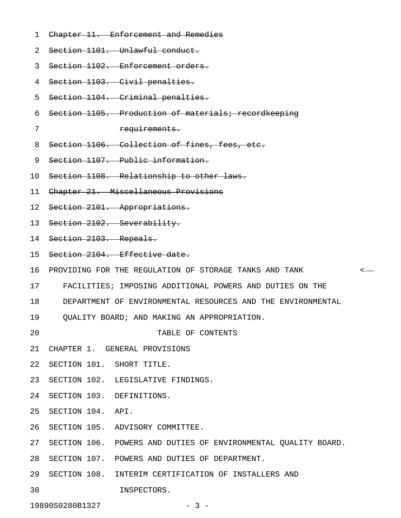- 1 Chapter 11. Enforcement and Remedies
- 2 Section 1101. Unlawful conduct.

3 Section 1102. Enforcement orders.

- 4 Section 1103. Civil penalties.
- 5 Section 1104. Criminal penalties.
- 6 Section 1105. Production of materials; recordkeeping
- 

7 requirements.

- 8 Section 1106. Collection of fines, fees, etc.
- 9 Section 1107. Public information.
- 10 Section 1108. Relationship to other laws.
- 11 Chapter 21. Miscellaneous Provisions
- 12 Section 2101. Appropriations.
- 13 Section 2102. Severability.
- 14 Section 2103. Repeals.
- 15 Section 2104. Effective date.
- 16 PROVIDING FOR THE REGULATION OF STORAGE TANKS AND TANK <
- 17 FACILITIES; IMPOSING ADDITIONAL POWERS AND DUTIES ON THE
- 18 DEPARTMENT OF ENVIRONMENTAL RESOURCES AND THE ENVIRONMENTAL
- 19 QUALITY BOARD; AND MAKING AN APPROPRIATION.
- 20 TABLE OF CONTENTS
- 21 CHAPTER 1. GENERAL PROVISIONS
- 22 SECTION 101. SHORT TITLE.
- 23 SECTION 102. LEGISLATIVE FINDINGS.
- 24 SECTION 103. DEFINITIONS.
- 25 SECTION 104. API.
- 26 SECTION 105. ADVISORY COMMITTEE.
- 27 SECTION 106. POWERS AND DUTIES OF ENVIRONMENTAL QUALITY BOARD.
- 28 SECTION 107. POWERS AND DUTIES OF DEPARTMENT.
- 29 SECTION 108. INTERIM CERTIFICATION OF INSTALLERS AND
- 30 INSPECTORS.

19890S0280B1327 - 3 -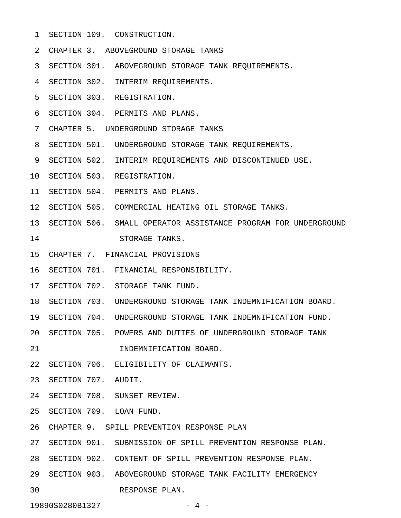- 1 SECTION 109. CONSTRUCTION.
- 2 CHAPTER 3. ABOVEGROUND STORAGE TANKS
- 3 SECTION 301. ABOVEGROUND STORAGE TANK REQUIREMENTS.
- 4 SECTION 302. INTERIM REQUIREMENTS.
- 5 SECTION 303. REGISTRATION.
- 6 SECTION 304. PERMITS AND PLANS.
- 7 CHAPTER 5. UNDERGROUND STORAGE TANKS
- 8 SECTION 501. UNDERGROUND STORAGE TANK REQUIREMENTS.
- 9 SECTION 502. INTERIM REQUIREMENTS AND DISCONTINUED USE.
- 10 SECTION 503. REGISTRATION.
- 11 SECTION 504. PERMITS AND PLANS.
- 12 SECTION 505. COMMERCIAL HEATING OIL STORAGE TANKS.
- 13 SECTION 506. SMALL OPERATOR ASSISTANCE PROGRAM FOR UNDERGROUND 14 STORAGE TANKS.
- 15 CHAPTER 7. FINANCIAL PROVISIONS
- 16 SECTION 701. FINANCIAL RESPONSIBILITY.
- 17 SECTION 702. STORAGE TANK FUND.
- 18 SECTION 703. UNDERGROUND STORAGE TANK INDEMNIFICATION BOARD.
- 19 SECTION 704. UNDERGROUND STORAGE TANK INDEMNIFICATION FUND.
- 20 SECTION 705. POWERS AND DUTIES OF UNDERGROUND STORAGE TANK
- 21 INDEMNIFICATION BOARD.
- 22 SECTION 706. ELIGIBILITY OF CLAIMANTS.
- 23 SECTION 707. AUDIT.
- 24 SECTION 708. SUNSET REVIEW.
- 25 SECTION 709. LOAN FUND.
- 26 CHAPTER 9. SPILL PREVENTION RESPONSE PLAN
- 27 SECTION 901. SUBMISSION OF SPILL PREVENTION RESPONSE PLAN.
- 28 SECTION 902. CONTENT OF SPILL PREVENTION RESPONSE PLAN.
- 29 SECTION 903. ABOVEGROUND STORAGE TANK FACILITY EMERGENCY
- 30 RESPONSE PLAN.

19890S0280B1327 - 4 -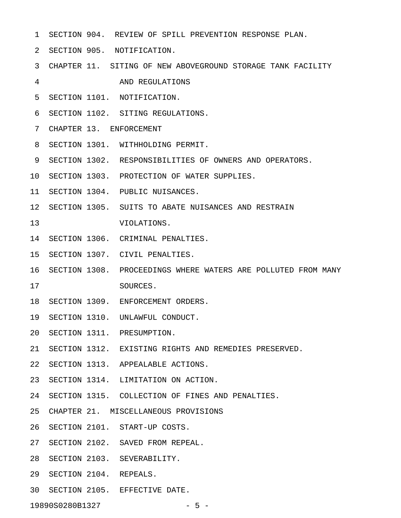- 1 SECTION 904. REVIEW OF SPILL PREVENTION RESPONSE PLAN.
- 2 SECTION 905. NOTIFICATION.
- 3 CHAPTER 11. SITING OF NEW ABOVEGROUND STORAGE TANK FACILITY
- 4 AND REGULATIONS
- 5 SECTION 1101. NOTIFICATION.
- 6 SECTION 1102. SITING REGULATIONS.
- 7 CHAPTER 13. ENFORCEMENT
- 8 SECTION 1301. WITHHOLDING PERMIT.
- 9 SECTION 1302. RESPONSIBILITIES OF OWNERS AND OPERATORS.
- 10 SECTION 1303. PROTECTION OF WATER SUPPLIES.
- 11 SECTION 1304. PUBLIC NUISANCES.
- 12 SECTION 1305. SUITS TO ABATE NUISANCES AND RESTRAIN
- 13 VIOLATIONS.
- 14 SECTION 1306. CRIMINAL PENALTIES.
- 15 SECTION 1307. CIVIL PENALTIES.
- 16 SECTION 1308. PROCEEDINGS WHERE WATERS ARE POLLUTED FROM MANY 17 SOURCES.
- 18 SECTION 1309. ENFORCEMENT ORDERS.
- 19 SECTION 1310. UNLAWFUL CONDUCT.
- 20 SECTION 1311. PRESUMPTION.
- 21 SECTION 1312. EXISTING RIGHTS AND REMEDIES PRESERVED.
- 22 SECTION 1313. APPEALABLE ACTIONS.
- 23 SECTION 1314. LIMITATION ON ACTION.
- 24 SECTION 1315. COLLECTION OF FINES AND PENALTIES.
- 25 CHAPTER 21. MISCELLANEOUS PROVISIONS
- 26 SECTION 2101. START-UP COSTS.
- 27 SECTION 2102. SAVED FROM REPEAL.
- 28 SECTION 2103. SEVERABILITY.
- 29 SECTION 2104. REPEALS.
- 30 SECTION 2105. EFFECTIVE DATE.

19890S0280B1327 - 5 -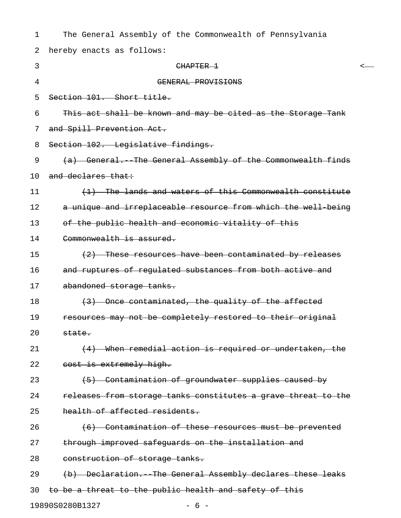| 1  | The General Assembly of the Commonwealth of Pennsylvania      |
|----|---------------------------------------------------------------|
| 2  | hereby enacts as follows:                                     |
| 3  | CHAPTER 1<br><-                                               |
| 4  | GENERAL PROVISIONS                                            |
| 5  | Section 101. Short title.                                     |
| 6  | This act shall be known and may be cited as the Storage Tank  |
| 7  | and Spill Prevention Act.                                     |
| 8  | Section 102. Legislative findings.                            |
| 9  | (a) General. The General Assembly of the Commonwealth finds   |
| 10 | and declares that:                                            |
| 11 | (1) The lands and waters of this Commonwealth constitute      |
| 12 | a unique and irreplaceable resource from which the well being |
| 13 | of the public health and economic vitality of this            |
| 14 | Commonwealth is assured.                                      |
| 15 | (2) These resources have been contaminated by releases        |
| 16 | and ruptures of regulated substances from both active and     |
| 17 | abandoned storage tanks.                                      |
| 18 | (3) Once contaminated, the quality of the affected            |
| 19 | resources may not be completely restored to their original    |
| 20 | state.                                                        |
| 21 | (4) When remedial action is required or undertaken, the       |
| 22 | cost is extremely high.                                       |
| 23 | (5) Contamination of groundwater supplies caused by           |
| 24 | releases from storage tanks constitutes a grave threat to the |
| 25 | health of affected residents.                                 |
| 26 | (6) Contamination of these resources must be prevented        |
| 27 | through improved safeguards on the installation and           |
| 28 | construction of storage tanks.                                |
| 29 | (b) Declaration. The General Assembly declares these leaks    |
| 30 | to be a threat to the public health and safety of this        |
|    | 19890S0280B1327<br>$-6-$                                      |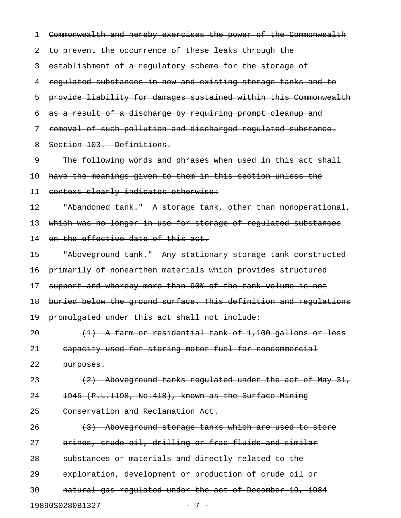1 Commonwealth and hereby exercises the power of the Commonwealth 2 to prevent the occurrence of these leaks through the 3 establishment of a regulatory scheme for the storage of 4 regulated substances in new and existing storage tanks and to 5 provide liability for damages sustained within this Commonwealth 6 as a result of a discharge by requiring prompt cleanup and 7 removal of such pollution and discharged regulated substance. 8 Section 103. Definitions. 9 The following words and phrases when used in this act shall 10 have the meanings given to them in this section unless the 11 context clearly indicates otherwise: 12 The Thandoned tank." A storage tank, other than nonoperational, 13 which was no longer in use for storage of regulated substances 14 on the effective date of this act. 15 "Aboveground tank." Any stationary storage tank constructed 16 primarily of nonearthen materials which provides structured 17 support and whereby more than 90% of the tank volume is not 18 buried below the ground surface. This definition and regulations 19 promulgated under this act shall not include: 20  $(1)$  A farm or residential tank of 1,100 gallons or less 21 capacity used for storing motor fuel for noncommercial 22 purposes. 23 (2) Aboveground tanks regulated under the act of May 31, 24 1945 (P.L.1198, No.418), known as the Surface Mining 25 Conservation and Reclamation Act. 26 (3) Aboveground storage tanks which are used to store 27 brines, crude oil, drilling or frac fluids and similar 28 substances or materials and directly related to the 29 exploration, development or production of crude oil or 30 natural gas regulated under the act of December 19, 1984 19890S0280B1327 - 7 -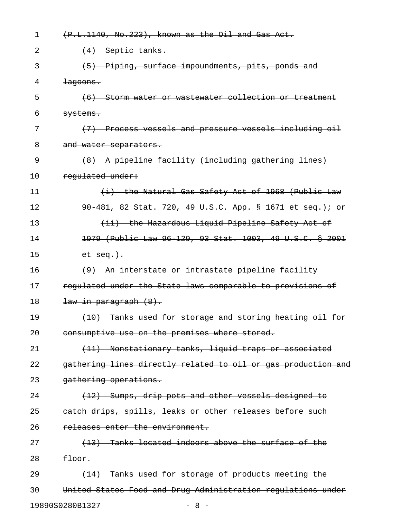| 1  | (P.L.1140, No.223), known as the Oil and Gas Act.             |
|----|---------------------------------------------------------------|
| 2  | $\left(4\right)$ Septic tanks.                                |
| 3  | (5) Piping, surface impoundments, pits, ponds and             |
| 4  | $\frac{1}{2}$ agoons.                                         |
| 5  | (6) Storm water or wastewater collection or treatment         |
| 6  | <del>systems.</del>                                           |
| 7  | (7) Process vessels and pressure vessels including oil        |
| 8  | and water separators.                                         |
| 9  | (8) A pipeline facility (including gathering lines)           |
| 10 | regulated under:                                              |
| 11 | (i) the Natural Gas Safety Act of 1968 (Public Law            |
| 12 | 90 481, 82 Stat. 720, 49 U.S.C. App. § 1671 et seq.); or      |
| 13 | (ii) the Hazardous Liquid Pipeline Safety Act of              |
| 14 | 1979 (Public Law 96 129, 93 Stat. 1003, 49 U.S.C. § 2001      |
| 15 | $et$ $seq.$ ).                                                |
| 16 | (9) An interstate or intrastate pipeline facility             |
| 17 | regulated under the State laws comparable to provisions of    |
| 18 | <del>law in paragraph (8).</del>                              |
| 19 | (10) Tanks used for storage and storing heating oil for       |
| 20 | consumptive use on the premises where stored.                 |
| 21 | (11) Nonstationary tanks, liquid traps or associated          |
| 22 | gathering lines directly related to oil or gas production and |
| 23 | gathering operations.                                         |
| 24 | $(12)$ Sumps, drip pots and other vessels designed to         |
| 25 | eatch drips, spills, leaks or other releases before such      |
| 26 | releases enter the environment.                               |
| 27 | (13) Tanks located indoors above the surface of the           |
| 28 | <del>floor.</del>                                             |
| 29 | (14) Tanks used for storage of products meeting the           |
| 30 | United States Food and Drug Administration regulations under  |
|    | 19890S0280B1327<br>$-8-$                                      |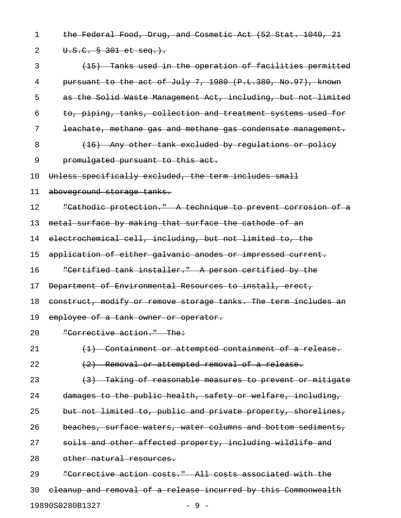1 the Federal Food, Drug, and Cosmetic Act (52 Stat. 1040, 21 2 U.S.C. § 301 et seq.). 3 (15) Tanks used in the operation of facilities permitted 4 pursuant to the act of July 7, 1980 (P.L.380, No.97), known 5 as the Solid Waste Management Act, including, but not limited 6 to, piping, tanks, collection and treatment systems used for 7 leachate, methane gas and methane gas condensate management. 8 (16) Any other tank excluded by requiations or policy 9 promulgated pursuant to this act. 10 Unless specifically excluded, the term includes small 11 aboveground storage tanks. 12 "Cathodic protection." A technique to prevent corrosion of a 13 metal surface by making that surface the cathode of an 14 electrochemical cell, including, but not limited to, the 15 application of either galvanic anodes or impressed current. 16 "Certified tank installer." A person certified by the 17 Department of Environmental Resources to install, erect, 18 construct, modify or remove storage tanks. The term includes an 19 employee of a tank owner or operator. 20 "Corrective action." The: 21 (1) Containment or attempted containment of a release. 22  $(2)$  Removal or attempted removal of a release. 23 (3) Taking of reasonable measures to prevent or mitigate 24 damages to the public health, safety or welfare, including, 25 but not limited to, public and private property, shorelines, 26 beaches, surface waters, water columns and bottom sediments, 27 soils and other affected property, including wildlife and 28 other natural resources. 29 "Corrective action costs." All costs associated with the

30 cleanup and removal of a release incurred by this Commonwealth 19890S0280B1327 - 9 -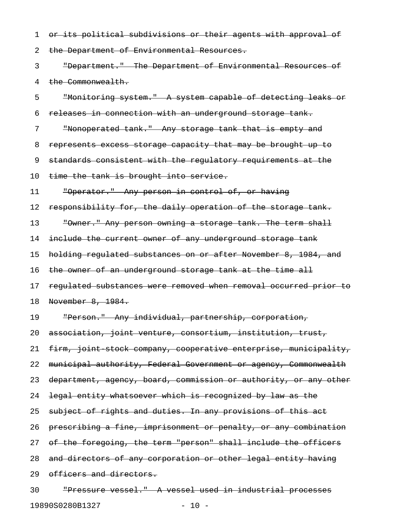1 or its political subdivisions or their agents with approval of 2 the Department of Environmental Resources. 3 "Department." The Department of Environmental Resources of 4 the Commonwealth. 5 "Monitoring system." A system capable of detecting leaks or 6 releases in connection with an underground storage tank. 7 "Nonoperated tank." Any storage tank that is empty and 8 represents excess storage capacity that may be brought up to 9 standards consistent with the regulatory requirements at the 10 time the tank is brought into service. 11 "Operator." Any person in control of, or having 12 responsibility for, the daily operation of the storage tank. 13 "Owner." Any person owning a storage tank. The term shall 14 include the current owner of any underground storage tank 15 holding regulated substances on or after November 8, 1984, and 16 the owner of an underground storage tank at the time all 17 regulated substances were removed when removal occurred prior to 18 November 8, 1984. 19 "Person." Any individual, partnership, corporation, 20 association, joint venture, consortium, institution, trust, 21 firm, joint stock company, cooperative enterprise, municipality, 22 municipal authority, Federal Government or agency, Commonwealth 23 department, agency, board, commission or authority, or any other 24 legal entity whatsoever which is recognized by law as the 25 subject of rights and duties. In any provisions of this act 26 prescribing a fine, imprisonment or penalty, or any combination 27 of the foregoing, the term "person" shall include the officers 28 and directors of any corporation or other legal entity having 29 officers and directors. 30 "Pressure vessel." A vessel used in industrial processes

19890S0280B1327 - 10 -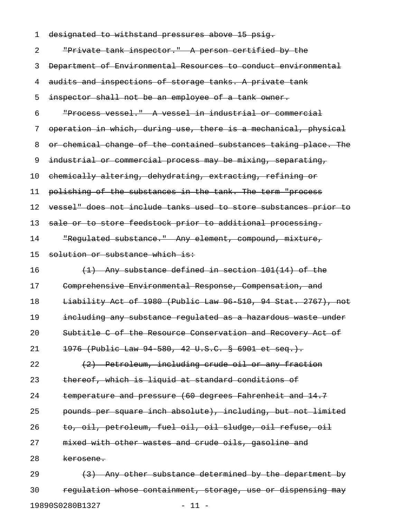| 1  | designated to withstand pressures above 15 psig.                 |
|----|------------------------------------------------------------------|
| 2  | "Private tank inspector." A person certified by the              |
| 3  | Department of Environmental Resources to conduct environmental   |
| 4  | audits and inspections of storage tanks. A private tank          |
| 5  | inspector shall not be an employee of a tank owner.              |
| 6  | "Process vessel." A vessel in industrial or commercial           |
| 7  | operation in which, during use, there is a mechanical, physical  |
| 8  | or chemical change of the contained substances taking place. The |
| 9  | industrial or commercial process may be mixing, separating,      |
| 10 | chemically altering, dehydrating, extracting, refining or        |
| 11 | polishing of the substances in the tank. The term "process       |
| 12 | vessel" does not include tanks used to store substances prior to |
| 13 | sale or to store feedstock prior to additional processing.       |
| 14 | "Requlated substance." Any element, compound, mixture,           |
| 15 | solution or substance which is:                                  |
| 16 | $(1)$ Any substance defined in section 101(14) of the            |
| 17 | Comprehensive Environmental Response, Compensation, and          |
| 18 | Liability Act of 1980 (Public Law 96 510, 94 Stat. 2767), not    |
| 19 | including any substance regulated as a hazardous waste under     |
| 20 | Subtitle C of the Resource Conservation and Recovery Act of      |
| 21 | 1976 (Public Law 94 580, 42 U.S.C. § 6901 et seq.).              |
| 22 | (2) Petroleum, including crude oil or any fraction               |
| 23 | thereof, which is liguid at standard conditions of               |
| 24 | temperature and pressure (60 degrees Fahrenheit and 14.7         |
| 25 | pounds per square inch absolute), including, but not limited     |
| 26 | to, oil, petroleum, fuel oil, oil sludge, oil refuse, oil        |
| 27 | mixed with other wastes and crude oils, gasoline and             |
| 28 | <del>kerosene.</del>                                             |
| 29 | (3) Any other substance determined by the department by          |
| 30 | regulation whose containment, storage, use or dispensing may     |
|    |                                                                  |

19890S0280B1327 - 11 -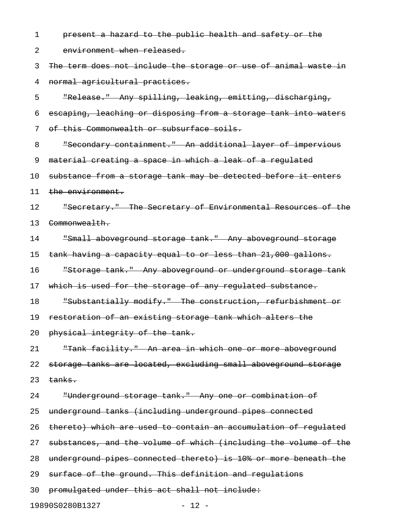1 **present a hazard to the public health and safety or the** 2 environment when released. 3 The term does not include the storage or use of animal waste in 4 normal agricultural practices. 5 "Release." Any spilling, leaking, emitting, discharging, 6 escaping, leaching or disposing from a storage tank into waters 7 of this Commonwealth or subsurface soils. 8 "Secondary containment." An additional layer of impervious 9 material creating a space in which a leak of a regulated 10 substance from a storage tank may be detected before it enters 11 the environment. 12 Secretary." The Secretary of Environmental Resources of the 13 Commonwealth. 14 "Small aboveground storage tank." Any aboveground storage 15 tank having a capacity equal to or less than 21,000 gallons. 16 "Storage tank." Any aboveground or underground storage tank 17 which is used for the storage of any regulated substance. 18 "Substantially modify." The construction, refurbishment or 19 restoration of an existing storage tank which alters the 20 physical integrity of the tank. 21 "Tank facility." An area in which one or more aboveground 22 storage tanks are located, excluding small aboveground storage  $23$  tanks. 24 "Underground storage tank." Any one or combination of 25 underground tanks (including underground pipes connected 26 thereto) which are used to contain an accumulation of regulated 27 substances, and the volume of which (including the volume of the 28 underground pipes connected thereto) is 10% or more beneath the 29 surface of the ground. This definition and regulations 30 promulgated under this act shall not include:

19890S0280B1327 - 12 -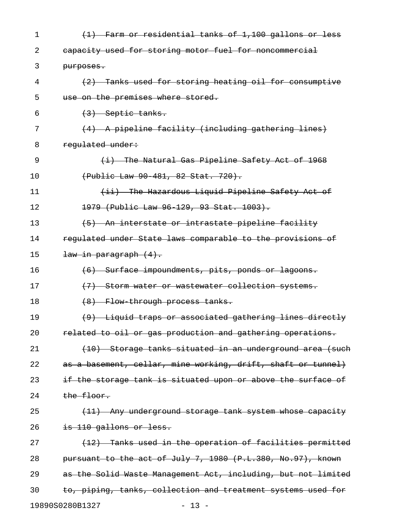| 1  | (1) Farm or residential tanks of 1,100 gallons or less        |
|----|---------------------------------------------------------------|
| 2  | eapacity used for storing motor fuel for noncommercial        |
| 3  | purposes.                                                     |
| 4  | (2) Tanks used for storing heating oil for consumptive        |
| 5  | use on the premises where stored.                             |
| 6  | $(3)$ Septic tanks.                                           |
| 7  | (4) A pipeline facility (including gathering lines)           |
| 8  | regulated under:                                              |
| 9  | $(i)$ The Natural Gas Pipeline Safety Act of 1968             |
| 10 | (Public Law 90 481, 82 Stat. 720).                            |
| 11 | (ii) The Hazardous Liquid Pipeline Safety Act of              |
| 12 | 1979 (Public Law 96-129, 93 Stat. 1003).                      |
| 13 | (5) An interstate or intrastate pipeline facility             |
| 14 | regulated under State laws comparable to the provisions of    |
| 15 | <del>law in paragraph (4).</del>                              |
| 16 | (6) Surface impoundments, pits, ponds or lagoons.             |
| 17 | (7) Storm water or wastewater collection systems.             |
| 18 | (8) Flow through process tanks.                               |
| 19 | (9) Liquid traps or associated gathering lines directly       |
| 20 | related to oil or gas production and gathering operations.    |
| 21 | (10) Storage tanks situated in an underground area (such      |
| 22 | as a basement, cellar, mine working, drift, shaft or tunnel)  |
| 23 | if the storage tank is situated upon or above the surface of  |
| 24 | the floor.                                                    |
| 25 | (11) Any underground storage tank system whose capacity       |
| 26 | is 110 gallons or less.                                       |
| 27 | (12) Tanks used in the operation of facilities permitted      |
| 28 | pursuant to the act of July 7, 1980 (P.L.380, No.97), known   |
| 29 | as the Solid Waste Management Act, including, but not limited |
| 30 | to, piping, tanks, collection and treatment systems used for  |
|    | 19890S0280B1327<br>$-13 -$                                    |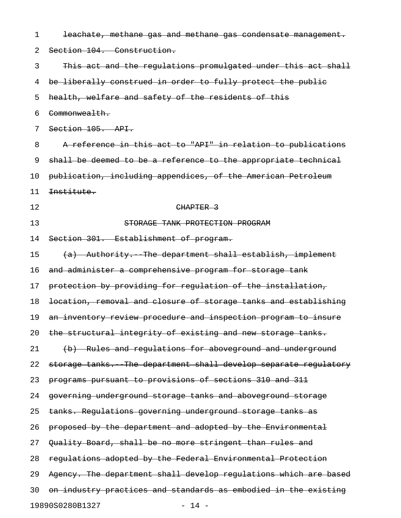| 1  | leachate, methane gas and methane gas condensate management.     |
|----|------------------------------------------------------------------|
| 2  | Section 104. Construction.                                       |
| 3  | This act and the regulations promulgated under this act shall    |
| 4  | be liberally construed in order to fully protect the public      |
| 5  | health, welfare and safety of the residents of this              |
| 6  | Commonwealth.                                                    |
| 7  | Section 105. API.                                                |
| 8  | A reference in this act to "API" in relation to publications     |
| 9  | shall be deemed to be a reference to the appropriate technical   |
| 10 | publication, including appendices, of the American Petroleum     |
| 11 | Institute.                                                       |
| 12 | CHAPTER 3                                                        |
| 13 | STORAGE TANK PROTECTION PROGRAM                                  |
| 14 | Section 301. Establishment of program.                           |
| 15 | (a) Authority. The department shall establish, implement         |
| 16 | and administer a comprehensive program for storage tank          |
| 17 | protection by providing for regulation of the installation,      |
| 18 | location, removal and closure of storage tanks and establishing  |
| 19 | an inventory review procedure and inspection program to insure   |
| 20 | the structural integrity of existing and new storage tanks.      |
| 21 | (b) Rules and regulations for aboveground and underground        |
| 22 | storage tanks. The department shall develop separate regulatory  |
| 23 | programs pursuant to provisions of sections 310 and 311          |
| 24 | governing underground storage tanks and aboveground storage      |
| 25 | tanks. Regulations governing underground storage tanks as        |
| 26 | proposed by the department and adopted by the Environmental      |
| 27 | Quality Board, shall be no more stringent than rules and         |
| 28 | regulations adopted by the Federal Environmental Protection      |
| 29 | Agency. The department shall develop regulations which are based |
| 30 | on industry practices and standards as embodied in the existing  |
|    | 19890S0280B1327<br>$-14 -$                                       |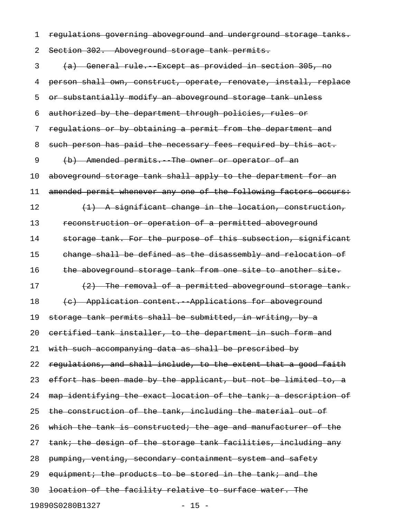1 regulations governing aboveground and underground storage tanks.

2 Section 302. Aboveground storage tank permits.

3 (a) General rule. Except as provided in section 305, no 4 person shall own, construct, operate, renovate, install, replace 5 or substantially modify an aboveground storage tank unless 6 authorized by the department through policies, rules or 7 regulations or by obtaining a permit from the department and 8 such person has paid the necessary fees required by this act. 9 (b) Amended permits. The owner or operator of an 10 aboveground storage tank shall apply to the department for an 11 amended permit whenever any one of the following factors occurs: 12  $(1)$  A significant change in the location, construction, 13 reconstruction or operation of a permitted aboveground 14 storage tank. For the purpose of this subsection, significant 15 change shall be defined as the disassembly and relocation of 16 the aboveground storage tank from one site to another site. 17 (2) The removal of a permitted aboveground storage tank. 18 (c) Application content. Applications for aboveground 19 storage tank permits shall be submitted, in writing, by a 20 certified tank installer, to the department in such form and 21 with such accompanying data as shall be prescribed by 22 regulations, and shall include, to the extent that a good faith 23 effort has been made by the applicant, but not be limited to, a 24 map identifying the exact location of the tank; a description of 25 the construction of the tank, including the material out of 26 which the tank is constructed; the age and manufacturer of the 27 tank; the design of the storage tank facilities, including any 28 pumping, venting, secondary containment system and safety 29 equipment; the products to be stored in the tank; and the 30 location of the facility relative to surface water. The 19890S0280B1327 - 15 -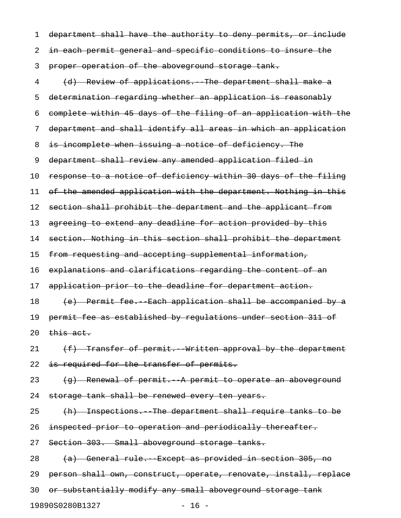1 department shall have the authority to deny permits, or include 2 in each permit general and specific conditions to insure the 3 proper operation of the aboveground storage tank. 4 (d) Review of applications. The department shall make a 5 determination regarding whether an application is reasonably 6 complete within 45 days of the filing of an application with the 7 department and shall identify all areas in which an application 8 is incomplete when issuing a notice of deficiency. The 9 department shall review any amended application filed in 10 response to a notice of deficiency within 30 days of the filing 11 of the amended application with the department. Nothing in this 12 section shall prohibit the department and the applicant from 13 agreeing to extend any deadline for action provided by this 14 section. Nothing in this section shall prohibit the department 15 from requesting and accepting supplemental information, 16 explanations and clarifications regarding the content of an 17 application prior to the deadline for department action. 18 (e) Permit fee. Each application shall be accompanied by a 19 permit fee as established by regulations under section 311 of 20  $this$  act. 21  $(f)$  Transfer of permit. Written approval by the department 22 is required for the transfer of permits. 23  $(g)$  Renewal of permit. A permit to operate an aboveground 24 storage tank shall be renewed every ten years. 25 (h) Inspections. The department shall require tanks to be 26 inspected prior to operation and periodically thereafter. 27 Section 303. Small aboveground storage tanks. 28 (a) General rule. Except as provided in section 305, no 29 person shall own, construct, operate, renovate, install, replace 30 or substantially modify any small aboveground storage tank

19890S0280B1327 - 16 -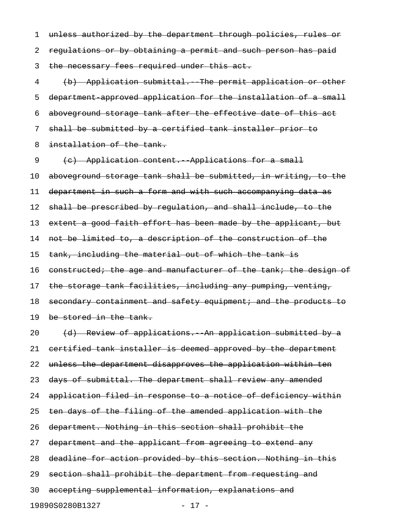1 unless authorized by the department through policies, rules or 2 regulations or by obtaining a permit and such person has paid 3 the necessary fees required under this act. 4 (b) Application submittal. The permit application or other 5 department-approved application for the installation of a small

6 aboveground storage tank after the effective date of this act

7 shall be submitted by a certified tank installer prior to

8 installation of the tank.

9 (c) Application content. Applications for a small

10 aboveground storage tank shall be submitted, in writing, to the 11 department in such a form and with such accompanying data as

12 shall be prescribed by regulation, and shall include, to the

13 extent a good faith effort has been made by the applicant, but

14 not be limited to, a description of the construction of the

15 tank, including the material out of which the tank is

16 constructed; the age and manufacturer of the tank; the design of

17 the storage tank facilities, including any pumping, venting,

18 secondary containment and safety equipment; and the products to

19 be stored in the tank.

20 (d) Review of applications. An application submitted by a 21 certified tank installer is deemed approved by the department 22 unless the department disapproves the application within ten 23 days of submittal. The department shall review any amended 24 application filed in response to a notice of deficiency within 25 ten days of the filing of the amended application with the 26 department. Nothing in this section shall prohibit the 27 department and the applicant from agreeing to extend any 28 deadline for action provided by this section. Nothing in this 29 section shall prohibit the department from requesting and 30 accepting supplemental information, explanations and 19890S0280B1327 - 17 -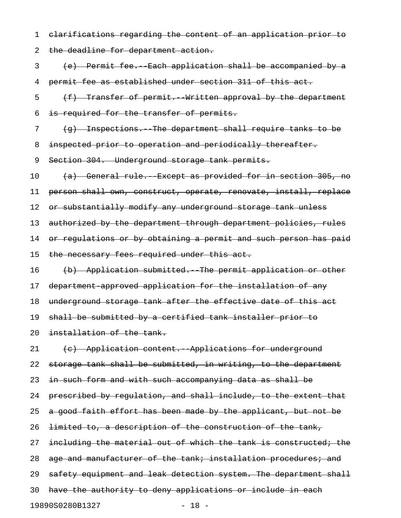1 clarifications regarding the content of an application prior to 2 the deadline for department action. 3 (e) Permit fee.--Each application shall be accompanied by a

4 permit fee as established under section 311 of this act.

5 (f) Transfer of permit. Written approval by the department 6 is required for the transfer of permits.

7 (g) Inspections. The department shall require tanks to be

8 inspected prior to operation and periodically thereafter.

9 Section 304. Underground storage tank permits.

10 (a) General rule. Except as provided for in section 305, no

11 person shall own, construct, operate, renovate, install, replace

12 or substantially modify any underground storage tank unless

13 authorized by the department through department policies, rules

14 or regulations or by obtaining a permit and such person has paid

15 the necessary fees required under this act.

16 (b) Application submitted. The permit application or other

17 department-approved application for the installation of any

18 underground storage tank after the effective date of this act

19 shall be submitted by a certified tank installer prior to

20 installation of the tank.

21 (c) Application content. Applications for underground 22 storage tank shall be submitted, in writing, to the department 23 in such form and with such accompanying data as shall be 24 prescribed by regulation, and shall include, to the extent that 25 a good faith effort has been made by the applicant, but not be 26 <del>limited to, a description of the construction of the tank,</del> 27 including the material out of which the tank is constructed; the 28 age and manufacturer of the tank; installation procedures; and 29 safety equipment and leak detection system. The department shall 30 have the authority to deny applications or include in each 19890S0280B1327 - 18 -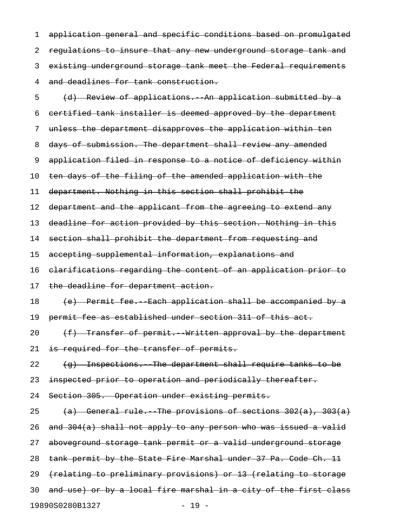1 application general and specific conditions based on promulgated 2 regulations to insure that any new underground storage tank and 3 existing underground storage tank meet the Federal requirements 4 and deadlines for tank construction.

5 (d) Review of applications. An application submitted by a 6 certified tank installer is deemed approved by the department 7 unless the department disapproves the application within ten 8 days of submission. The department shall review any amended 9 application filed in response to a notice of deficiency within 10 ten days of the filing of the amended application with the 11 department. Nothing in this section shall prohibit the 12 department and the applicant from the agreeing to extend any 13 deadline for action provided by this section. Nothing in this 14 section shall prohibit the department from requesting and 15 accepting supplemental information, explanations and 16 clarifications regarding the content of an application prior to 17 the deadline for department action. 18 (e) Permit fee. Each application shall be accompanied by a 19 permit fee as established under section 311 of this act. 20  $(f)$  Transfer of permit. Written approval by the department 21 is required for the transfer of permits. 22  $(g)$  Inspections. The department shall require tanks to be 23 inspected prior to operation and periodically thereafter. 24 Section 305. Operation under existing permits. 25 (a) General rule. The provisions of sections  $302(a)$ ,  $303(a)$ 26 and  $304(a)$  shall not apply to any person who was issued a valid 27 aboveground storage tank permit or a valid underground storage 28 tank permit by the State Fire Marshal under 37 Pa. Code Ch. 11 29 (relating to preliminary provisions) or 13 (relating to storage 30 and use) or by a local fire marshal in a city of the first class 19890S0280B1327 - 19 -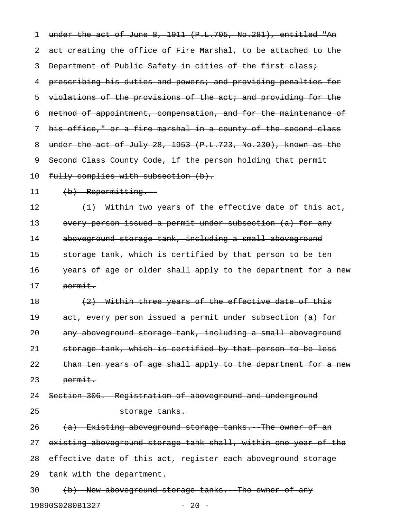1 under the act of June 8, 1911 (P.L.705, No.281), entitled "An 2 act creating the office of Fire Marshal, to be attached to the 3 Department of Public Safety in cities of the first class; 4 prescribing his duties and powers; and providing penalties for 5 violations of the provisions of the act; and providing for the 6 method of appointment, compensation, and for the maintenance of 7 his office," or a fire marshal in a county of the second class 8 under the act of July 28, 1953 (P.L.723, No.230), known as the 9 Second Class County Code, if the person holding that permit 10 fully complies with subsection (b). 11 (b) Repermitting. 12  $(1)$  Within two years of the effective date of this act, 13 every person issued a permit under subsection (a) for any 14 aboveground storage tank, including a small aboveground 15 storage tank, which is certified by that person to be ten 16 years of age or older shall apply to the department for a new 17 permit. 18  $(2)$  Within three years of the effective date of this 19 act, every person issued a permit under subsection (a) for 20 any aboveground storage tank, including a small aboveground 21 storage tank, which is certified by that person to be less 22 than ten years of age shall apply to the department for a new 23 permit. 24 Section 306. Registration of aboveground and underground 25 storage tanks. 26  $(a)$  Existing aboveground storage tanks. The owner of an 27 existing aboveground storage tank shall, within one year of the 28 effective date of this act, register each aboveground storage 29 tank with the department. 30 (b) New aboveground storage tanks. The owner of any

19890S0280B1327 - 20 -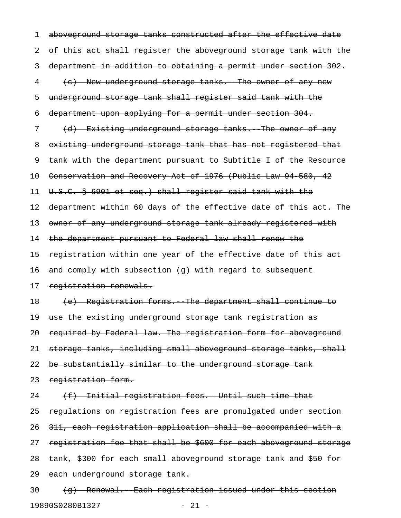1 aboveground storage tanks constructed after the effective date 2 of this act shall register the aboveground storage tank with the 3 department in addition to obtaining a permit under section 302. 4 (e) New underground storage tanks. The owner of any new 5 underground storage tank shall register said tank with the 6 department upon applying for a permit under section 304. 7 (d) Existing underground storage tanks. The owner of any 8 existing underground storage tank that has not registered that 9 tank with the department pursuant to Subtitle I of the Resource 10 Conservation and Recovery Act of 1976 (Public Law 94 580, 42 11 U.S.C. § 6901 et seq.) shall register said tank with the 12 department within 60 days of the effective date of this act. The 13 owner of any underground storage tank already registered with 14 the department pursuant to Federal law shall renew the 15 registration within one year of the effective date of this act 16 and comply with subsection (q) with regard to subsequent 17 registration renewals. 18 (e) Registration forms. The department shall continue to 19 use the existing underground storage tank registration as 20 required by Federal law. The registration form for aboveground 21 storage tanks, including small aboveground storage tanks, shall 22 be substantially similar to the underground storage tank 23 registration form.  $24$  (f) Initial registration fees. Until such time that 25 regulations on registration fees are promulgated under section 26 311, each registration application shall be accompanied with a 27 registration fee that shall be \$600 for each aboveground storage 28 tank, \$300 for each small aboveground storage tank and \$50 for 29 each underground storage tank.  $30$  (q) Renewal. Each registration issued under this section

19890S0280B1327 - 21 -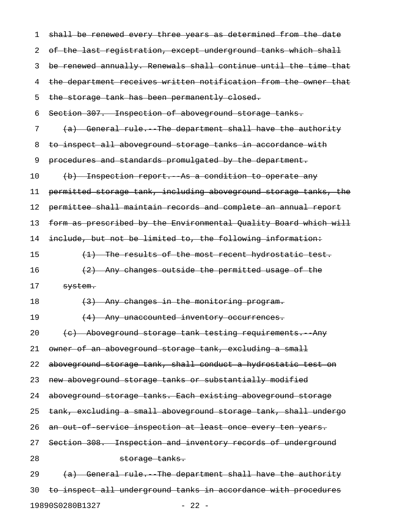| 1  | shall be renewed every three years as determined from the date   |
|----|------------------------------------------------------------------|
| 2  | of the last registration, except underground tanks which shall   |
| 3  | be renewed annually. Renewals shall continue until the time that |
| 4  | the department receives written notification from the owner that |
| 5  | the storage tank has been permanently closed.                    |
| 6  | Section 307. Inspection of aboveground storage tanks.            |
| 7  | (a) General rule. The department shall have the authority        |
| 8  | to inspect all aboveground storage tanks in accordance with      |
| 9  | procedures and standards promulgated by the department.          |
| 10 | (b) Inspection report. As a condition to operate any             |
| 11 | permitted storage tank, including aboveground storage tanks, the |
| 12 | permittee shall maintain records and complete an annual report   |
| 13 | form as prescribed by the Environmental Quality Board which will |
| 14 | include, but not be limited to, the following information:       |
| 15 | (1) The results of the most recent hydrostatic test.             |
| 16 | (2) Any changes outside the permitted usage of the               |
| 17 | system.                                                          |
| 18 | (3) Any changes in the monitoring program.                       |
| 19 | (4) Any unaccounted inventory occurrences.                       |
| 20 | (e) Aboveground storage tank testing requirements. Any           |
| 21 | owner of an aboveground storage tank, excluding a small          |
| 22 | aboveground storage tank, shall conduct a hydrostatic test on    |
| 23 | new aboveground storage tanks or substantially modified          |
| 24 | aboveground storage tanks. Each existing aboveground storage     |
| 25 | tank, excluding a small aboveground storage tank, shall undergo  |
| 26 | an out of service inspection at least once every ten years.      |
| 27 | Section 308. Inspection and inventory records of underground     |
| 28 | storage tanks.                                                   |
| 29 | (a) General rule. The department shall have the authority        |
| 30 | to inspect all underground tanks in accordance with procedures   |
|    |                                                                  |

19890S0280B1327 - 22 -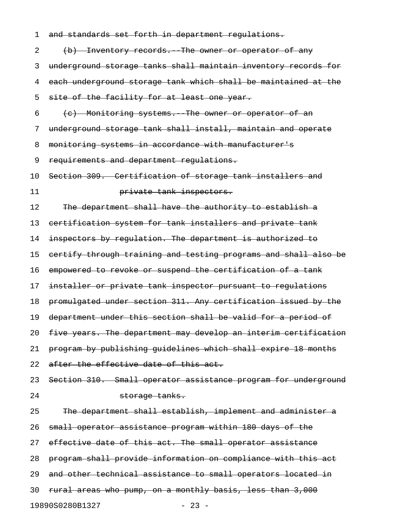| 1  | and standards set forth in department regulations.              |
|----|-----------------------------------------------------------------|
| 2  | (b) Inventory records. The owner or operator of any             |
| 3  | underground storage tanks shall maintain inventory records for  |
| 4  | each underground storage tank which shall be maintained at the  |
| 5  | site of the facility for at least one year.                     |
| 6  | (c) Monitoring systems. The owner or operator of an             |
| 7  | underground storage tank shall install, maintain and operate    |
| 8  | monitoring systems in accordance with manufacturer's            |
| 9  | requirements and department regulations.                        |
| 10 | Section 309. Certification of storage tank installers and       |
| 11 | private tank inspectors.                                        |
| 12 | The department shall have the authority to establish a          |
| 13 | eertification system for tank installers and private tank       |
| 14 | inspectors by regulation. The department is authorized to       |
| 15 | certify through training and testing programs and shall also be |
| 16 | empowered to revoke or suspend the certification of a tank      |
| 17 | installer or private tank inspector pursuant to regulations     |
| 18 | promulgated under section 311. Any certification issued by the  |
| 19 | department under this section shall be valid for a period of    |
| 20 | five years. The department may develop an interim certification |
| 21 | program by publishing quidelines which shall expire 18 months   |
| 22 | after the effective date of this act.                           |
| 23 | Section 310. Small operator assistance program for underground  |
| 24 | storage tanks.                                                  |
| 25 | The department shall establish, implement and administer a      |
| 26 | small operator assistance program within 180 days of the        |
| 27 | effective date of this act. The small operator assistance       |
| 28 | program shall provide information on compliance with this act   |
| 29 | and other technical assistance to small operators located in    |
| 30 | rural areas who pump, on a monthly basis, less than 3,000       |
|    | 19890S0280B1327<br>$-23 -$                                      |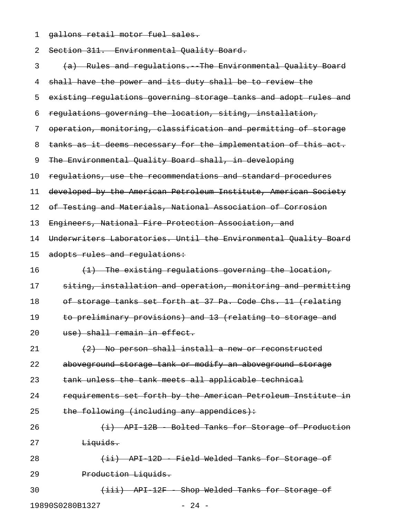1 gallons retail motor fuel sales.

| 2  | Section 311. Environmental Quality Board.                        |
|----|------------------------------------------------------------------|
| 3  | (a) Rules and regulations. The Environmental Quality Board       |
| 4  | shall have the power and its duty shall be to review the         |
| 5  | existing regulations governing storage tanks and adopt rules and |
| 6  | regulations governing the location, siting, installation,        |
| 7  | operation, monitoring, classification and permitting of storage  |
| 8  | tanks as it deems necessary for the implementation of this act.  |
| 9  | The Environmental Quality Board shall, in developing             |
| 10 | regulations, use the recommendations and standard procedures     |
| 11 | developed by the American Petroleum Institute, American Society  |
| 12 | of Testing and Materials, National Association of Corrosion      |
| 13 | Engineers, National Fire Protection Association, and             |
| 14 | Underwriters Laboratories. Until the Environmental Quality Board |
| 15 | adopts rules and regulations:                                    |
| 16 | (1) The existing regulations governing the location,             |
| 17 | siting, installation and operation, monitoring and permitting    |
| 18 | of storage tanks set forth at 37 Pa. Code Chs. 11 (relating      |
| 19 | to preliminary provisions) and 13 (relating to storage and       |
| 20 | use) shall remain in effect.                                     |
| 21 | (2) No person shall install a new or reconstructed               |
| 22 | aboveground storage tank or modify an aboveground storage        |
| 23 | tank unless the tank meets all applicable technical              |
| 24 | requirements set forth by the American Petroleum Institute in    |
| 25 | the following (including any appendices):                        |
| 26 | (i) API 12B Bolted Tanks for Storage of Production               |
| 27 | Liquids.                                                         |
| 28 | (ii) API 12D - Field Welded Tanks for Storage of                 |
| 29 | Production Liquids.                                              |
| 30 | (iii) API 12F Shop Welded Tanks for Storage of                   |
|    | $-24 -$<br>19890S0280B1327                                       |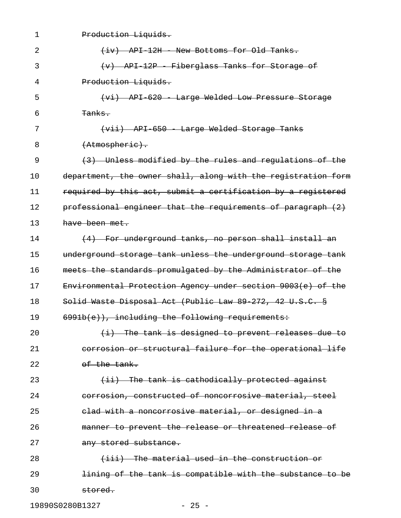| $\mathbf 1$ | Production Liquids.                                                |
|-------------|--------------------------------------------------------------------|
| 2           | API 12H Wew Bottoms for Old Tanks.<br>$\leftarrow$ iv $\leftarrow$ |
| 3           | API-12P - Fiberglass Tanks for Storage of                          |
| 4           | Production Liquids.                                                |
| 5           | API 620 - Large Welded Low Pressure Storage                        |
| 6           | <del>Tanks.</del>                                                  |
| 7           | (vii) API 650 Large Welded Storage Tanks                           |
| 8           | (Atmospheric).                                                     |
| 9           | (3) Unless modified by the rules and regulations of the            |
| 10          | department, the owner shall, along with the registration form      |
| 11          | required by this act, submit a certification by a registered       |
| 12          | professional engineer that the requirements of paragraph (2)       |
| 13          | have been met.                                                     |
| 14          | For underground tanks, no person shall install an                  |
| 15          | underground storage tank unless the underground storage tank       |
| 16          | meets the standards promulgated by the Administrator of the        |
| 17          | Environmental Protection Agency under section 9003(e) of the       |
| 18          | Solid Waste Disposal Act (Public Law 89 272, 42 U.S.C. §           |
| 19          | 6991b(e)), including the following requirements:                   |
| 20          | $(i)$ The tank is designed to prevent releases due to              |
| 21          | corrosion or structural failure for the operational life           |
| 22          | of the tank.                                                       |
| 23          | (ii) The tank is cathodically protected against                    |
| 24          | corrosion, constructed of noncorrosive material, steel             |
| 25          | elad with a noncorrosive material, or designed in a                |
| 26          | manner to prevent the release or threatened release of             |
| 27          | any stored substance.                                              |
| 28          | (iii) The material used in the construction or                     |
| 29          | lining of the tank is compatible with the substance to be          |
| 30          | stored.                                                            |

19890S0280B1327 - 25 -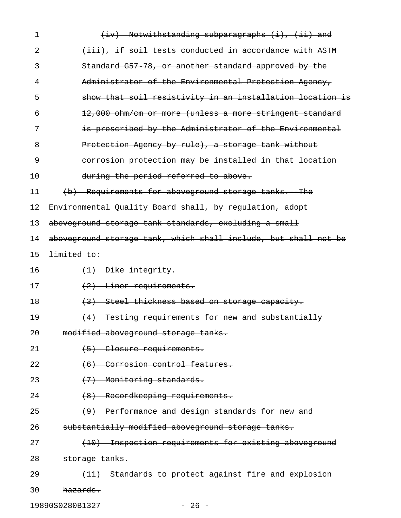| 1  | $(iv)$ Notwithstanding subparagraphs $(i)$ , $(ii)$ and         |
|----|-----------------------------------------------------------------|
| 2  | (iii), if soil tests conducted in accordance with ASTM          |
| 3  | Standard G57 78, or another standard approved by the            |
| 4  | Administrator of the Environmental Protection Agency,           |
| 5  | show that soil resistivity in an installation location is       |
| 6  | 12,000 ohm/cm or more (unless a more stringent standard         |
| 7  | is prescribed by the Administrator of the Environmental         |
| 8  | Protection Agency by rule), a storage tank without              |
| 9  | corrosion protection may be installed in that location          |
| 10 | during the period referred to above.                            |
| 11 | (b) Requirements for aboveground storage tanks. The             |
| 12 | Environmental Quality Board shall, by regulation, adopt         |
| 13 | aboveground storage tank standards, excluding a small           |
| 14 | aboveground storage tank, which shall include, but shall not be |
| 15 | limited to:                                                     |
| 16 | $(1)$ Dike integrity.                                           |
| 17 | $\left(2\right)$ Liner requirements.                            |
| 18 | (3) Steel thickness based on storage capacity.                  |
| 19 | (4) Testing requirements for new and substantially              |
| 20 | modified aboveground storage tanks.                             |
| 21 | (5) Closure requirements.                                       |
| 22 | (6) Corrosion control features.                                 |
| 23 | (7) Monitoring standards.                                       |
| 24 | (8) Recordkeeping requirements.                                 |
| 25 | (9) Performance and design standards for new and                |
| 26 | substantially modified aboveground storage tanks.               |
| 27 | (10) Inspection requirements for existing aboveground           |
| 28 | storage tanks.                                                  |
| 29 | (11) Standards to protect against fire and explosion            |
| 30 | hazards.                                                        |

19890S0280B1327 - 26 -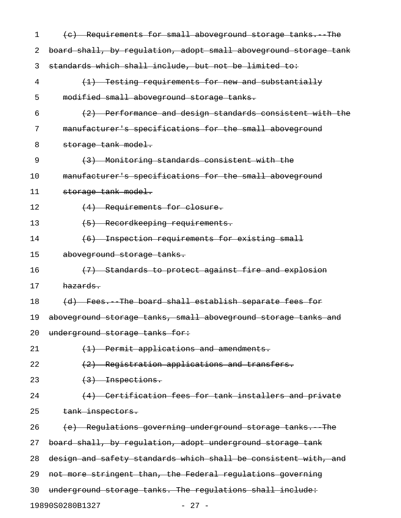| 1  | (c) Requirements for small aboveground storage tanks. The        |
|----|------------------------------------------------------------------|
| 2  | board shall, by regulation, adopt small aboveground storage tank |
| 3  | standards which shall include, but not be limited to:            |
| 4  | (1) Testing requirements for new and substantially               |
| 5  | modified small aboveground storage tanks.                        |
| 6  | (2) Performance and design standards consistent with the         |
| 7  | manufacturer's specifications for the small aboveground          |
| 8  | storage tank model.                                              |
| 9  | (3) Monitoring standards consistent with the                     |
| 10 | manufacturer's specifications for the small aboveground          |
| 11 | storage tank model.                                              |
| 12 | (4) Requirements for closure.                                    |
| 13 | (5) Recordkeeping requirements.                                  |
| 14 | (6) Inspection requirements for existing small                   |
| 15 | aboveground storage tanks.                                       |
| 16 | (7) Standards to protect against fire and explosion              |
| 17 | hazards.                                                         |
| 18 | (d) Fees. The board shall establish separate fees for            |
| 19 | aboveground storage tanks, small aboveground storage tanks and   |
| 20 | underground storage tanks for:                                   |
| 21 | $(1)$ Permit applications and amendments.                        |
| 22 | (2) Registration applications and transfers.                     |
| 23 | $(3)$ Inspections.                                               |
| 24 | (4) Certification fees for tank installers and private           |
| 25 | tank inspectors.                                                 |
| 26 | (e) Regulations governing underground storage tanks. The         |
| 27 | board shall, by regulation, adopt underground storage tank       |
| 28 | design and safety standards which shall be consistent with, and  |
| 29 | not more stringent than, the Federal regulations governing       |
| 30 | underground storage tanks. The regulations shall include:        |
|    | 19890S0280B1327<br>$-27 -$                                       |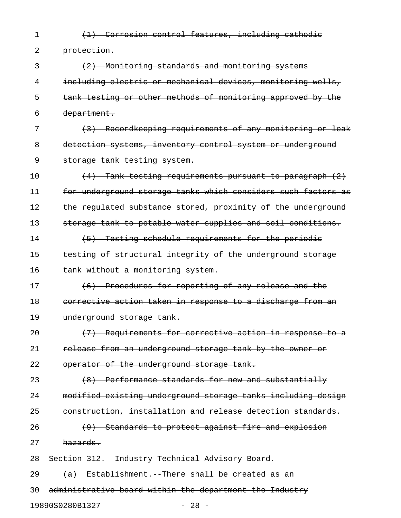1 (1) Corrosion control features, including cathodic

2 protection.

3 (2) Monitoring standards and monitoring systems 4 including electric or mechanical devices, monitoring wells, 5 tank testing or other methods of monitoring approved by the 6 department.

7 (3) Recordkeeping requirements of any monitoring or leak 8 detection systems, inventory control system or underground 9 storage tank testing system.

10  $(4)$  Tank testing requirements pursuant to paragraph  $(2)$ 11 for underground storage tanks which considers such factors as 12 the regulated substance stored, proximity of the underground 13 storage tank to potable water supplies and soil conditions. 14 (5) Testing schedule requirements for the periodic

15 testing of structural integrity of the underground storage 16 tank without a monitoring system.

17 (6) Procedures for reporting of any release and the 18 corrective action taken in response to a discharge from an 19 underground storage tank.

20  $(7)$  Requirements for corrective action in response to a 21 release from an underground storage tank by the owner or 22 operator of the underground storage tank.

23 (8) Performance standards for new and substantially 24 modified existing underground storage tanks including design 25 construction, installation and release detection standards.  $26$  (9) Standards to protect against fire and explosion

27 hazards.

28 Section 312. Industry Technical Advisory Board.

29  $(a)$  Establishment. There shall be created as an 30 administrative board within the department the Industry

19890S0280B1327 - 28 -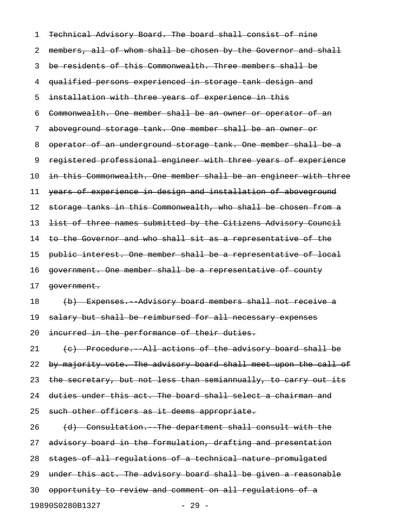| 1  | Technical Advisory Board. The board shall consist of nine        |
|----|------------------------------------------------------------------|
| 2  | members, all of whom shall be chosen by the Governor and shall   |
| 3  | be residents of this Commonwealth. Three members shall be        |
| 4  | qualified persons experienced in storage tank design and         |
| 5  | installation with three years of experience in this              |
| 6  | Commonwealth. One member shall be an owner or operator of an     |
| 7  | aboveground storage tank. One member shall be an owner or        |
| 8  | operator of an underground storage tank. One member shall be a   |
| 9  | registered professional engineer with three years of experience  |
| 10 | in this Commonwealth. One member shall be an engineer with three |
| 11 | years of experience in design and installation of aboveground    |
| 12 | storage tanks in this Commonwealth, who shall be chosen from a   |
| 13 | list of three names submitted by the Citizens Advisory Council   |
| 14 | to the Governor and who shall sit as a representative of the     |
| 15 | public interest. One member shall be a representative of local   |
| 16 | government. One member shall be a representative of county       |
| 17 | government.                                                      |
| 18 | (b) Expenses. Advisory board members shall not receive a         |
| 19 | salary but shall be reimbursed for all necessary expenses        |
| 20 | incurred in the performance of their duties.                     |
| 21 | (c) Procedure. All actions of the advisory board shall be        |
| 22 | by majority vote. The advisory board shall meet upon the call of |
| 23 | the secretary, but not less than semiannually, to carry out its  |
| 24 | duties under this act. The board shall select a chairman and     |
| 25 | such other officers as it deems appropriate.                     |
| 26 | (d) Consultation. The department shall consult with the          |
| 27 | advisory board in the formulation, drafting and presentation     |
| 28 | stages of all regulations of a technical nature promulgated      |
| 29 | under this act. The advisory board shall be given a reasonable   |
| 30 | opportunity to review and comment on all regulations of a        |
|    | 19890S0280B1327<br>$-29 -$                                       |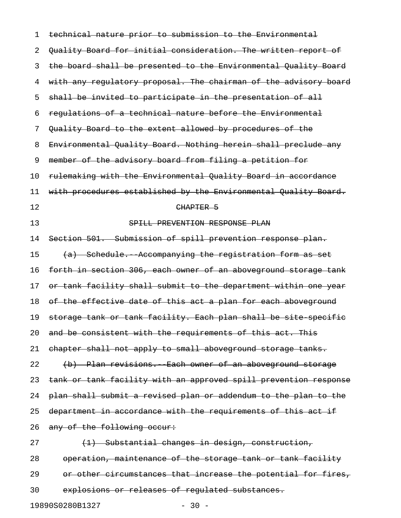| 1  | technical nature prior to submission to the Environmental        |
|----|------------------------------------------------------------------|
| 2  | Quality Board for initial consideration. The written report of   |
| 3  | the board shall be presented to the Environmental Quality Board  |
| 4  | with any regulatory proposal. The chairman of the advisory board |
| 5  | shall be invited to participate in the presentation of all       |
| 6  | requlations of a technical nature before the Environmental       |
| 7  | Quality Board to the extent allowed by procedures of the         |
| 8  | Environmental Quality Board. Nothing herein shall preclude any   |
| 9  | member of the advisory board from filing a petition for          |
| 10 | rulemaking with the Environmental Quality Board in accordance    |
| 11 | with procedures established by the Environmental Quality Board.  |
| 12 | CHAPTER 5                                                        |
| 13 | SPILL PREVENTION RESPONSE PLAN                                   |
| 14 | Section 501. Submission of spill prevention response plan.       |
| 15 | (a) Schedule. Accompanying the registration form as set          |
| 16 | forth in section 306, each owner of an aboveground storage tank  |
| 17 | or tank facility shall submit to the department within one year  |
| 18 | of the effective date of this act a plan for each aboveground    |
| 19 | storage tank or tank facility. Each plan shall be site specific  |
| 20 | and be consistent with the requirements of this act. This        |
| 21 | chapter shall not apply to small aboveground storage tanks.      |
| 22 | (b) Plan revisions. Each owner of an aboveground storage         |
| 23 | tank or tank facility with an approved spill prevention response |
| 24 | plan shall submit a revised plan or addendum to the plan to the  |
| 25 | department in accordance with the requirements of this act if    |
| 26 | any of the following occur:                                      |
| 27 | (1) Substantial changes in design, construction,                 |
| 28 | operation, maintenance of the storage tank or tank facility      |
| 29 | or other circumstances that increase the potential for fires,    |
| 30 | explosions or releases of regulated substances.                  |

19890S0280B1327 - 30 -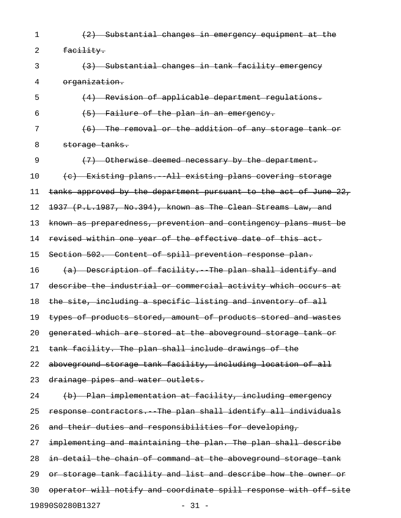1 (2) Substantial changes in emergency equipment at the 2 facility. 3 (3) Substantial changes in tank facility emergency 4 organization. 5 (4) Revision of applicable department regulations.  $(5)$  Failure of the plan in an emergency. 7 (6) The removal or the addition of any storage tank or 8 storage tanks. 9 (7) Otherwise deemed necessary by the department. 10 (c) Existing plans. All existing plans covering storage 11 tanks approved by the department pursuant to the act of June 22, 12 1937 (P.L.1987, No.394), known as The Clean Streams Law, and 13 known as preparedness, prevention and contingency plans must be 14 revised within one year of the effective date of this act. 15 Section 502. Content of spill prevention response plan. 16  $(a)$  Description of facility. The plan shall identify and 17 describe the industrial or commercial activity which occurs at 18 the site, including a specific listing and inventory of all 19 types of products stored, amount of products stored and wastes 20 generated which are stored at the aboveground storage tank or 21 tank facility. The plan shall include drawings of the 22 aboveground storage tank facility, including location of all 23 drainage pipes and water outlets. 24 (b) Plan implementation at facility, including emergency 25 response contractors. The plan shall identify all individuals 26 and their duties and responsibilities for developing, 27 implementing and maintaining the plan. The plan shall describe 28 in detail the chain of command at the aboveground storage tank 29 or storage tank facility and list and describe how the owner or 30 operator will notify and coordinate spill response with off-site

19890S0280B1327 - 31 -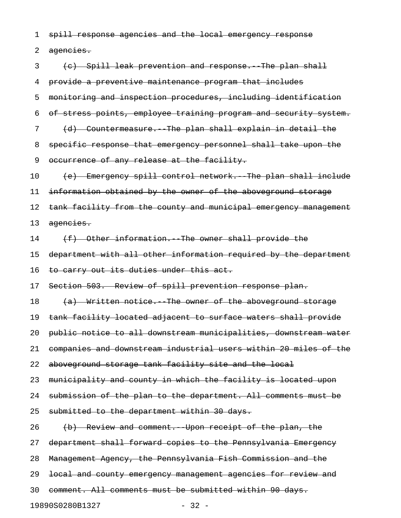1 spill response agencies and the local emergency response

2 agencies.

3 (e) Spill leak prevention and response. The plan shall 4 provide a preventive maintenance program that includes 5 monitoring and inspection procedures, including identification 6 of stress points, employee training program and security system. 7 (d) Countermeasure. The plan shall explain in detail the 8 specific response that emergency personnel shall take upon the 9 occurrence of any release at the facility. 10 (e) Emergency spill control network. The plan shall include 11 information obtained by the owner of the aboveground storage 12 tank facility from the county and municipal emergency management 13 agencies.  $14$  (f) Other information. The owner shall provide the 15 department with all other information required by the department 16 to carry out its duties under this act. 17 Section 503. Review of spill prevention response plan. 18 (a) Written notice. The owner of the aboveground storage 19 tank facility located adjacent to surface waters shall provide 20 public notice to all downstream municipalities, downstream water 21 companies and downstream industrial users within 20 miles of the 22 aboveground storage tank facility site and the local 23 municipality and county in which the facility is located upon 24 submission of the plan to the department. All comments must be 25 submitted to the department within 30 days. 26 (b) Review and comment. Upon receipt of the plan, the 27 department shall forward copies to the Pennsylvania Emergency 28 Management Agency, the Pennsylvania Fish Commission and the 29 <del>local and county emergency management agencies for review and</del> 30 comment. All comments must be submitted within 90 days. 19890S0280B1327 - 32 -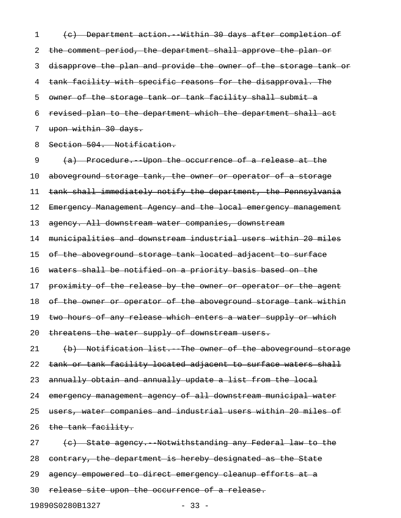1 (c) Department action. Within 30 days after completion of 2 the comment period, the department shall approve the plan or 3 disapprove the plan and provide the owner of the storage tank or 4 tank facility with specific reasons for the disapproval. The 5 owner of the storage tank or tank facility shall submit a 6 revised plan to the department which the department shall act 7 upon within 30 days.

8 Section 504. Notification.

9 (a) Procedure. Upon the occurrence of a release at the 10 aboveground storage tank, the owner or operator of a storage 11 tank shall immediately notify the department, the Pennsylvania 12 Emergency Management Agency and the local emergency management 13 agency. All downstream water companies, downstream 14 municipalities and downstream industrial users within 20 miles 15 of the aboveground storage tank located adjacent to surface 16 waters shall be notified on a priority basis based on the 17 proximity of the release by the owner or operator or the agent 18 of the owner or operator of the aboveground storage tank within 19 two hours of any release which enters a water supply or which 20 threatens the water supply of downstream users. 21 (b) Notification list. The owner of the aboveground storage 22 tank or tank facility located adjacent to surface waters shall 23 annually obtain and annually update a list from the local 24 emergency management agency of all downstream municipal water 25 users, water companies and industrial users within 20 miles of 26 the tank facility. 27 (c) State agency. Notwithstanding any Federal law to the 28 contrary, the department is hereby designated as the State 29 agency empowered to direct emergency cleanup efforts at a 30 release site upon the occurrence of a release.

19890S0280B1327 - 33 -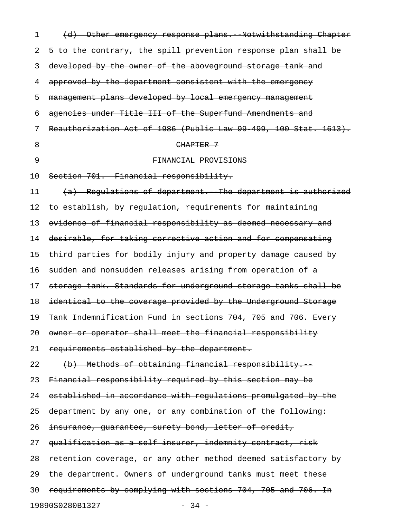| 1  | (d) Other emergency response plans. Notwithstanding Chapter      |
|----|------------------------------------------------------------------|
| 2  | 5 to the contrary, the spill prevention response plan shall be   |
| 3  | developed by the owner of the aboveground storage tank and       |
| 4  | approved by the department consistent with the emergency         |
| 5  | management plans developed by local emergency management         |
| 6  | agencies under Title III of the Superfund Amendments and         |
| 7  | Reauthorization Act of 1986 (Public Law 99 499, 100 Stat. 1613). |
| 8  | CHAPTER 7                                                        |
| 9  | FINANCIAL PROVISIONS                                             |
| 10 | Section 701. Financial responsibility.                           |
| 11 | (a) Regulations of department. The department is authorized      |
| 12 | to establish, by regulation, requirements for maintaining        |
| 13 | evidence of financial responsibility as deemed necessary and     |
| 14 | desirable, for taking corrective action and for compensating     |
| 15 | third parties for bodily injury and property damage caused by    |
| 16 | sudden and nonsudden releases arising from operation of a        |
| 17 | storage tank. Standards for underground storage tanks shall be   |
| 18 | identical to the coverage provided by the Underground Storage    |
| 19 | Tank Indemnification Fund in sections 704, 705 and 706. Every    |
| 20 | owner or operator shall meet the financial responsibility        |
| 21 | requirements established by the department.                      |
| 22 | (b) Methods of obtaining financial responsibility.               |
| 23 | Financial responsibility required by this section may be         |
| 24 | established in accordance with regulations promulgated by the    |
| 25 | department by any one, or any combination of the following:      |
| 26 | insurance, guarantee, surety bond, letter of credit,             |
| 27 | qualification as a self insurer, indemnity contract, risk        |
| 28 | retention coverage, or any other method deemed satisfactory by   |
| 29 | the department. Owners of underground tanks must meet these      |
| 30 | requirements by complying with sections 704, 705 and 706. In     |
|    | 19890S0280B1327<br>$-34 -$                                       |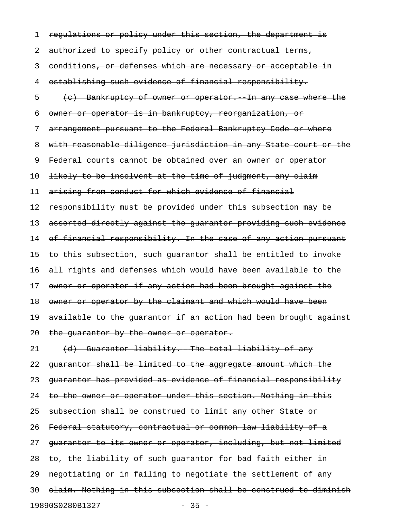1 regulations or policy under this section, the department is 2 authorized to specify policy or other contractual terms, 3 conditions, or defenses which are necessary or acceptable in 4 establishing such evidence of financial responsibility. 5 (c) Bankruptcy of owner or operator. In any case where the 6 owner or operator is in bankruptcy, reorganization, or 7 arrangement pursuant to the Federal Bankruptcy Code or where 8 with reasonable diligence jurisdiction in any State court or the 9 Federal courts cannot be obtained over an owner or operator 10 likely to be insolvent at the time of judgment, any claim 11 arising from conduct for which evidence of financial 12 responsibility must be provided under this subsection may be 13 asserted directly against the guarantor providing such evidence 14 of financial responsibility. In the case of any action pursuant 15 to this subsection, such guarantor shall be entitled to invoke 16 all rights and defenses which would have been available to the 17 owner or operator if any action had been brought against the 18 owner or operator by the claimant and which would have been 19 available to the quarantor if an action had been brought against 20 the guarantor by the owner or operator. 21 (d) Guarantor liability. The total liability of any 22 guarantor shall be limited to the aggregate amount which the 23 guarantor has provided as evidence of financial responsibility 24 to the owner or operator under this section. Nothing in this 25 subsection shall be construed to limit any other State or 26 Federal statutory, contractual or common law liability of a 27 quarantor to its owner or operator, including, but not limited 28 to, the liability of such guarantor for bad faith either in 29 negotiating or in failing to negotiate the settlement of any 30 claim. Nothing in this subsection shall be construed to diminish

19890S0280B1327 - 35 -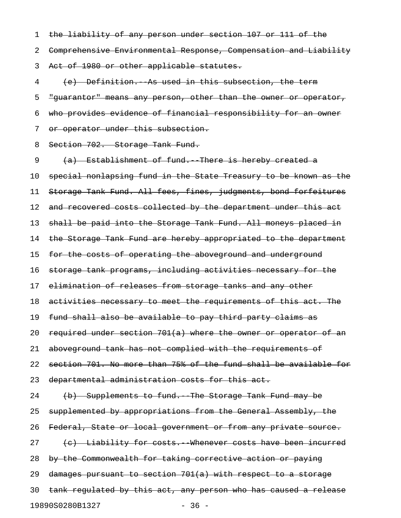1 the liability of any person under section 107 or 111 of the 2 Comprehensive Environmental Response, Compensation and Liability 3 Act of 1980 or other applicable statutes.

4 (e) Definition. As used in this subsection, the term 5 "guarantor" means any person, other than the owner or operator, 6 who provides evidence of financial responsibility for an owner 7 or operator under this subsection.

8 Section 702. Storage Tank Fund.

9 (a) Establishment of fund. There is hereby created a 10 special nonlapsing fund in the State Treasury to be known as the 11 Storage Tank Fund. All fees, fines, judgments, bond forfeitures 12 and recovered costs collected by the department under this act 13 shall be paid into the Storage Tank Fund. All moneys placed in 14 the Storage Tank Fund are hereby appropriated to the department 15 for the costs of operating the aboveground and underground 16 storage tank programs, including activities necessary for the 17 elimination of releases from storage tanks and any other 18 activities necessary to meet the requirements of this act. The 19 fund shall also be available to pay third party claims as 20 required under section  $701(a)$  where the owner or operator of an 21 aboveground tank has not complied with the requirements of 22 section 701. No more than 75% of the fund shall be available for 23 departmental administration costs for this act. 24 (b) Supplements to fund. The Storage Tank Fund may be 25 supplemented by appropriations from the General Assembly, the 26 Federal, State or local government or from any private source. 27 (c) Liability for costs. Whenever costs have been incurred 28 by the Commonwealth for taking corrective action or paying 29 damages pursuant to section 701(a) with respect to a storage 30 tank regulated by this act, any person who has caused a release 19890S0280B1327 - 36 -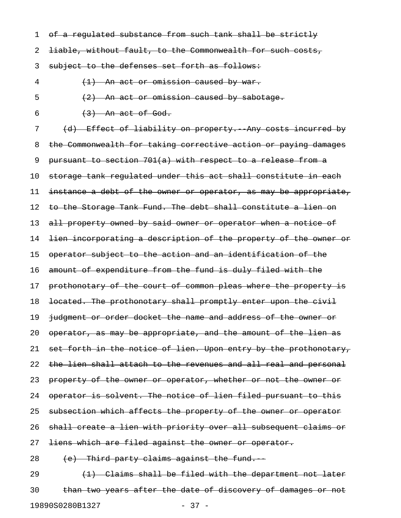1 of a regulated substance from such tank shall be strictly

2 <del>liable, without fault, to the Commonwealth for such costs,</del>

3 subject to the defenses set forth as follows:

4 (1) An act or omission caused by war.

 $\frac{1}{2}$  An act or omission caused by sabotage.

6  $(3)$  An act of God.

7 (d) Effect of liability on property. Any costs incurred by 8 the Commonwealth for taking corrective action or paying damages 9 pursuant to section 701(a) with respect to a release from a 10 storage tank regulated under this act shall constitute in each 11 instance a debt of the owner or operator, as may be appropriate, 12 to the Storage Tank Fund. The debt shall constitute a lien on 13 all property owned by said owner or operator when a notice of 14 <del>lien incorporating a description of the property of the owner or</del> 15 operator subject to the action and an identification of the 16 amount of expenditure from the fund is duly filed with the 17 prothonotary of the court of common pleas where the property is 18 located. The prothonotary shall promptly enter upon the civil 19 judgment or order docket the name and address of the owner or 20 operator, as may be appropriate, and the amount of the lien as 21 set forth in the notice of lien. Upon entry by the prothonotary, 22 the lien shall attach to the revenues and all real and personal 23 property of the owner or operator, whether or not the owner or 24 operator is solvent. The notice of lien filed pursuant to this 25 subsection which affects the property of the owner or operator 26 shall create a lien with priority over all subsequent claims or 27 <del>liens which are filed against the owner or operator.</del>  $28$  (e) Third party claims against the fund. 29  $(1)$  Claims shall be filed with the department not later

30 than two years after the date of discovery of damages or not 19890S0280B1327 - 37 -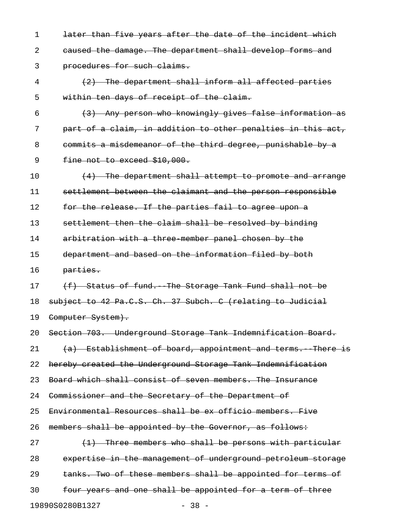1 later than five years after the date of the incident which 2 caused the damage. The department shall develop forms and 3 procedures for such claims. 4 (2) The department shall inform all affected parties 5 within ten days of receipt of the claim.  $(3)$  Any person who knowingly gives false information as 7 part of a claim, in addition to other penalties in this act, 8 commits a misdemeanor of the third degree, punishable by a 9 fine not to exceed \$10,000. 10  $(4)$  The department shall attempt to promote and arrange 11 settlement between the claimant and the person responsible 12 for the release. If the parties fail to agree upon a 13 settlement then the claim shall be resolved by binding 14 arbitration with a three member panel chosen by the 15 department and based on the information filed by both 16 parties. 17 (f) Status of fund. The Storage Tank Fund shall not be 18 subject to 42 Pa.C.S. Ch. 37 Subch. C (relating to Judicial 19 Computer System). 20 Section 703. Underground Storage Tank Indemnification Board.  $21$   $(a)$  Establishment of board, appointment and terms. There is 22 hereby created the Underground Storage Tank Indemnification 23 Board which shall consist of seven members. The Insurance 24 Commissioner and the Secretary of the Department of 25 Environmental Resources shall be ex officio members. Five 26 members shall be appointed by the Governor, as follows: 27  $(1)$  Three members who shall be persons with particular 28 expertise in the management of underground petroleum storage 29 tanks. Two of these members shall be appointed for terms of 30 four years and one shall be appointed for a term of three

19890S0280B1327 - 38 -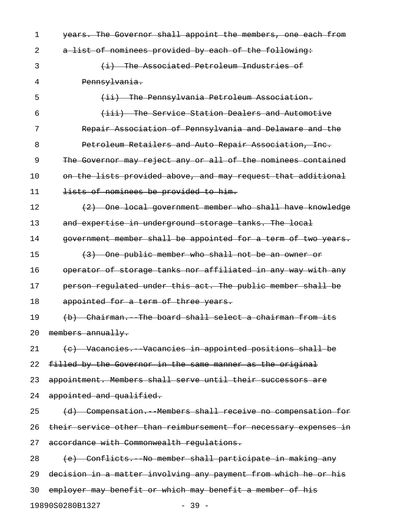1 years. The Governor shall appoint the members, one each from 2 a list of nominees provided by each of the following: 3 (i) The Associated Petroleum Industries of 4 Pennsylvania. 5 (ii) The Pennsylvania Petroleum Association. 6 (iii) The Service Station Dealers and Automotive 7 Repair Association of Pennsylvania and Delaware and the 8 Petroleum Retailers and Auto Repair Association, Inc. 9 The Governor may reject any or all of the nominees contained 10 on the lists provided above, and may request that additional 11 lists of nominees be provided to him. 12 (2) One local government member who shall have knowledge 13 and expertise in underground storage tanks. The local 14 government member shall be appointed for a term of two years. 15 (3) One public member who shall not be an owner or 16 operator of storage tanks nor affiliated in any way with any 17 person regulated under this act. The public member shall be 18 appointed for a term of three years. 19 (b) Chairman. The board shall select a chairman from its 20 members annually. 21 (c) Vacancies. Vacancies in appointed positions shall be 22 filled by the Governor in the same manner as the original 23 appointment. Members shall serve until their successors are 24 appointed and qualified. 25 (d) Compensation. Members shall receive no compensation for 26 their service other than reimbursement for necessary expenses in 27 accordance with Commonwealth requlations. 28 (e) Conflicts. No member shall participate in making any 29 decision in a matter involving any payment from which he or his 30 employer may benefit or which may benefit a member of his

19890S0280B1327 - 39 -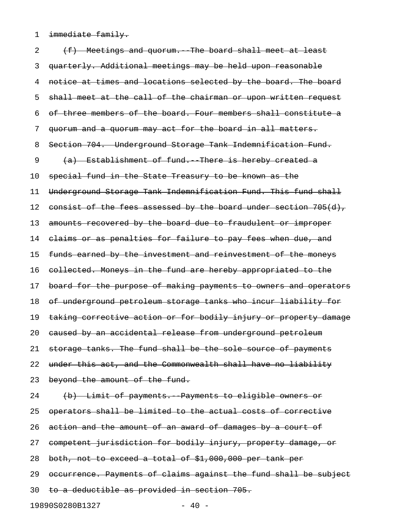1 immediate family.

2 (f) Meetings and quorum. The board shall meet at least 3 quarterly. Additional meetings may be held upon reasonable 4 notice at times and locations selected by the board. The board 5 shall meet at the call of the chairman or upon written request 6 of three members of the board. Four members shall constitute a 7 quorum and a quorum may act for the board in all matters. 8 Section 704. Underground Storage Tank Indemnification Fund. 9 (a) Establishment of fund. There is hereby created a 10 special fund in the State Treasury to be known as the 11 Underground Storage Tank Indemnification Fund. This fund shall 12 consist of the fees assessed by the board under section 705(d), 13 amounts recovered by the board due to fraudulent or improper 14 claims or as penalties for failure to pay fees when due, and 15 funds earned by the investment and reinvestment of the moneys 16 collected. Moneys in the fund are hereby appropriated to the 17 board for the purpose of making payments to owners and operators 18 of underground petroleum storage tanks who incur liability for 19 taking corrective action or for bodily injury or property damage 20 caused by an accidental release from underground petroleum 21 storage tanks. The fund shall be the sole source of payments 22 under this act, and the Commonwealth shall have no liability 23 beyond the amount of the fund. 24 (b) Limit of payments. Payments to eligible owners or 25 operators shall be limited to the actual costs of corrective 26 action and the amount of an award of damages by a court of 27 competent jurisdiction for bodily injury, property damage, or 28 both, not to exceed a total of \$1,000,000 per tank per 29 occurrence. Payments of claims against the fund shall be subject 30 to a deductible as provided in section 705. 19890S0280B1327 - 40 -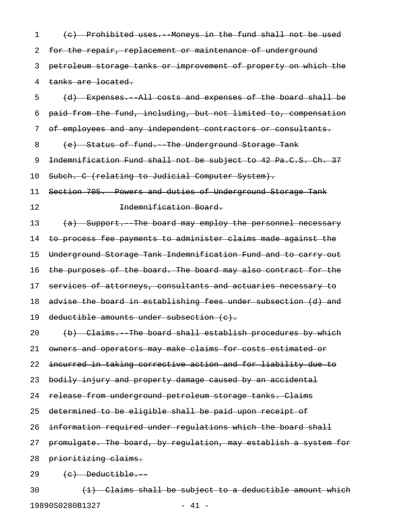1 (c) Prohibited uses. Moneys in the fund shall not be used 2 for the repair, replacement or maintenance of underground 3 petroleum storage tanks or improvement of property on which the 4 tanks are located.

5 (d) Expenses.--All costs and expenses of the board shall be 6 paid from the fund, including, but not limited to, compensation 7 of employees and any independent contractors or consultants.

8 (e) Status of fund. The Underground Storage Tank

9 Indemnification Fund shall not be subject to 42 Pa.C.S. Ch. 37

10 Subch. C (relating to Judicial Computer System).

11 Section 705. Powers and duties of Underground Storage Tank 12 **Indemnification Board.** 

13 (a) Support. The board may employ the personnel necessary 14 to process fee payments to administer claims made against the 15 Underground Storage Tank Indemnification Fund and to carry out 16 the purposes of the board. The board may also contract for the 17 services of attorneys, consultants and actuaries necessary to 18 advise the board in establishing fees under subsection (d) and 19 deductible amounts under subsection (c).

20 (b) Claims. The board shall establish procedures by which 21 owners and operators may make claims for costs estimated or

22 incurred in taking corrective action and for liability due to

23 bodily injury and property damage caused by an accidental

24 release from underground petroleum storage tanks. Claims

25 determined to be eligible shall be paid upon receipt of

26 information required under regulations which the board shall

27 promulgate. The board, by requlation, may establish a system for

28 prioritizing claims.

 $29 \t(e)$  Deductible.

 $30$   $(1)$  Claims shall be subject to a deductible amount which 19890S0280B1327 - 41 -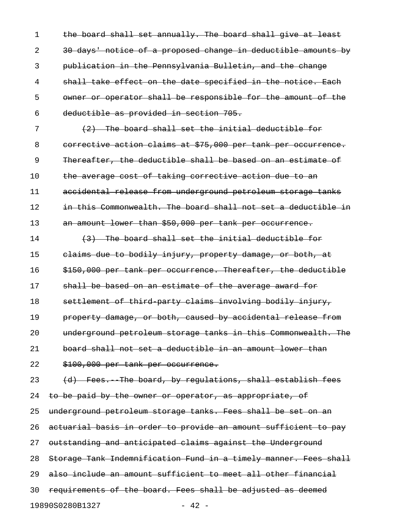1 the board shall set annually. The board shall give at least 2 30 days' notice of a proposed change in deductible amounts by 3 publication in the Pennsylvania Bulletin, and the change 4 shall take effect on the date specified in the notice. Each 5 owner or operator shall be responsible for the amount of the 6 deductible as provided in section 705.

7 (2) The board shall set the initial deductible for 8 corrective action claims at \$75,000 per tank per occurrence. 9 Thereafter, the deductible shall be based on an estimate of 10 the average cost of taking corrective action due to an 11 accidental release from underground petroleum storage tanks 12 in this Commonwealth. The board shall not set a deductible in 13 an amount lower than \$50,000 per tank per occurrence.

14 (3) The board shall set the initial deductible for 15 claims due to bodily injury, property damage, or both, at 16 \$150,000 per tank per occurrence. Thereafter, the deductible 17 shall be based on an estimate of the average award for 18 settlement of third-party claims involving bodily injury, 19 **property damage, or both, caused by accidental release from** 20 underground petroleum storage tanks in this Commonwealth. The 21 board shall not set a deductible in an amount lower than 22 \$100,000 per tank per occurrence.

23 (d) Fees. The board, by regulations, shall establish fees 24 to be paid by the owner or operator, as appropriate, of 25 underground petroleum storage tanks. Fees shall be set on an 26 actuarial basis in order to provide an amount sufficient to pay 27 outstanding and anticipated claims against the Underground 28 Storage Tank Indemnification Fund in a timely manner. Fees shall 29 also include an amount sufficient to meet all other financial 30 requirements of the board. Fees shall be adjusted as deemed 19890S0280B1327 - 42 -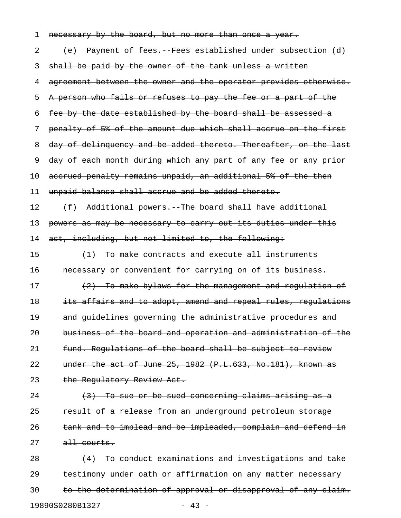| 1  | necessary by the board, but no more than once a year.            |
|----|------------------------------------------------------------------|
| 2  | (e) Payment of fees. Fees established under subsection (d)       |
| 3  | shall be paid by the owner of the tank unless a written          |
| 4  | agreement between the owner and the operator provides otherwise. |
| 5  | A person who fails or refuses to pay the fee or a part of the    |
| 6  | fee by the date established by the board shall be assessed a     |
| 7  | penalty of 5% of the amount due which shall accrue on the first  |
| 8  | day of delinquency and be added thereto. Thereafter, on the last |
| 9  | day of each month during which any part of any fee or any prior  |
| 10 | accrued penalty remains unpaid, an additional 5% of the then     |
| 11 | unpaid balance shall accrue and be added thereto.                |
| 12 | (f) Additional powers. The board shall have additional           |
| 13 | powers as may be necessary to carry out its duties under this    |
| 14 | act, including, but not limited to, the following:               |
| 15 | $(1)$ To make contracts and execute all instruments              |
| 16 | necessary or convenient for carrying on of its business.         |
| 17 | (2) To make bylaws for the management and regulation of          |
| 18 | its affairs and to adopt, amend and repeal rules, regulations    |
| 19 | and guidelines governing the administrative procedures and       |
| 20 | business of the board and operation and administration of the    |
| 21 | fund. Regulations of the board shall be subject to review        |
| 22 | under the act of June 25, 1982 (P.L.633, No.181), known as       |
| 23 | the Regulatory Review Act.                                       |
| 24 | $(3)$ To sue or be sued concerning claims arising as a           |
| 25 | result of a release from an underground petroleum storage        |
| 26 | tank and to implead and be impleaded, complain and defend in     |
| 27 | all courts.                                                      |
| 28 | (4) To conduct examinations and investigations and take          |
| 29 | testimony under oath or affirmation on any matter necessary      |
| 30 | to the determination of approval or disapproval of any claim.    |

19890S0280B1327 - 43 -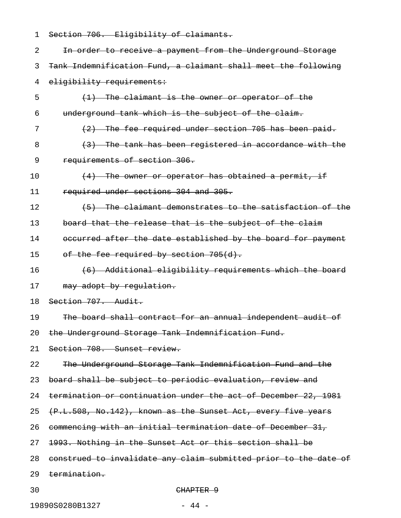| 1  | Section 706. Eligibility of claimants.                           |
|----|------------------------------------------------------------------|
| 2  | In order to receive a payment from the Underground Storage       |
| 3  | Tank Indemnification Fund, a claimant shall meet the following   |
| 4  | eligibility requirements:                                        |
| 5  | (1) The claimant is the owner or operator of the                 |
| 6  | underground tank which is the subject of the claim.              |
| 7  | (2) The fee required under section 705 has been paid.            |
| 8  | (3) The tank has been registered in accordance with the          |
| 9  | requirements of section 306.                                     |
| 10 | $(4)$ The owner or operator has obtained a permit, if            |
| 11 | required under sections 304 and 305.                             |
| 12 | (5) The claimant demonstrates to the satisfaction of the         |
| 13 | board that the release that is the subject of the claim          |
| 14 | occurred after the date established by the board for payment     |
| 15 | of the fee required by section 705(d).                           |
| 16 | (6) Additional eligibility requirements which the board          |
| 17 | may adopt by regulation.                                         |
| 18 | Section 707. Audit.                                              |
| 19 | The board shall contract for an annual independent audit of      |
| 20 | the Underground Storage Tank Indemnification Fund.               |
| 21 | Section 708. Sunset review.                                      |
| 22 | The Underground Storage Tank Indemnification Fund and the        |
| 23 | board shall be subject to periodic evaluation, review and        |
| 24 | termination or continuation under the act of December 22, 1981   |
| 25 | (P.L.508, No.142), known as the Sunset Act, every five years     |
| 26 | commencing with an initial termination date of December 31,      |
| 27 | 1993. Nothing in the Sunset Act or this section shall be         |
| 28 | construed to invalidate any claim submitted prior to the date of |
| 29 | <del>termination.</del>                                          |
| 30 | CHAPTER 9                                                        |

19890S0280B1327 - 44 -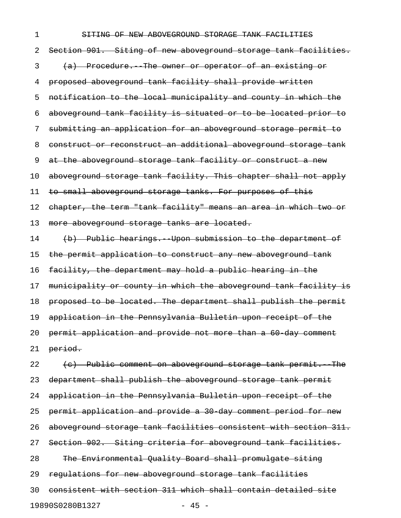## 1 SHTING OF NEW ABOVEGROUND STORAGE TANK FACILITIES

2 Section 901. Siting of new aboveground storage tank facilities. 3 (a) Procedure. The owner or operator of an existing or 4 proposed aboveground tank facility shall provide written 5 notification to the local municipality and county in which the 6 aboveground tank facility is situated or to be located prior to 7 submitting an application for an aboveground storage permit to 8 construct or reconstruct an additional aboveground storage tank 9 at the aboveground storage tank facility or construct a new 10 aboveground storage tank facility. This chapter shall not apply 11 to small aboveground storage tanks. For purposes of this 12 chapter, the term "tank facility" means an area in which two or 13 more aboveground storage tanks are located. 14 (b) Public hearings. Upon submission to the department of 15 the permit application to construct any new aboveground tank 16 facility, the department may hold a public hearing in the 17 municipality or county in which the aboveground tank facility is 18 proposed to be located. The department shall publish the permit 19 application in the Pennsylvania Bulletin upon receipt of the 20 permit application and provide not more than a 60-day comment

21 period.

22 (c) Public comment on aboveground storage tank permit. The 23 department shall publish the aboveground storage tank permit 24 application in the Pennsylvania Bulletin upon receipt of the 25 permit application and provide a 30 day comment period for new 26 aboveground storage tank facilities consistent with section 311. 27 Section 902. Siting criteria for aboveground tank facilities. 28 The Environmental Quality Board shall promulgate siting 29 regulations for new aboveground storage tank facilities 30 consistent with section 311 which shall contain detailed site 19890S0280B1327 - 45 -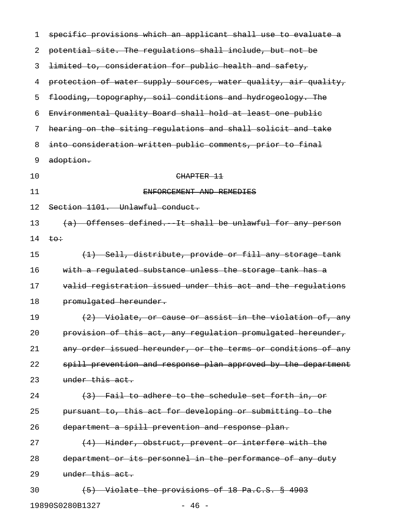| 1  | specific provisions which an applicant shall use to evaluate a  |
|----|-----------------------------------------------------------------|
| 2  | potential site. The regulations shall include, but not be       |
| 3  | limited to, consideration for public health and safety,         |
| 4  | protection of water supply sources, water quality, air quality, |
| 5  | flooding, topography, soil conditions and hydrogeology. The     |
| 6  | Environmental Quality Board shall hold at least one public      |
| 7  | hearing on the siting regulations and shall solicit and take    |
| 8  | into consideration written public comments, prior to final      |
| 9  | adoption.                                                       |
| 10 | CHAPTER 11                                                      |
| 11 | ENFORCEMENT AND REMEDIES                                        |
| 12 | Section 1101. Unlawful conduct.                                 |
| 13 | Offenses defined. It shall be unlawful for any person           |
| 14 | $t\Theta \div$                                                  |
| 15 | (1) Sell, distribute, provide or fill any storage tank          |
| 16 | with a regulated substance unless the storage tank has a        |
| 17 | valid registration issued under this act and the regulations    |
| 18 | promulgated hereunder.                                          |
| 19 | (2) Violate, or cause or assist in the violation of, any        |
| 20 | provision of this act, any regulation promulgated hereunder,    |
| 21 | any order issued hereunder, or the terms or conditions of any   |
| 22 | spill prevention and response plan approved by the department   |
| 23 | under this act.                                                 |
| 24 | (3) Fail to adhere to the schedule set forth in, or             |
| 25 | pursuant to, this act for developing or submitting to the       |
| 26 | department a spill prevention and response plan.                |
| 27 | (4) Hinder, obstruct, prevent or interfere with the             |
| 28 | department or its personnel in the performance of any duty      |
| 29 | under this act.                                                 |
| 30 | (5) Violate the provisions of 18 Pa.C.S. § 4903                 |
|    | 19890S0280B1327<br>46 -                                         |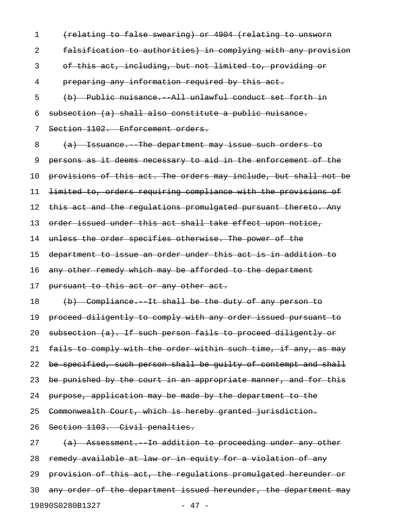1 (relating to false swearing) or 4904 (relating to unsworn 2 falsification to authorities) in complying with any provision 3 of this act, including, but not limited to, providing or 4 preparing any information required by this act. 5 (b) Public nuisance.--All unlawful conduct set forth in 6 subsection (a) shall also constitute a public nuisance. 7 Section 1102. Enforcement orders. 8 (a) Issuance. The department may issue such orders to 9 persons as it deems necessary to aid in the enforcement of the 10 provisions of this act. The orders may include, but shall not be 11 limited to, orders requiring compliance with the provisions of 12 this act and the regulations promulgated pursuant thereto. Any 13 order issued under this act shall take effect upon notice, 14 unless the order specifies otherwise. The power of the 15 department to issue an order under this act is in addition to 16 any other remedy which may be afforded to the department 17 pursuant to this act or any other act. 18 (b) Compliance. It shall be the duty of any person to 19 proceed diligently to comply with any order issued pursuant to 20 subsection (a). If such person fails to proceed diligently or 21 fails to comply with the order within such time, if any, as may 22 be specified, such person shall be guilty of contempt and shall 23 be punished by the court in an appropriate manner, and for this 24 purpose, application may be made by the department to the 25 Commonwealth Court, which is hereby granted jurisdiction. 26 Section 1103. Civil penalties.  $27$  (a) Assessment. In addition to proceeding under any other 28 remedy available at law or in equity for a violation of any 29 provision of this act, the regulations promulgated hereunder or 30 any order of the department issued hereunder, the department may

19890S0280B1327 - 47 -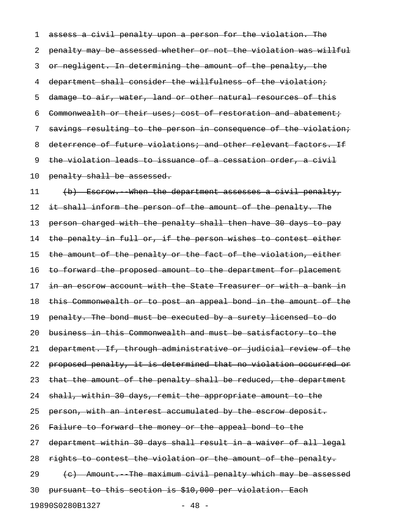1 assess a civil penalty upon a person for the violation. The 2 penalty may be assessed whether or not the violation was willful 3 or negligent. In determining the amount of the penalty, the 4 department shall consider the willfulness of the violation; 5 damage to air, water, land or other natural resources of this 6 Commonwealth or their uses; cost of restoration and abatement; 7 savings resulting to the person in consequence of the violation; 8 deterrence of future violations; and other relevant factors. If 9 the violation leads to issuance of a cessation order, a civil 10 penalty shall be assessed.

11 (b) Escrow. When the department assesses a civil penalty, 12 it shall inform the person of the amount of the penalty. The 13 person charged with the penalty shall then have 30 days to pay 14 the penalty in full or, if the person wishes to contest either 15 the amount of the penalty or the fact of the violation, either 16 to forward the proposed amount to the department for placement 17 in an escrow account with the State Treasurer or with a bank in 18 this Commonwealth or to post an appeal bond in the amount of the 19 penalty. The bond must be executed by a surety licensed to do 20 business in this Commonwealth and must be satisfactory to the 21 department. If, through administrative or judicial review of the 22 proposed penalty, it is determined that no violation occurred or 23 that the amount of the penalty shall be reduced, the department 24 shall, within 30 days, remit the appropriate amount to the 25 person, with an interest accumulated by the escrow deposit. 26 Failure to forward the money or the appeal bond to the 27 department within 30 days shall result in a waiver of all legal 28 rights to contest the violation or the amount of the penalty.  $29$  (c) Amount. The maximum civil penalty which may be assessed 30 pursuant to this section is \$10,000 per violation. Each 19890S0280B1327 - 48 -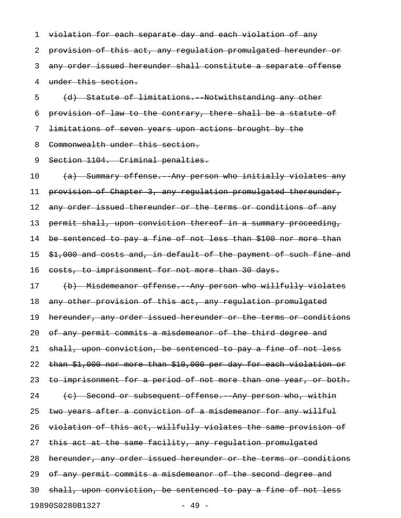1 violation for each separate day and each violation of any 2 provision of this act, any regulation promulgated hereunder or 3 any order issued hereunder shall constitute a separate offense 4 under this section.

5 (d) Statute of limitations. Notwithstanding any other 6 provision of law to the contrary, there shall be a statute of 7 limitations of seven years upon actions brought by the 8 Commonwealth under this section.

9 Section 1104. Criminal penalties.

10 (a) Summary offense. Any person who initially violates any 11 provision of Chapter 3, any regulation promulgated thereunder, 12 any order issued thereunder or the terms or conditions of any 13 permit shall, upon conviction thereof in a summary proceeding, 14 be sentenced to pay a fine of not less than \$100 nor more than 15 \$1,000 and costs and, in default of the payment of such fine and 16 costs, to imprisonment for not more than 30 days. 17 (b) Misdemeanor offense. Any person who willfully violates 18 any other provision of this act, any regulation promulgated 19 hereunder, any order issued hereunder or the terms or conditions 20 of any permit commits a misdemeanor of the third degree and 21 shall, upon conviction, be sentenced to pay a fine of not less 22 than \$1,000 nor more than \$10,000 per day for each violation or 23 to imprisonment for a period of not more than one year, or both.  $24$  (c) Second or subsequent offense. Any person who, within 25 two years after a conviction of a misdemeanor for any willful 26 violation of this act, willfully violates the same provision of 27 this act at the same facility, any regulation promulgated 28 hereunder, any order issued hereunder or the terms or conditions 29 of any permit commits a misdemeanor of the second degree and 30 shall, upon conviction, be sentenced to pay a fine of not less 19890S0280B1327 - 49 -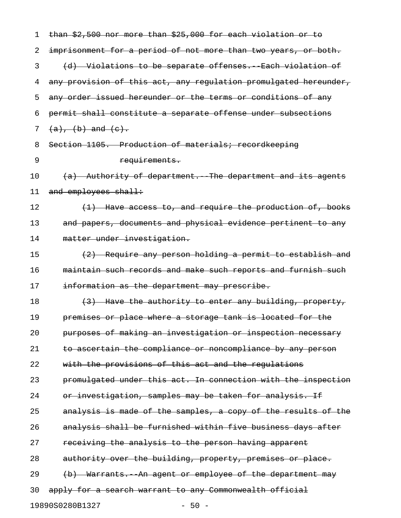| 1  | than \$2,500 nor more than \$25,000 for each violation or to     |
|----|------------------------------------------------------------------|
| 2  | imprisonment for a period of not more than two years, or both.   |
| 3  | (d) Violations to be separate offenses. Each violation of        |
| 4  | any provision of this act, any regulation promulgated hereunder, |
| 5  | any order issued hereunder or the terms or conditions of any     |
| 6  | permit shall constitute a separate offense under subsections     |
| 7  | $(a), (b)$ and $(e).$                                            |
| 8  | Section 1105. Production of materials; recordkeeping             |
| 9  | requirements.                                                    |
| 10 | (a) Authority of department. The department and its agents       |
| 11 | and employees shall:                                             |
| 12 | (1) Have access to, and require the production of, books         |
| 13 | and papers, documents and physical evidence pertinent to any     |
| 14 | matter under investigation.                                      |
| 15 | (2) Require any person holding a permit to establish and         |
| 16 | maintain such records and make such reports and furnish such     |
| 17 | information as the department may prescribe.                     |
| 18 | (3) Have the authority to enter any building, property,          |
| 19 | premises or place where a storage tank is located for the        |
| 20 | purposes of making an investigation or inspection necessary      |
| 21 | to ascertain the compliance or noncompliance by any person       |
| 22 | with the provisions of this act and the regulations              |
| 23 | promulgated under this act. In connection with the inspection    |
| 24 | or investigation, samples may be taken for analysis. If          |
| 25 | analysis is made of the samples, a copy of the results of the    |
| 26 | analysis shall be furnished within five business days after      |
| 27 | receiving the analysis to the person having apparent             |
| 28 | authority over the building, property, premises or place.        |
| 29 | (b) Warrants. An agent or employee of the department may         |
| 30 | apply for a search warrant to any Commonwealth official          |
|    | 19890S0280B1327<br>$-50 -$                                       |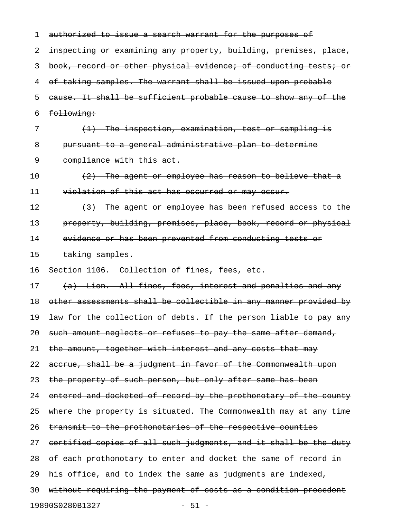| 1  | authorized to issue a search warrant for the purposes of         |
|----|------------------------------------------------------------------|
| 2  | inspecting or examining any property, building, premises, place, |
| 3  | book, record or other physical evidence; of conducting tests; or |
| 4  | of taking samples. The warrant shall be issued upon probable     |
| 5  | cause. It shall be sufficient probable cause to show any of the  |
| 6  | following:                                                       |
| 7  | <del>(1) The inspection, examination, test or sampling is</del>  |
| 8  | pursuant to a general administrative plan to determine           |
| 9  | compliance with this act.                                        |
| 10 | $(2)$ The agent or employee has reason to believe that a         |
| 11 | violation of this act has occurred or may occur.                 |
| 12 | (3) The agent or employee has been refused access to the         |
| 13 | property, building, premises, place, book, record or physical    |
| 14 | evidence or has been prevented from conducting tests or          |
| 15 | taking samples.                                                  |
| 16 | Section 1106. Collection of fines, fees, etc.                    |
| 17 | (a) Lien. All fines, fees, interest and penalties and any        |
| 18 | other assessments shall be collectible in any manner provided by |
| 19 | law for the collection of debts. If the person liable to pay any |
| 20 | such amount neglects or refuses to pay the same after demand,    |
| 21 | the amount, together with interest and any costs that may        |
| 22 | accrue, shall be a judgment in favor of the Commonwealth upon    |
| 23 | the property of such person, but only after same has been        |
| 24 | entered and docketed of record by the prothonotary of the county |
| 25 | where the property is situated. The Commonwealth may at any time |
| 26 | transmit to the prothonotaries of the respective counties        |
| 27 | certified copies of all such judgments, and it shall be the duty |
| 28 | of each prothonotary to enter and docket the same of record in   |
| 29 | his office, and to index the same as judgments are indexed,      |
| 30 | without requiring the payment of costs as a condition precedent  |
|    | 19890S0280B1327<br>$-51 -$                                       |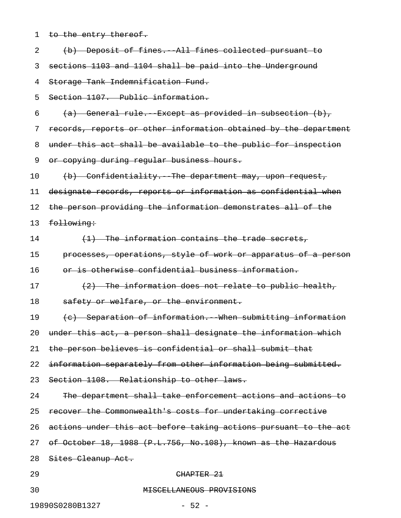| $\mathbf 1$ | to the entry thereof.                                            |
|-------------|------------------------------------------------------------------|
| 2           | (b) Deposit of fines. All fines collected pursuant to            |
| 3           | sections 1103 and 1104 shall be paid into the Underground        |
| 4           | Storage Tank Indemnification Fund.                               |
| 5           | Section 1107. Public information.                                |
| 6           | (a) General rule. Except as provided in subsection (b),          |
| 7           | records, reports or other information obtained by the department |
| 8           | under this act shall be available to the public for inspection   |
| 9           | or copying during regular business hours.                        |
| 10          | (b) Confidentiality. The department may, upon request,           |
| 11          | designate records, reports or information as confidential when   |
| 12          | the person providing the information demonstrates all of the     |
| 13          | following:                                                       |
| 14          | (1) The information contains the trade secrets,                  |
| 15          | processes, operations, style of work or apparatus of a person    |
| 16          | or is otherwise confidential business information.               |
| 17          | (2) The information does not relate to public health,            |
| 18          | safety or welfare, or the environment.                           |
| 19          | (c) Separation of information. When submitting information       |
| 20          | under this act, a person shall designate the information which   |
| 21          | the person believes is confidential or shall submit that         |
| 22          | information separately from other information being submitted.   |
| 23          | Section 1108. Relationship to other laws.                        |
| 24          | The department shall take enforcement actions and actions to     |
| 25          | recover the Commonwealth's costs for undertaking corrective      |
| 26          | actions under this act before taking actions pursuant to the act |
| 27          | of October 18, 1988 (P.L.756, No.108), known as the Hazardous    |
| 28          | Sites Cleanup Act.                                               |
| 29          | CHAPTER 21                                                       |
| 30          | MISCELLANEOUS PROVISIONS                                         |
|             | 19890S0280B1327<br>$-52 -$                                       |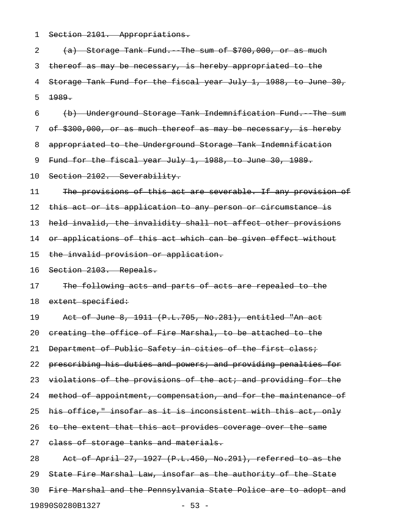1 Section 2101. Appropriations.

2  $(a)$  Storage Tank Fund. The sum of  $$700,000,$  or as much 3 thereof as may be necessary, is hereby appropriated to the 4 Storage Tank Fund for the fiscal year July 1, 1988, to June 30, 5 1989. 6 (b) Underground Storage Tank Indemnification Fund.--The sum 7 of \$300,000, or as much thereof as may be necessary, is hereby 8 appropriated to the Underground Storage Tank Indemnification 9 Fund for the fiscal year July 1, 1988, to June 30, 1989. 10 Section 2102. Severability. 11 The provisions of this act are severable. If any provision of 12 this act or its application to any person or circumstance is 13 held invalid, the invalidity shall not affect other provisions 14 or applications of this act which can be given effect without 15 the invalid provision or application. 16 Section 2103. Repeals. 17 The following acts and parts of acts are repealed to the 18 extent specified: 19 Act of June 8, 1911 (P.L.705, No.281), entitled "An act 20 creating the office of Fire Marshal, to be attached to the 21 Department of Public Safety in cities of the first class; 22 prescribing his duties and powers; and providing penalties for 23 violations of the provisions of the act; and providing for the 24 method of appointment, compensation, and for the maintenance of 25 his office," insofar as it is inconsistent with this act, only 26 to the extent that this act provides coverage over the same 27 elass of storage tanks and materials. 28 Act of April 27, 1927 (P.L.450, No.291), referred to as the 29 State Fire Marshal Law, insofar as the authority of the State 30 Fire Marshal and the Pennsylvania State Police are to adopt and 19890S0280B1327 - 53 -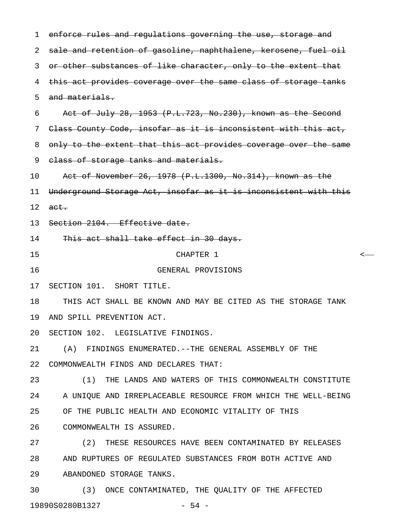1 enforce rules and regulations governing the use, storage and 2 sale and retention of gasoline, naphthalene, kerosene, fuel oil 3 or other substances of like character, only to the extent that 4 this act provides coverage over the same class of storage tanks 5 and materials. 6 Act of July 28, 1953  $(P.L.723, No.230)$ , known as the Second 7 Class County Code, insofar as it is inconsistent with this act, 8 only to the extent that this act provides coverage over the same 9 class of storage tanks and materials. 10 Act of November 26, 1978 (P.L.1300, No.314), known as the 11 Underground Storage Act, insofar as it is inconsistent with this  $12$  act. 13 Section 2104. Effective date. 14 This act shall take effect in 30 days. 15 CHAPTER 1 < 16 GENERAL PROVISIONS 17 SECTION 101. SHORT TITLE. 18 THIS ACT SHALL BE KNOWN AND MAY BE CITED AS THE STORAGE TANK 19 AND SPILL PREVENTION ACT. 20 SECTION 102. LEGISLATIVE FINDINGS. 21 (A) FINDINGS ENUMERATED.--THE GENERAL ASSEMBLY OF THE 22 COMMONWEALTH FINDS AND DECLARES THAT: 23 (1) THE LANDS AND WATERS OF THIS COMMONWEALTH CONSTITUTE 24 A UNIQUE AND IRREPLACEABLE RESOURCE FROM WHICH THE WELL-BEING 25 OF THE PUBLIC HEALTH AND ECONOMIC VITALITY OF THIS 26 COMMONWEALTH IS ASSURED. 27 (2) THESE RESOURCES HAVE BEEN CONTAMINATED BY RELEASES 28 AND RUPTURES OF REGULATED SUBSTANCES FROM BOTH ACTIVE AND 29 ABANDONED STORAGE TANKS. 30 (3) ONCE CONTAMINATED, THE QUALITY OF THE AFFECTED

19890S0280B1327 - 54 -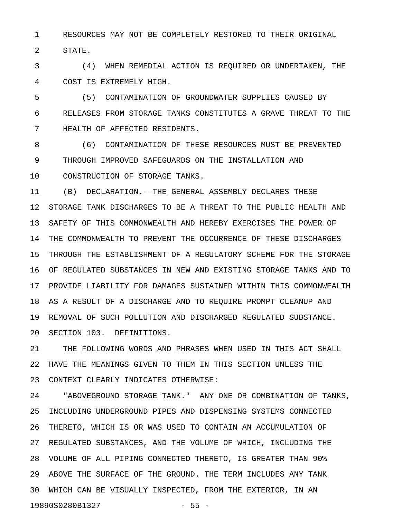1 RESOURCES MAY NOT BE COMPLETELY RESTORED TO THEIR ORIGINAL 2 STATE.

3 (4) WHEN REMEDIAL ACTION IS REQUIRED OR UNDERTAKEN, THE 4 COST IS EXTREMELY HIGH.

5 (5) CONTAMINATION OF GROUNDWATER SUPPLIES CAUSED BY 6 RELEASES FROM STORAGE TANKS CONSTITUTES A GRAVE THREAT TO THE 7 HEALTH OF AFFECTED RESIDENTS.

8 (6) CONTAMINATION OF THESE RESOURCES MUST BE PREVENTED 9 THROUGH IMPROVED SAFEGUARDS ON THE INSTALLATION AND 10 CONSTRUCTION OF STORAGE TANKS.

11 (B) DECLARATION.--THE GENERAL ASSEMBLY DECLARES THESE 12 STORAGE TANK DISCHARGES TO BE A THREAT TO THE PUBLIC HEALTH AND 13 SAFETY OF THIS COMMONWEALTH AND HEREBY EXERCISES THE POWER OF 14 THE COMMONWEALTH TO PREVENT THE OCCURRENCE OF THESE DISCHARGES 15 THROUGH THE ESTABLISHMENT OF A REGULATORY SCHEME FOR THE STORAGE 16 OF REGULATED SUBSTANCES IN NEW AND EXISTING STORAGE TANKS AND TO 17 PROVIDE LIABILITY FOR DAMAGES SUSTAINED WITHIN THIS COMMONWEALTH 18 AS A RESULT OF A DISCHARGE AND TO REQUIRE PROMPT CLEANUP AND 19 REMOVAL OF SUCH POLLUTION AND DISCHARGED REGULATED SUBSTANCE. 20 SECTION 103. DEFINITIONS.

21 THE FOLLOWING WORDS AND PHRASES WHEN USED IN THIS ACT SHALL 22 HAVE THE MEANINGS GIVEN TO THEM IN THIS SECTION UNLESS THE 23 CONTEXT CLEARLY INDICATES OTHERWISE:

24 "ABOVEGROUND STORAGE TANK." ANY ONE OR COMBINATION OF TANKS, 25 INCLUDING UNDERGROUND PIPES AND DISPENSING SYSTEMS CONNECTED 26 THERETO, WHICH IS OR WAS USED TO CONTAIN AN ACCUMULATION OF 27 REGULATED SUBSTANCES, AND THE VOLUME OF WHICH, INCLUDING THE 28 VOLUME OF ALL PIPING CONNECTED THERETO, IS GREATER THAN 90% 29 ABOVE THE SURFACE OF THE GROUND. THE TERM INCLUDES ANY TANK 30 WHICH CAN BE VISUALLY INSPECTED, FROM THE EXTERIOR, IN AN 19890S0280B1327 - 55 -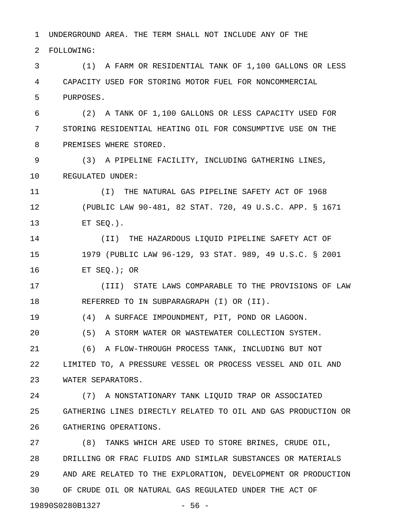1 UNDERGROUND AREA. THE TERM SHALL NOT INCLUDE ANY OF THE

2 FOLLOWING:

3 (1) A FARM OR RESIDENTIAL TANK OF 1,100 GALLONS OR LESS 4 CAPACITY USED FOR STORING MOTOR FUEL FOR NONCOMMERCIAL 5 PURPOSES.

6 (2) A TANK OF 1,100 GALLONS OR LESS CAPACITY USED FOR 7 STORING RESIDENTIAL HEATING OIL FOR CONSUMPTIVE USE ON THE 8 PREMISES WHERE STORED.

9 (3) A PIPELINE FACILITY, INCLUDING GATHERING LINES, 10 REGULATED UNDER:

11 (I) THE NATURAL GAS PIPELINE SAFETY ACT OF 1968 12 (PUBLIC LAW 90-481, 82 STAT. 720, 49 U.S.C. APP. § 1671 13 ET SEQ.).

14 (II) THE HAZARDOUS LIQUID PIPELINE SAFETY ACT OF 15 1979 (PUBLIC LAW 96-129, 93 STAT. 989, 49 U.S.C. § 2001 16 ET SEQ.); OR

17 (III) STATE LAWS COMPARABLE TO THE PROVISIONS OF LAW 18 REFERRED TO IN SUBPARAGRAPH (I) OR (II).

19 (4) A SURFACE IMPOUNDMENT, PIT, POND OR LAGOON.

20 (5) A STORM WATER OR WASTEWATER COLLECTION SYSTEM.

21 (6) A FLOW-THROUGH PROCESS TANK, INCLUDING BUT NOT 22 LIMITED TO, A PRESSURE VESSEL OR PROCESS VESSEL AND OIL AND 23 WATER SEPARATORS.

24 (7) A NONSTATIONARY TANK LIQUID TRAP OR ASSOCIATED 25 GATHERING LINES DIRECTLY RELATED TO OIL AND GAS PRODUCTION OR 26 GATHERING OPERATIONS.

27 (8) TANKS WHICH ARE USED TO STORE BRINES, CRUDE OIL, 28 DRILLING OR FRAC FLUIDS AND SIMILAR SUBSTANCES OR MATERIALS 29 AND ARE RELATED TO THE EXPLORATION, DEVELOPMENT OR PRODUCTION 30 OF CRUDE OIL OR NATURAL GAS REGULATED UNDER THE ACT OF 19890S0280B1327 - 56 -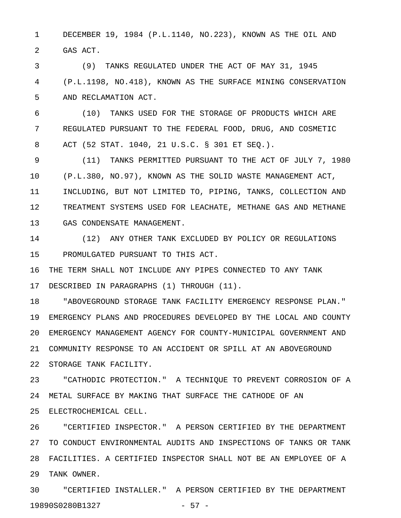1 DECEMBER 19, 1984 (P.L.1140, NO.223), KNOWN AS THE OIL AND 2 GAS ACT.

3 (9) TANKS REGULATED UNDER THE ACT OF MAY 31, 1945 4 (P.L.1198, NO.418), KNOWN AS THE SURFACE MINING CONSERVATION 5 AND RECLAMATION ACT.

6 (10) TANKS USED FOR THE STORAGE OF PRODUCTS WHICH ARE 7 REGULATED PURSUANT TO THE FEDERAL FOOD, DRUG, AND COSMETIC 8 ACT (52 STAT. 1040, 21 U.S.C. § 301 ET SEQ.).

9 (11) TANKS PERMITTED PURSUANT TO THE ACT OF JULY 7, 1980 10 (P.L.380, NO.97), KNOWN AS THE SOLID WASTE MANAGEMENT ACT, 11 INCLUDING, BUT NOT LIMITED TO, PIPING, TANKS, COLLECTION AND 12 TREATMENT SYSTEMS USED FOR LEACHATE, METHANE GAS AND METHANE 13 GAS CONDENSATE MANAGEMENT.

14 (12) ANY OTHER TANK EXCLUDED BY POLICY OR REGULATIONS 15 PROMULGATED PURSUANT TO THIS ACT.

16 THE TERM SHALL NOT INCLUDE ANY PIPES CONNECTED TO ANY TANK 17 DESCRIBED IN PARAGRAPHS (1) THROUGH (11).

18 "ABOVEGROUND STORAGE TANK FACILITY EMERGENCY RESPONSE PLAN." 19 EMERGENCY PLANS AND PROCEDURES DEVELOPED BY THE LOCAL AND COUNTY 20 EMERGENCY MANAGEMENT AGENCY FOR COUNTY-MUNICIPAL GOVERNMENT AND 21 COMMUNITY RESPONSE TO AN ACCIDENT OR SPILL AT AN ABOVEGROUND 22 STORAGE TANK FACILITY.

23 "CATHODIC PROTECTION." A TECHNIQUE TO PREVENT CORROSION OF A 24 METAL SURFACE BY MAKING THAT SURFACE THE CATHODE OF AN 25 ELECTROCHEMICAL CELL.

26 "CERTIFIED INSPECTOR." A PERSON CERTIFIED BY THE DEPARTMENT 27 TO CONDUCT ENVIRONMENTAL AUDITS AND INSPECTIONS OF TANKS OR TANK 28 FACILITIES. A CERTIFIED INSPECTOR SHALL NOT BE AN EMPLOYEE OF A 29 TANK OWNER.

30 "CERTIFIED INSTALLER." A PERSON CERTIFIED BY THE DEPARTMENT 19890S0280B1327 - 57 -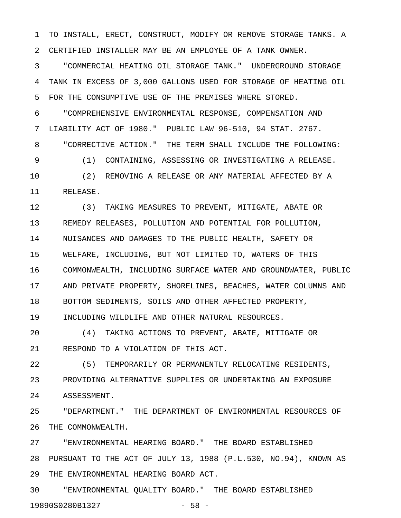1 TO INSTALL, ERECT, CONSTRUCT, MODIFY OR REMOVE STORAGE TANKS. A 2 CERTIFIED INSTALLER MAY BE AN EMPLOYEE OF A TANK OWNER.

3 "COMMERCIAL HEATING OIL STORAGE TANK." UNDERGROUND STORAGE 4 TANK IN EXCESS OF 3,000 GALLONS USED FOR STORAGE OF HEATING OIL 5 FOR THE CONSUMPTIVE USE OF THE PREMISES WHERE STORED.

6 "COMPREHENSIVE ENVIRONMENTAL RESPONSE, COMPENSATION AND 7 LIABILITY ACT OF 1980." PUBLIC LAW 96-510, 94 STAT. 2767. 8 "CORRECTIVE ACTION." THE TERM SHALL INCLUDE THE FOLLOWING: 9 (1) CONTAINING, ASSESSING OR INVESTIGATING A RELEASE. 10 (2) REMOVING A RELEASE OR ANY MATERIAL AFFECTED BY A 11 RELEASE.

12 (3) TAKING MEASURES TO PREVENT, MITIGATE, ABATE OR 13 REMEDY RELEASES, POLLUTION AND POTENTIAL FOR POLLUTION, 14 NUISANCES AND DAMAGES TO THE PUBLIC HEALTH, SAFETY OR 15 WELFARE, INCLUDING, BUT NOT LIMITED TO, WATERS OF THIS 16 COMMONWEALTH, INCLUDING SURFACE WATER AND GROUNDWATER, PUBLIC 17 AND PRIVATE PROPERTY, SHORELINES, BEACHES, WATER COLUMNS AND 18 BOTTOM SEDIMENTS, SOILS AND OTHER AFFECTED PROPERTY, 19 INCLUDING WILDLIFE AND OTHER NATURAL RESOURCES.

20 (4) TAKING ACTIONS TO PREVENT, ABATE, MITIGATE OR 21 RESPOND TO A VIOLATION OF THIS ACT.

22 (5) TEMPORARILY OR PERMANENTLY RELOCATING RESIDENTS, 23 PROVIDING ALTERNATIVE SUPPLIES OR UNDERTAKING AN EXPOSURE 24 ASSESSMENT.

25 "DEPARTMENT." THE DEPARTMENT OF ENVIRONMENTAL RESOURCES OF 26 THE COMMONWEALTH.

27 "ENVIRONMENTAL HEARING BOARD." THE BOARD ESTABLISHED 28 PURSUANT TO THE ACT OF JULY 13, 1988 (P.L.530, NO.94), KNOWN AS 29 THE ENVIRONMENTAL HEARING BOARD ACT.

30 "ENVIRONMENTAL QUALITY BOARD." THE BOARD ESTABLISHED 19890S0280B1327 - 58 -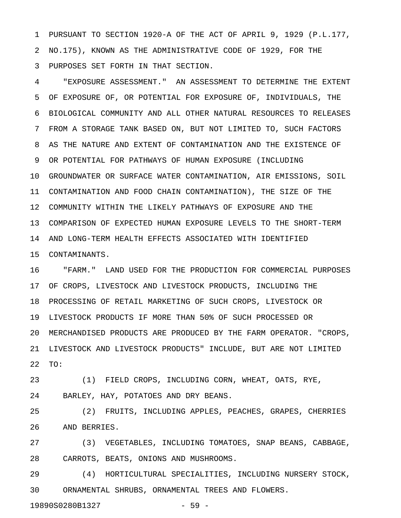1 PURSUANT TO SECTION 1920-A OF THE ACT OF APRIL 9, 1929 (P.L.177, 2 NO.175), KNOWN AS THE ADMINISTRATIVE CODE OF 1929, FOR THE 3 PURPOSES SET FORTH IN THAT SECTION.

4 "EXPOSURE ASSESSMENT." AN ASSESSMENT TO DETERMINE THE EXTENT 5 OF EXPOSURE OF, OR POTENTIAL FOR EXPOSURE OF, INDIVIDUALS, THE 6 BIOLOGICAL COMMUNITY AND ALL OTHER NATURAL RESOURCES TO RELEASES 7 FROM A STORAGE TANK BASED ON, BUT NOT LIMITED TO, SUCH FACTORS 8 AS THE NATURE AND EXTENT OF CONTAMINATION AND THE EXISTENCE OF 9 OR POTENTIAL FOR PATHWAYS OF HUMAN EXPOSURE (INCLUDING 10 GROUNDWATER OR SURFACE WATER CONTAMINATION, AIR EMISSIONS, SOIL 11 CONTAMINATION AND FOOD CHAIN CONTAMINATION), THE SIZE OF THE 12 COMMUNITY WITHIN THE LIKELY PATHWAYS OF EXPOSURE AND THE 13 COMPARISON OF EXPECTED HUMAN EXPOSURE LEVELS TO THE SHORT-TERM 14 AND LONG-TERM HEALTH EFFECTS ASSOCIATED WITH IDENTIFIED 15 CONTAMINANTS.

16 "FARM." LAND USED FOR THE PRODUCTION FOR COMMERCIAL PURPOSES 17 OF CROPS, LIVESTOCK AND LIVESTOCK PRODUCTS, INCLUDING THE 18 PROCESSING OF RETAIL MARKETING OF SUCH CROPS, LIVESTOCK OR 19 LIVESTOCK PRODUCTS IF MORE THAN 50% OF SUCH PROCESSED OR 20 MERCHANDISED PRODUCTS ARE PRODUCED BY THE FARM OPERATOR. "CROPS, 21 LIVESTOCK AND LIVESTOCK PRODUCTS" INCLUDE, BUT ARE NOT LIMITED 22 TO:

23 (1) FIELD CROPS, INCLUDING CORN, WHEAT, OATS, RYE, 24 BARLEY, HAY, POTATOES AND DRY BEANS.

25 (2) FRUITS, INCLUDING APPLES, PEACHES, GRAPES, CHERRIES 26 AND BERRIES.

27 (3) VEGETABLES, INCLUDING TOMATOES, SNAP BEANS, CABBAGE, 28 CARROTS, BEATS, ONIONS AND MUSHROOMS.

29 (4) HORTICULTURAL SPECIALITIES, INCLUDING NURSERY STOCK, 30 ORNAMENTAL SHRUBS, ORNAMENTAL TREES AND FLOWERS.

19890S0280B1327 - 59 -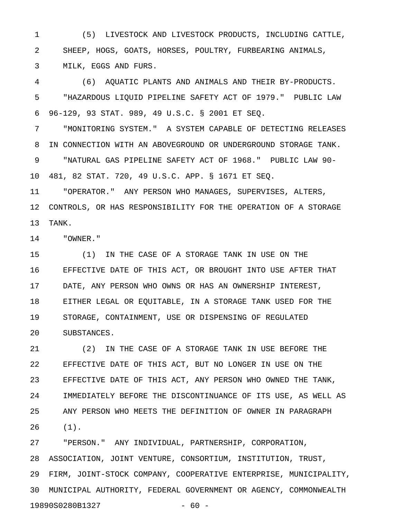1 (5) LIVESTOCK AND LIVESTOCK PRODUCTS, INCLUDING CATTLE, 2 SHEEP, HOGS, GOATS, HORSES, POULTRY, FURBEARING ANIMALS, 3 MILK, EGGS AND FURS.

4 (6) AQUATIC PLANTS AND ANIMALS AND THEIR BY-PRODUCTS. 5 "HAZARDOUS LIQUID PIPELINE SAFETY ACT OF 1979." PUBLIC LAW 6 96-129, 93 STAT. 989, 49 U.S.C. § 2001 ET SEQ.

7 "MONITORING SYSTEM." A SYSTEM CAPABLE OF DETECTING RELEASES 8 IN CONNECTION WITH AN ABOVEGROUND OR UNDERGROUND STORAGE TANK. 9 "NATURAL GAS PIPELINE SAFETY ACT OF 1968." PUBLIC LAW 90- 10 481, 82 STAT. 720, 49 U.S.C. APP. § 1671 ET SEQ.

11 "OPERATOR." ANY PERSON WHO MANAGES, SUPERVISES, ALTERS, 12 CONTROLS, OR HAS RESPONSIBILITY FOR THE OPERATION OF A STORAGE 13 TANK.

14 "OWNER."

15 (1) IN THE CASE OF A STORAGE TANK IN USE ON THE 16 EFFECTIVE DATE OF THIS ACT, OR BROUGHT INTO USE AFTER THAT 17 DATE, ANY PERSON WHO OWNS OR HAS AN OWNERSHIP INTEREST, 18 EITHER LEGAL OR EQUITABLE, IN A STORAGE TANK USED FOR THE 19 STORAGE, CONTAINMENT, USE OR DISPENSING OF REGULATED 20 SUBSTANCES.

21 (2) IN THE CASE OF A STORAGE TANK IN USE BEFORE THE 22 EFFECTIVE DATE OF THIS ACT, BUT NO LONGER IN USE ON THE 23 EFFECTIVE DATE OF THIS ACT, ANY PERSON WHO OWNED THE TANK, 24 IMMEDIATELY BEFORE THE DISCONTINUANCE OF ITS USE, AS WELL AS 25 ANY PERSON WHO MEETS THE DEFINITION OF OWNER IN PARAGRAPH 26 (1).

27 "PERSON." ANY INDIVIDUAL, PARTNERSHIP, CORPORATION, 28 ASSOCIATION, JOINT VENTURE, CONSORTIUM, INSTITUTION, TRUST, 29 FIRM, JOINT-STOCK COMPANY, COOPERATIVE ENTERPRISE, MUNICIPALITY, 30 MUNICIPAL AUTHORITY, FEDERAL GOVERNMENT OR AGENCY, COMMONWEALTH 19890S0280B1327 - 60 -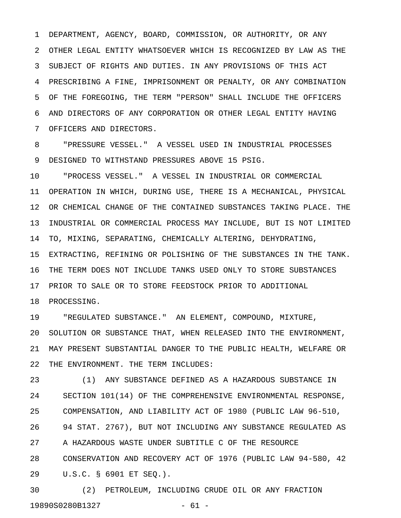1 DEPARTMENT, AGENCY, BOARD, COMMISSION, OR AUTHORITY, OR ANY 2 OTHER LEGAL ENTITY WHATSOEVER WHICH IS RECOGNIZED BY LAW AS THE 3 SUBJECT OF RIGHTS AND DUTIES. IN ANY PROVISIONS OF THIS ACT 4 PRESCRIBING A FINE, IMPRISONMENT OR PENALTY, OR ANY COMBINATION 5 OF THE FOREGOING, THE TERM "PERSON" SHALL INCLUDE THE OFFICERS 6 AND DIRECTORS OF ANY CORPORATION OR OTHER LEGAL ENTITY HAVING 7 OFFICERS AND DIRECTORS.

8 "PRESSURE VESSEL." A VESSEL USED IN INDUSTRIAL PROCESSES 9 DESIGNED TO WITHSTAND PRESSURES ABOVE 15 PSIG.

10 "PROCESS VESSEL." A VESSEL IN INDUSTRIAL OR COMMERCIAL 11 OPERATION IN WHICH, DURING USE, THERE IS A MECHANICAL, PHYSICAL 12 OR CHEMICAL CHANGE OF THE CONTAINED SUBSTANCES TAKING PLACE. THE 13 INDUSTRIAL OR COMMERCIAL PROCESS MAY INCLUDE, BUT IS NOT LIMITED 14 TO, MIXING, SEPARATING, CHEMICALLY ALTERING, DEHYDRATING, 15 EXTRACTING, REFINING OR POLISHING OF THE SUBSTANCES IN THE TANK. 16 THE TERM DOES NOT INCLUDE TANKS USED ONLY TO STORE SUBSTANCES 17 PRIOR TO SALE OR TO STORE FEEDSTOCK PRIOR TO ADDITIONAL

18 PROCESSING.

19 "REGULATED SUBSTANCE." AN ELEMENT, COMPOUND, MIXTURE, 20 SOLUTION OR SUBSTANCE THAT, WHEN RELEASED INTO THE ENVIRONMENT, 21 MAY PRESENT SUBSTANTIAL DANGER TO THE PUBLIC HEALTH, WELFARE OR 22 THE ENVIRONMENT. THE TERM INCLUDES:

23 (1) ANY SUBSTANCE DEFINED AS A HAZARDOUS SUBSTANCE IN 24 SECTION 101(14) OF THE COMPREHENSIVE ENVIRONMENTAL RESPONSE, 25 COMPENSATION, AND LIABILITY ACT OF 1980 (PUBLIC LAW 96-510, 26 94 STAT. 2767), BUT NOT INCLUDING ANY SUBSTANCE REGULATED AS 27 A HAZARDOUS WASTE UNDER SUBTITLE C OF THE RESOURCE 28 CONSERVATION AND RECOVERY ACT OF 1976 (PUBLIC LAW 94-580, 42 29 U.S.C. § 6901 ET SEQ.).

30 (2) PETROLEUM, INCLUDING CRUDE OIL OR ANY FRACTION 19890S0280B1327 - 61 -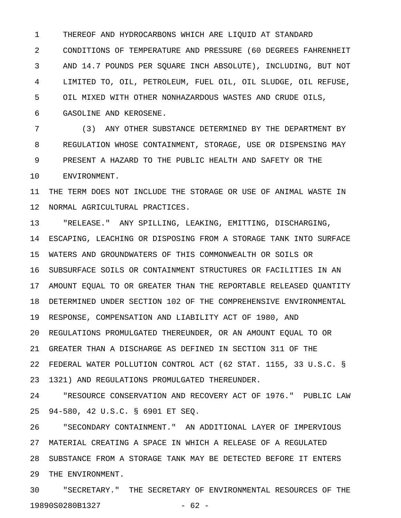1 THEREOF AND HYDROCARBONS WHICH ARE LIQUID AT STANDARD 2 CONDITIONS OF TEMPERATURE AND PRESSURE (60 DEGREES FAHRENHEIT 3 AND 14.7 POUNDS PER SQUARE INCH ABSOLUTE), INCLUDING, BUT NOT 4 LIMITED TO, OIL, PETROLEUM, FUEL OIL, OIL SLUDGE, OIL REFUSE, 5 OIL MIXED WITH OTHER NONHAZARDOUS WASTES AND CRUDE OILS, 6 GASOLINE AND KEROSENE.

7 (3) ANY OTHER SUBSTANCE DETERMINED BY THE DEPARTMENT BY 8 REGULATION WHOSE CONTAINMENT, STORAGE, USE OR DISPENSING MAY 9 PRESENT A HAZARD TO THE PUBLIC HEALTH AND SAFETY OR THE 10 ENVIRONMENT.

11 THE TERM DOES NOT INCLUDE THE STORAGE OR USE OF ANIMAL WASTE IN 12 NORMAL AGRICULTURAL PRACTICES.

13 "RELEASE." ANY SPILLING, LEAKING, EMITTING, DISCHARGING, 14 ESCAPING, LEACHING OR DISPOSING FROM A STORAGE TANK INTO SURFACE 15 WATERS AND GROUNDWATERS OF THIS COMMONWEALTH OR SOILS OR 16 SUBSURFACE SOILS OR CONTAINMENT STRUCTURES OR FACILITIES IN AN 17 AMOUNT EQUAL TO OR GREATER THAN THE REPORTABLE RELEASED QUANTITY 18 DETERMINED UNDER SECTION 102 OF THE COMPREHENSIVE ENVIRONMENTAL 19 RESPONSE, COMPENSATION AND LIABILITY ACT OF 1980, AND 20 REGULATIONS PROMULGATED THEREUNDER, OR AN AMOUNT EQUAL TO OR 21 GREATER THAN A DISCHARGE AS DEFINED IN SECTION 311 OF THE 22 FEDERAL WATER POLLUTION CONTROL ACT (62 STAT. 1155, 33 U.S.C. § 23 1321) AND REGULATIONS PROMULGATED THEREUNDER.

24 "RESOURCE CONSERVATION AND RECOVERY ACT OF 1976." PUBLIC LAW 25 94-580, 42 U.S.C. § 6901 ET SEQ.

26 "SECONDARY CONTAINMENT." AN ADDITIONAL LAYER OF IMPERVIOUS 27 MATERIAL CREATING A SPACE IN WHICH A RELEASE OF A REGULATED 28 SUBSTANCE FROM A STORAGE TANK MAY BE DETECTED BEFORE IT ENTERS 29 THE ENVIRONMENT.

30 "SECRETARY." THE SECRETARY OF ENVIRONMENTAL RESOURCES OF THE 19890S0280B1327 - 62 -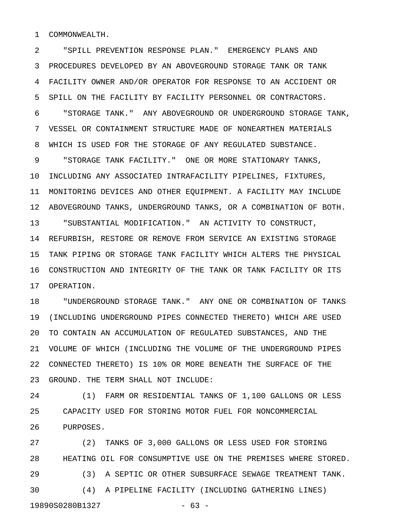1 COMMONWEALTH.

2 "SPILL PREVENTION RESPONSE PLAN." EMERGENCY PLANS AND 3 PROCEDURES DEVELOPED BY AN ABOVEGROUND STORAGE TANK OR TANK 4 FACILITY OWNER AND/OR OPERATOR FOR RESPONSE TO AN ACCIDENT OR 5 SPILL ON THE FACILITY BY FACILITY PERSONNEL OR CONTRACTORS. 6 "STORAGE TANK." ANY ABOVEGROUND OR UNDERGROUND STORAGE TANK, 7 VESSEL OR CONTAINMENT STRUCTURE MADE OF NONEARTHEN MATERIALS 8 WHICH IS USED FOR THE STORAGE OF ANY REGULATED SUBSTANCE. 9 "STORAGE TANK FACILITY." ONE OR MORE STATIONARY TANKS, 10 INCLUDING ANY ASSOCIATED INTRAFACILITY PIPELINES, FIXTURES, 11 MONITORING DEVICES AND OTHER EQUIPMENT. A FACILITY MAY INCLUDE 12 ABOVEGROUND TANKS, UNDERGROUND TANKS, OR A COMBINATION OF BOTH. 13 "SUBSTANTIAL MODIFICATION." AN ACTIVITY TO CONSTRUCT, 14 REFURBISH, RESTORE OR REMOVE FROM SERVICE AN EXISTING STORAGE 15 TANK PIPING OR STORAGE TANK FACILITY WHICH ALTERS THE PHYSICAL 16 CONSTRUCTION AND INTEGRITY OF THE TANK OR TANK FACILITY OR ITS 17 OPERATION.

18 "UNDERGROUND STORAGE TANK." ANY ONE OR COMBINATION OF TANKS 19 (INCLUDING UNDERGROUND PIPES CONNECTED THERETO) WHICH ARE USED 20 TO CONTAIN AN ACCUMULATION OF REGULATED SUBSTANCES, AND THE 21 VOLUME OF WHICH (INCLUDING THE VOLUME OF THE UNDERGROUND PIPES 22 CONNECTED THERETO) IS 10% OR MORE BENEATH THE SURFACE OF THE 23 GROUND. THE TERM SHALL NOT INCLUDE:

24 (1) FARM OR RESIDENTIAL TANKS OF 1,100 GALLONS OR LESS 25 CAPACITY USED FOR STORING MOTOR FUEL FOR NONCOMMERCIAL 26 PURPOSES.

27 (2) TANKS OF 3,000 GALLONS OR LESS USED FOR STORING 28 HEATING OIL FOR CONSUMPTIVE USE ON THE PREMISES WHERE STORED. 29 (3) A SEPTIC OR OTHER SUBSURFACE SEWAGE TREATMENT TANK. 30 (4) A PIPELINE FACILITY (INCLUDING GATHERING LINES) 19890S0280B1327 - 63 -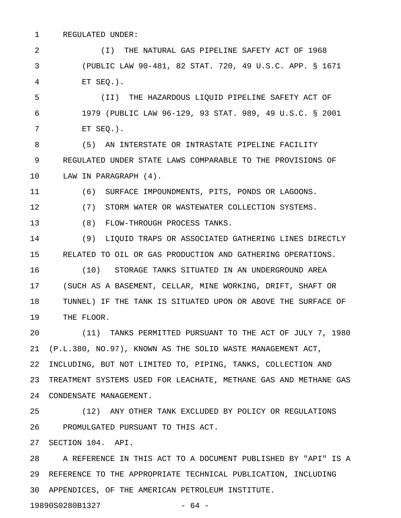1 REGULATED UNDER:

2 (I) THE NATURAL GAS PIPELINE SAFETY ACT OF 1968 3 (PUBLIC LAW 90-481, 82 STAT. 720, 49 U.S.C. APP. § 1671 4 ET SEQ.).

5 (II) THE HAZARDOUS LIQUID PIPELINE SAFETY ACT OF 6 1979 (PUBLIC LAW 96-129, 93 STAT. 989, 49 U.S.C. § 2001 7 ET SEQ.).

8 (5) AN INTERSTATE OR INTRASTATE PIPELINE FACILITY 9 REGULATED UNDER STATE LAWS COMPARABLE TO THE PROVISIONS OF 10 LAW IN PARAGRAPH (4).

11 (6) SURFACE IMPOUNDMENTS, PITS, PONDS OR LAGOONS.

12 (7) STORM WATER OR WASTEWATER COLLECTION SYSTEMS.

13 (8) FLOW-THROUGH PROCESS TANKS.

14 (9) LIQUID TRAPS OR ASSOCIATED GATHERING LINES DIRECTLY 15 RELATED TO OIL OR GAS PRODUCTION AND GATHERING OPERATIONS.

16 (10) STORAGE TANKS SITUATED IN AN UNDERGROUND AREA 17 (SUCH AS A BASEMENT, CELLAR, MINE WORKING, DRIFT, SHAFT OR 18 TUNNEL) IF THE TANK IS SITUATED UPON OR ABOVE THE SURFACE OF 19 THE FLOOR.

20 (11) TANKS PERMITTED PURSUANT TO THE ACT OF JULY 7, 1980 21 (P.L.380, NO.97), KNOWN AS THE SOLID WASTE MANAGEMENT ACT, 22 INCLUDING, BUT NOT LIMITED TO, PIPING, TANKS, COLLECTION AND 23 TREATMENT SYSTEMS USED FOR LEACHATE, METHANE GAS AND METHANE GAS 24 CONDENSATE MANAGEMENT.

25 (12) ANY OTHER TANK EXCLUDED BY POLICY OR REGULATIONS 26 PROMULGATED PURSUANT TO THIS ACT.

27 SECTION 104. API.

28 A REFERENCE IN THIS ACT TO A DOCUMENT PUBLISHED BY "API" IS A 29 REFERENCE TO THE APPROPRIATE TECHNICAL PUBLICATION, INCLUDING 30 APPENDICES, OF THE AMERICAN PETROLEUM INSTITUTE.

19890S0280B1327 - 64 -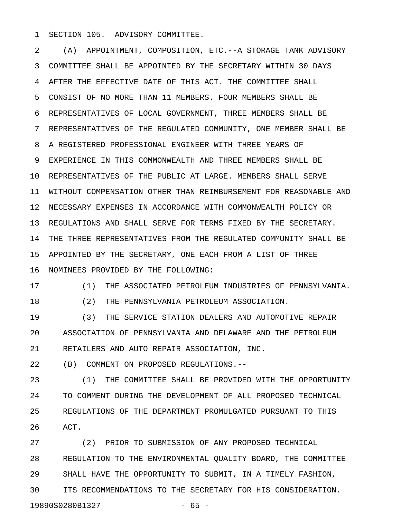1 SECTION 105. ADVISORY COMMITTEE.

2 (A) APPOINTMENT, COMPOSITION, ETC.--A STORAGE TANK ADVISORY 3 COMMITTEE SHALL BE APPOINTED BY THE SECRETARY WITHIN 30 DAYS 4 AFTER THE EFFECTIVE DATE OF THIS ACT. THE COMMITTEE SHALL 5 CONSIST OF NO MORE THAN 11 MEMBERS. FOUR MEMBERS SHALL BE 6 REPRESENTATIVES OF LOCAL GOVERNMENT, THREE MEMBERS SHALL BE 7 REPRESENTATIVES OF THE REGULATED COMMUNITY, ONE MEMBER SHALL BE 8 A REGISTERED PROFESSIONAL ENGINEER WITH THREE YEARS OF 9 EXPERIENCE IN THIS COMMONWEALTH AND THREE MEMBERS SHALL BE 10 REPRESENTATIVES OF THE PUBLIC AT LARGE. MEMBERS SHALL SERVE 11 WITHOUT COMPENSATION OTHER THAN REIMBURSEMENT FOR REASONABLE AND 12 NECESSARY EXPENSES IN ACCORDANCE WITH COMMONWEALTH POLICY OR 13 REGULATIONS AND SHALL SERVE FOR TERMS FIXED BY THE SECRETARY. 14 THE THREE REPRESENTATIVES FROM THE REGULATED COMMUNITY SHALL BE 15 APPOINTED BY THE SECRETARY, ONE EACH FROM A LIST OF THREE 16 NOMINEES PROVIDED BY THE FOLLOWING:

17 (1) THE ASSOCIATED PETROLEUM INDUSTRIES OF PENNSYLVANIA.

18 (2) THE PENNSYLVANIA PETROLEUM ASSOCIATION.

19 (3) THE SERVICE STATION DEALERS AND AUTOMOTIVE REPAIR 20 ASSOCIATION OF PENNSYLVANIA AND DELAWARE AND THE PETROLEUM 21 RETAILERS AND AUTO REPAIR ASSOCIATION, INC.

22 (B) COMMENT ON PROPOSED REGULATIONS.--

23 (1) THE COMMITTEE SHALL BE PROVIDED WITH THE OPPORTUNITY 24 TO COMMENT DURING THE DEVELOPMENT OF ALL PROPOSED TECHNICAL 25 REGULATIONS OF THE DEPARTMENT PROMULGATED PURSUANT TO THIS 26 ACT.

27 (2) PRIOR TO SUBMISSION OF ANY PROPOSED TECHNICAL 28 REGULATION TO THE ENVIRONMENTAL QUALITY BOARD, THE COMMITTEE 29 SHALL HAVE THE OPPORTUNITY TO SUBMIT, IN A TIMELY FASHION, 30 ITS RECOMMENDATIONS TO THE SECRETARY FOR HIS CONSIDERATION. 19890S0280B1327 - 65 -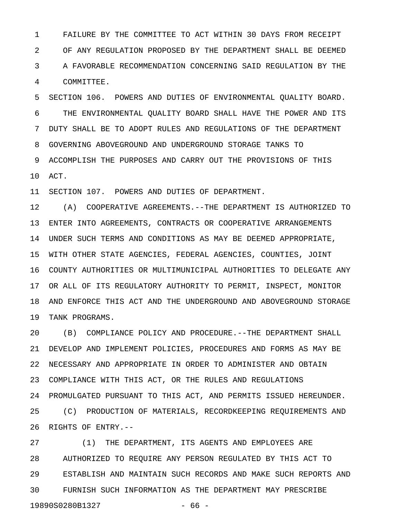1 FAILURE BY THE COMMITTEE TO ACT WITHIN 30 DAYS FROM RECEIPT 2 OF ANY REGULATION PROPOSED BY THE DEPARTMENT SHALL BE DEEMED 3 A FAVORABLE RECOMMENDATION CONCERNING SAID REGULATION BY THE 4 COMMITTEE.

5 SECTION 106. POWERS AND DUTIES OF ENVIRONMENTAL QUALITY BOARD. 6 THE ENVIRONMENTAL QUALITY BOARD SHALL HAVE THE POWER AND ITS 7 DUTY SHALL BE TO ADOPT RULES AND REGULATIONS OF THE DEPARTMENT 8 GOVERNING ABOVEGROUND AND UNDERGROUND STORAGE TANKS TO 9 ACCOMPLISH THE PURPOSES AND CARRY OUT THE PROVISIONS OF THIS 10 ACT.

11 SECTION 107. POWERS AND DUTIES OF DEPARTMENT.

12 (A) COOPERATIVE AGREEMENTS.--THE DEPARTMENT IS AUTHORIZED TO 13 ENTER INTO AGREEMENTS, CONTRACTS OR COOPERATIVE ARRANGEMENTS 14 UNDER SUCH TERMS AND CONDITIONS AS MAY BE DEEMED APPROPRIATE, 15 WITH OTHER STATE AGENCIES, FEDERAL AGENCIES, COUNTIES, JOINT 16 COUNTY AUTHORITIES OR MULTIMUNICIPAL AUTHORITIES TO DELEGATE ANY 17 OR ALL OF ITS REGULATORY AUTHORITY TO PERMIT, INSPECT, MONITOR 18 AND ENFORCE THIS ACT AND THE UNDERGROUND AND ABOVEGROUND STORAGE 19 TANK PROGRAMS.

20 (B) COMPLIANCE POLICY AND PROCEDURE.--THE DEPARTMENT SHALL 21 DEVELOP AND IMPLEMENT POLICIES, PROCEDURES AND FORMS AS MAY BE 22 NECESSARY AND APPROPRIATE IN ORDER TO ADMINISTER AND OBTAIN 23 COMPLIANCE WITH THIS ACT, OR THE RULES AND REGULATIONS 24 PROMULGATED PURSUANT TO THIS ACT, AND PERMITS ISSUED HEREUNDER. 25 (C) PRODUCTION OF MATERIALS, RECORDKEEPING REQUIREMENTS AND 26 RIGHTS OF ENTRY.--

27 (1) THE DEPARTMENT, ITS AGENTS AND EMPLOYEES ARE 28 AUTHORIZED TO REQUIRE ANY PERSON REGULATED BY THIS ACT TO 29 ESTABLISH AND MAINTAIN SUCH RECORDS AND MAKE SUCH REPORTS AND 30 FURNISH SUCH INFORMATION AS THE DEPARTMENT MAY PRESCRIBE 19890S0280B1327 - 66 -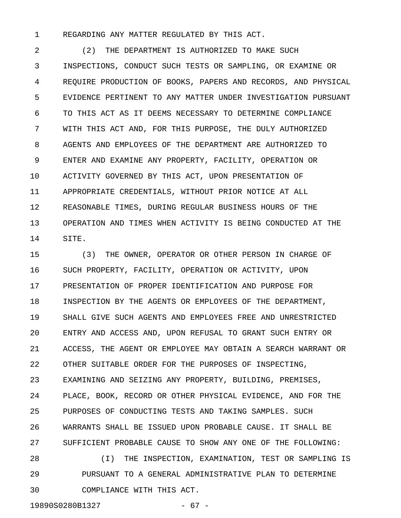1 REGARDING ANY MATTER REGULATED BY THIS ACT.

2 (2) THE DEPARTMENT IS AUTHORIZED TO MAKE SUCH 3 INSPECTIONS, CONDUCT SUCH TESTS OR SAMPLING, OR EXAMINE OR 4 REQUIRE PRODUCTION OF BOOKS, PAPERS AND RECORDS, AND PHYSICAL 5 EVIDENCE PERTINENT TO ANY MATTER UNDER INVESTIGATION PURSUANT 6 TO THIS ACT AS IT DEEMS NECESSARY TO DETERMINE COMPLIANCE 7 WITH THIS ACT AND, FOR THIS PURPOSE, THE DULY AUTHORIZED 8 AGENTS AND EMPLOYEES OF THE DEPARTMENT ARE AUTHORIZED TO 9 ENTER AND EXAMINE ANY PROPERTY, FACILITY, OPERATION OR 10 ACTIVITY GOVERNED BY THIS ACT, UPON PRESENTATION OF 11 APPROPRIATE CREDENTIALS, WITHOUT PRIOR NOTICE AT ALL 12 REASONABLE TIMES, DURING REGULAR BUSINESS HOURS OF THE 13 OPERATION AND TIMES WHEN ACTIVITY IS BEING CONDUCTED AT THE 14 SITE.

15 (3) THE OWNER, OPERATOR OR OTHER PERSON IN CHARGE OF 16 SUCH PROPERTY, FACILITY, OPERATION OR ACTIVITY, UPON 17 PRESENTATION OF PROPER IDENTIFICATION AND PURPOSE FOR 18 INSPECTION BY THE AGENTS OR EMPLOYEES OF THE DEPARTMENT, 19 SHALL GIVE SUCH AGENTS AND EMPLOYEES FREE AND UNRESTRICTED 20 ENTRY AND ACCESS AND, UPON REFUSAL TO GRANT SUCH ENTRY OR 21 ACCESS, THE AGENT OR EMPLOYEE MAY OBTAIN A SEARCH WARRANT OR 22 OTHER SUITABLE ORDER FOR THE PURPOSES OF INSPECTING, 23 EXAMINING AND SEIZING ANY PROPERTY, BUILDING, PREMISES, 24 PLACE, BOOK, RECORD OR OTHER PHYSICAL EVIDENCE, AND FOR THE 25 PURPOSES OF CONDUCTING TESTS AND TAKING SAMPLES. SUCH 26 WARRANTS SHALL BE ISSUED UPON PROBABLE CAUSE. IT SHALL BE 27 SUFFICIENT PROBABLE CAUSE TO SHOW ANY ONE OF THE FOLLOWING: 28 (I) THE INSPECTION, EXAMINATION, TEST OR SAMPLING IS 29 PURSUANT TO A GENERAL ADMINISTRATIVE PLAN TO DETERMINE

30 COMPLIANCE WITH THIS ACT.

19890S0280B1327 - 67 -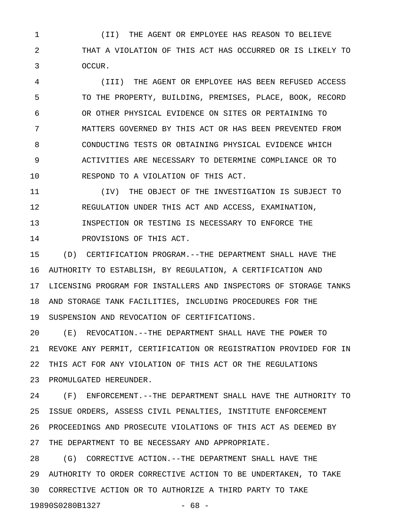1 (II) THE AGENT OR EMPLOYEE HAS REASON TO BELIEVE 2 THAT A VIOLATION OF THIS ACT HAS OCCURRED OR IS LIKELY TO 3 OCCUR.

4 (III) THE AGENT OR EMPLOYEE HAS BEEN REFUSED ACCESS 5 TO THE PROPERTY, BUILDING, PREMISES, PLACE, BOOK, RECORD 6 OR OTHER PHYSICAL EVIDENCE ON SITES OR PERTAINING TO 7 MATTERS GOVERNED BY THIS ACT OR HAS BEEN PREVENTED FROM 8 CONDUCTING TESTS OR OBTAINING PHYSICAL EVIDENCE WHICH 9 ACTIVITIES ARE NECESSARY TO DETERMINE COMPLIANCE OR TO 10 RESPOND TO A VIOLATION OF THIS ACT.

11 (IV) THE OBJECT OF THE INVESTIGATION IS SUBJECT TO 12 REGULATION UNDER THIS ACT AND ACCESS, EXAMINATION, 13 INSPECTION OR TESTING IS NECESSARY TO ENFORCE THE 14 PROVISIONS OF THIS ACT.

15 (D) CERTIFICATION PROGRAM.--THE DEPARTMENT SHALL HAVE THE 16 AUTHORITY TO ESTABLISH, BY REGULATION, A CERTIFICATION AND 17 LICENSING PROGRAM FOR INSTALLERS AND INSPECTORS OF STORAGE TANKS 18 AND STORAGE TANK FACILITIES, INCLUDING PROCEDURES FOR THE 19 SUSPENSION AND REVOCATION OF CERTIFICATIONS.

20 (E) REVOCATION.--THE DEPARTMENT SHALL HAVE THE POWER TO 21 REVOKE ANY PERMIT, CERTIFICATION OR REGISTRATION PROVIDED FOR IN 22 THIS ACT FOR ANY VIOLATION OF THIS ACT OR THE REGULATIONS 23 PROMULGATED HEREUNDER.

24 (F) ENFORCEMENT.--THE DEPARTMENT SHALL HAVE THE AUTHORITY TO 25 ISSUE ORDERS, ASSESS CIVIL PENALTIES, INSTITUTE ENFORCEMENT 26 PROCEEDINGS AND PROSECUTE VIOLATIONS OF THIS ACT AS DEEMED BY 27 THE DEPARTMENT TO BE NECESSARY AND APPROPRIATE.

28 (G) CORRECTIVE ACTION.--THE DEPARTMENT SHALL HAVE THE 29 AUTHORITY TO ORDER CORRECTIVE ACTION TO BE UNDERTAKEN, TO TAKE 30 CORRECTIVE ACTION OR TO AUTHORIZE A THIRD PARTY TO TAKE 19890S0280B1327 - 68 -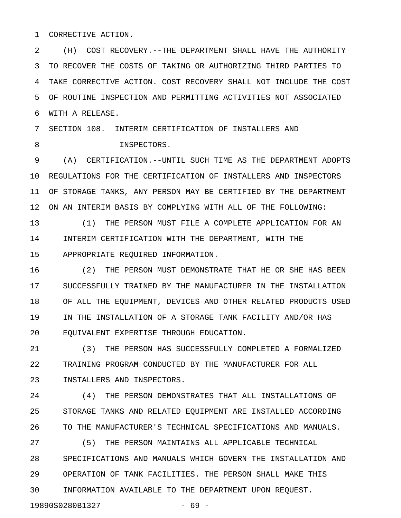1 CORRECTIVE ACTION.

2 (H) COST RECOVERY.--THE DEPARTMENT SHALL HAVE THE AUTHORITY 3 TO RECOVER THE COSTS OF TAKING OR AUTHORIZING THIRD PARTIES TO 4 TAKE CORRECTIVE ACTION. COST RECOVERY SHALL NOT INCLUDE THE COST 5 OF ROUTINE INSPECTION AND PERMITTING ACTIVITIES NOT ASSOCIATED 6 WITH A RELEASE.

7 SECTION 108. INTERIM CERTIFICATION OF INSTALLERS AND 8 INSPECTORS.

9 (A) CERTIFICATION.--UNTIL SUCH TIME AS THE DEPARTMENT ADOPTS 10 REGULATIONS FOR THE CERTIFICATION OF INSTALLERS AND INSPECTORS 11 OF STORAGE TANKS, ANY PERSON MAY BE CERTIFIED BY THE DEPARTMENT 12 ON AN INTERIM BASIS BY COMPLYING WITH ALL OF THE FOLLOWING:

13 (1) THE PERSON MUST FILE A COMPLETE APPLICATION FOR AN 14 INTERIM CERTIFICATION WITH THE DEPARTMENT, WITH THE 15 APPROPRIATE REQUIRED INFORMATION.

16 (2) THE PERSON MUST DEMONSTRATE THAT HE OR SHE HAS BEEN 17 SUCCESSFULLY TRAINED BY THE MANUFACTURER IN THE INSTALLATION 18 OF ALL THE EQUIPMENT, DEVICES AND OTHER RELATED PRODUCTS USED 19 IN THE INSTALLATION OF A STORAGE TANK FACILITY AND/OR HAS 20 EQUIVALENT EXPERTISE THROUGH EDUCATION.

21 (3) THE PERSON HAS SUCCESSFULLY COMPLETED A FORMALIZED 22 TRAINING PROGRAM CONDUCTED BY THE MANUFACTURER FOR ALL 23 INSTALLERS AND INSPECTORS.

24 (4) THE PERSON DEMONSTRATES THAT ALL INSTALLATIONS OF 25 STORAGE TANKS AND RELATED EQUIPMENT ARE INSTALLED ACCORDING 26 TO THE MANUFACTURER'S TECHNICAL SPECIFICATIONS AND MANUALS.

27 (5) THE PERSON MAINTAINS ALL APPLICABLE TECHNICAL 28 SPECIFICATIONS AND MANUALS WHICH GOVERN THE INSTALLATION AND 29 OPERATION OF TANK FACILITIES. THE PERSON SHALL MAKE THIS 30 INFORMATION AVAILABLE TO THE DEPARTMENT UPON REQUEST.

19890S0280B1327 - 69 -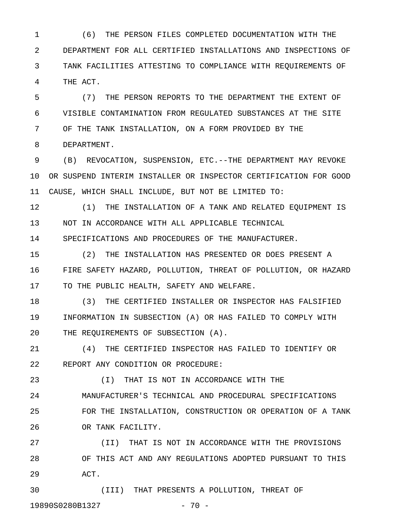1 (6) THE PERSON FILES COMPLETED DOCUMENTATION WITH THE 2 DEPARTMENT FOR ALL CERTIFIED INSTALLATIONS AND INSPECTIONS OF 3 TANK FACILITIES ATTESTING TO COMPLIANCE WITH REQUIREMENTS OF 4 THE ACT.

5 (7) THE PERSON REPORTS TO THE DEPARTMENT THE EXTENT OF 6 VISIBLE CONTAMINATION FROM REGULATED SUBSTANCES AT THE SITE 7 OF THE TANK INSTALLATION, ON A FORM PROVIDED BY THE 8 DEPARTMENT.

9 (B) REVOCATION, SUSPENSION, ETC.--THE DEPARTMENT MAY REVOKE 10 OR SUSPEND INTERIM INSTALLER OR INSPECTOR CERTIFICATION FOR GOOD 11 CAUSE, WHICH SHALL INCLUDE, BUT NOT BE LIMITED TO:

12 (1) THE INSTALLATION OF A TANK AND RELATED EQUIPMENT IS 13 NOT IN ACCORDANCE WITH ALL APPLICABLE TECHNICAL

14 SPECIFICATIONS AND PROCEDURES OF THE MANUFACTURER.

15 (2) THE INSTALLATION HAS PRESENTED OR DOES PRESENT A 16 FIRE SAFETY HAZARD, POLLUTION, THREAT OF POLLUTION, OR HAZARD 17 TO THE PUBLIC HEALTH, SAFETY AND WELFARE.

18 (3) THE CERTIFIED INSTALLER OR INSPECTOR HAS FALSIFIED 19 INFORMATION IN SUBSECTION (A) OR HAS FAILED TO COMPLY WITH 20 THE REQUIREMENTS OF SUBSECTION (A).

21 (4) THE CERTIFIED INSPECTOR HAS FAILED TO IDENTIFY OR 22 REPORT ANY CONDITION OR PROCEDURE:

23 (I) THAT IS NOT IN ACCORDANCE WITH THE 24 MANUFACTURER'S TECHNICAL AND PROCEDURAL SPECIFICATIONS 25 FOR THE INSTALLATION, CONSTRUCTION OR OPERATION OF A TANK 26 OR TANK FACILITY.

27 (II) THAT IS NOT IN ACCORDANCE WITH THE PROVISIONS 28 OF THIS ACT AND ANY REGULATIONS ADOPTED PURSUANT TO THIS 29 ACT.

30 (III) THAT PRESENTS A POLLUTION, THREAT OF 19890S0280B1327 - 70 -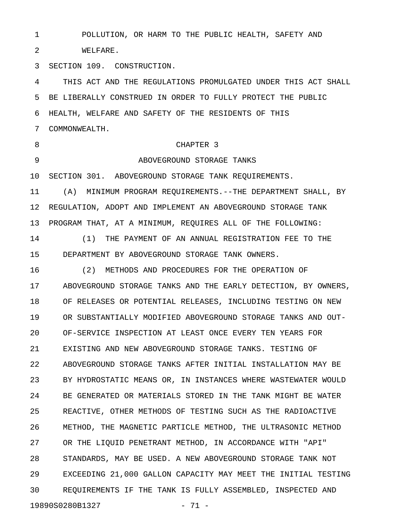1 POLLUTION, OR HARM TO THE PUBLIC HEALTH, SAFETY AND 2 WELFARE. 3 SECTION 109. CONSTRUCTION. 4 THIS ACT AND THE REGULATIONS PROMULGATED UNDER THIS ACT SHALL 5 BE LIBERALLY CONSTRUED IN ORDER TO FULLY PROTECT THE PUBLIC 6 HEALTH, WELFARE AND SAFETY OF THE RESIDENTS OF THIS 7 COMMONWEALTH. 8 CHAPTER 3 9 ABOVEGROUND STORAGE TANKS 10 SECTION 301. ABOVEGROUND STORAGE TANK REQUIREMENTS. 11 (A) MINIMUM PROGRAM REQUIREMENTS.--THE DEPARTMENT SHALL, BY 12 REGULATION, ADOPT AND IMPLEMENT AN ABOVEGROUND STORAGE TANK 13 PROGRAM THAT, AT A MINIMUM, REQUIRES ALL OF THE FOLLOWING: 14 (1) THE PAYMENT OF AN ANNUAL REGISTRATION FEE TO THE 15 DEPARTMENT BY ABOVEGROUND STORAGE TANK OWNERS. 16 (2) METHODS AND PROCEDURES FOR THE OPERATION OF 17 ABOVEGROUND STORAGE TANKS AND THE EARLY DETECTION, BY OWNERS, 18 OF RELEASES OR POTENTIAL RELEASES, INCLUDING TESTING ON NEW 19 OR SUBSTANTIALLY MODIFIED ABOVEGROUND STORAGE TANKS AND OUT-20 OF-SERVICE INSPECTION AT LEAST ONCE EVERY TEN YEARS FOR 21 EXISTING AND NEW ABOVEGROUND STORAGE TANKS. TESTING OF 22 ABOVEGROUND STORAGE TANKS AFTER INITIAL INSTALLATION MAY BE 23 BY HYDROSTATIC MEANS OR, IN INSTANCES WHERE WASTEWATER WOULD 24 BE GENERATED OR MATERIALS STORED IN THE TANK MIGHT BE WATER 25 REACTIVE, OTHER METHODS OF TESTING SUCH AS THE RADIOACTIVE 26 METHOD, THE MAGNETIC PARTICLE METHOD, THE ULTRASONIC METHOD 27 OR THE LIQUID PENETRANT METHOD, IN ACCORDANCE WITH "API" 28 STANDARDS, MAY BE USED. A NEW ABOVEGROUND STORAGE TANK NOT 29 EXCEEDING 21,000 GALLON CAPACITY MAY MEET THE INITIAL TESTING 30 REQUIREMENTS IF THE TANK IS FULLY ASSEMBLED, INSPECTED AND 19890S0280B1327 - 71 -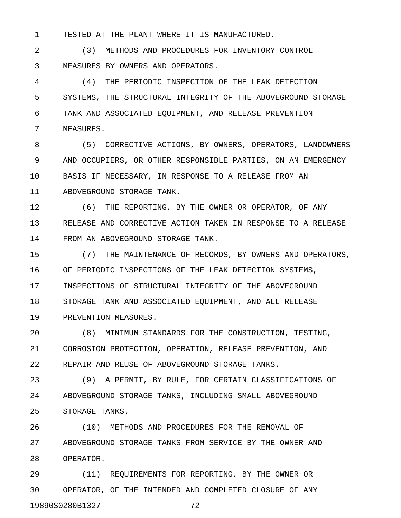1 TESTED AT THE PLANT WHERE IT IS MANUFACTURED.

2 (3) METHODS AND PROCEDURES FOR INVENTORY CONTROL 3 MEASURES BY OWNERS AND OPERATORS.

4 (4) THE PERIODIC INSPECTION OF THE LEAK DETECTION 5 SYSTEMS, THE STRUCTURAL INTEGRITY OF THE ABOVEGROUND STORAGE 6 TANK AND ASSOCIATED EQUIPMENT, AND RELEASE PREVENTION 7 MEASURES.

8 (5) CORRECTIVE ACTIONS, BY OWNERS, OPERATORS, LANDOWNERS 9 AND OCCUPIERS, OR OTHER RESPONSIBLE PARTIES, ON AN EMERGENCY 10 BASIS IF NECESSARY, IN RESPONSE TO A RELEASE FROM AN 11 ABOVEGROUND STORAGE TANK.

12 (6) THE REPORTING, BY THE OWNER OR OPERATOR, OF ANY 13 RELEASE AND CORRECTIVE ACTION TAKEN IN RESPONSE TO A RELEASE 14 FROM AN ABOVEGROUND STORAGE TANK.

15 (7) THE MAINTENANCE OF RECORDS, BY OWNERS AND OPERATORS, 16 OF PERIODIC INSPECTIONS OF THE LEAK DETECTION SYSTEMS, 17 INSPECTIONS OF STRUCTURAL INTEGRITY OF THE ABOVEGROUND 18 STORAGE TANK AND ASSOCIATED EQUIPMENT, AND ALL RELEASE 19 PREVENTION MEASURES.

20 (8) MINIMUM STANDARDS FOR THE CONSTRUCTION, TESTING, 21 CORROSION PROTECTION, OPERATION, RELEASE PREVENTION, AND 22 REPAIR AND REUSE OF ABOVEGROUND STORAGE TANKS.

23 (9) A PERMIT, BY RULE, FOR CERTAIN CLASSIFICATIONS OF 24 ABOVEGROUND STORAGE TANKS, INCLUDING SMALL ABOVEGROUND 25 STORAGE TANKS.

26 (10) METHODS AND PROCEDURES FOR THE REMOVAL OF 27 ABOVEGROUND STORAGE TANKS FROM SERVICE BY THE OWNER AND 28 OPERATOR.

29 (11) REQUIREMENTS FOR REPORTING, BY THE OWNER OR 30 OPERATOR, OF THE INTENDED AND COMPLETED CLOSURE OF ANY 19890S0280B1327 - 72 -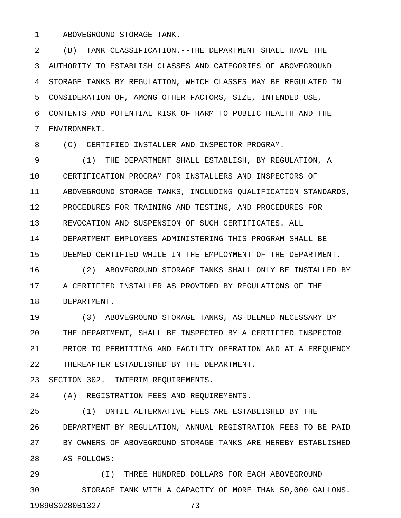1 ABOVEGROUND STORAGE TANK.

2 (B) TANK CLASSIFICATION.--THE DEPARTMENT SHALL HAVE THE 3 AUTHORITY TO ESTABLISH CLASSES AND CATEGORIES OF ABOVEGROUND 4 STORAGE TANKS BY REGULATION, WHICH CLASSES MAY BE REGULATED IN 5 CONSIDERATION OF, AMONG OTHER FACTORS, SIZE, INTENDED USE, 6 CONTENTS AND POTENTIAL RISK OF HARM TO PUBLIC HEALTH AND THE 7 ENVIRONMENT.

8 (C) CERTIFIED INSTALLER AND INSPECTOR PROGRAM.--

9 (1) THE DEPARTMENT SHALL ESTABLISH, BY REGULATION, A 10 CERTIFICATION PROGRAM FOR INSTALLERS AND INSPECTORS OF 11 ABOVEGROUND STORAGE TANKS, INCLUDING QUALIFICATION STANDARDS, 12 PROCEDURES FOR TRAINING AND TESTING, AND PROCEDURES FOR 13 REVOCATION AND SUSPENSION OF SUCH CERTIFICATES. ALL 14 DEPARTMENT EMPLOYEES ADMINISTERING THIS PROGRAM SHALL BE 15 DEEMED CERTIFIED WHILE IN THE EMPLOYMENT OF THE DEPARTMENT. 16 (2) ABOVEGROUND STORAGE TANKS SHALL ONLY BE INSTALLED BY

17 A CERTIFIED INSTALLER AS PROVIDED BY REGULATIONS OF THE 18 DEPARTMENT.

19 (3) ABOVEGROUND STORAGE TANKS, AS DEEMED NECESSARY BY 20 THE DEPARTMENT, SHALL BE INSPECTED BY A CERTIFIED INSPECTOR 21 PRIOR TO PERMITTING AND FACILITY OPERATION AND AT A FREQUENCY 22 THEREAFTER ESTABLISHED BY THE DEPARTMENT.

23 SECTION 302. INTERIM REQUIREMENTS.

24 (A) REGISTRATION FEES AND REQUIREMENTS.--

25 (1) UNTIL ALTERNATIVE FEES ARE ESTABLISHED BY THE 26 DEPARTMENT BY REGULATION, ANNUAL REGISTRATION FEES TO BE PAID 27 BY OWNERS OF ABOVEGROUND STORAGE TANKS ARE HEREBY ESTABLISHED 28 AS FOLLOWS:

29 (I) THREE HUNDRED DOLLARS FOR EACH ABOVEGROUND 30 STORAGE TANK WITH A CAPACITY OF MORE THAN 50,000 GALLONS. 19890S0280B1327 - 73 -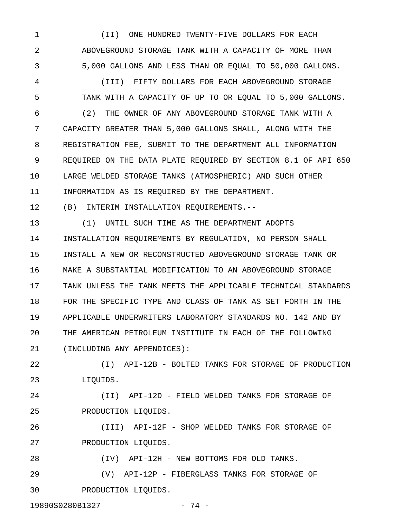1 (II) ONE HUNDRED TWENTY-FIVE DOLLARS FOR EACH 2 ABOVEGROUND STORAGE TANK WITH A CAPACITY OF MORE THAN 3 5,000 GALLONS AND LESS THAN OR EQUAL TO 50,000 GALLONS.

4 (III) FIFTY DOLLARS FOR EACH ABOVEGROUND STORAGE 5 TANK WITH A CAPACITY OF UP TO OR EQUAL TO 5,000 GALLONS.

6 (2) THE OWNER OF ANY ABOVEGROUND STORAGE TANK WITH A 7 CAPACITY GREATER THAN 5,000 GALLONS SHALL, ALONG WITH THE 8 REGISTRATION FEE, SUBMIT TO THE DEPARTMENT ALL INFORMATION 9 REQUIRED ON THE DATA PLATE REQUIRED BY SECTION 8.1 OF API 650 10 LARGE WELDED STORAGE TANKS (ATMOSPHERIC) AND SUCH OTHER 11 INFORMATION AS IS REQUIRED BY THE DEPARTMENT.

12 (B) INTERIM INSTALLATION REQUIREMENTS.--

13 (1) UNTIL SUCH TIME AS THE DEPARTMENT ADOPTS 14 INSTALLATION REQUIREMENTS BY REGULATION, NO PERSON SHALL 15 INSTALL A NEW OR RECONSTRUCTED ABOVEGROUND STORAGE TANK OR 16 MAKE A SUBSTANTIAL MODIFICATION TO AN ABOVEGROUND STORAGE 17 TANK UNLESS THE TANK MEETS THE APPLICABLE TECHNICAL STANDARDS 18 FOR THE SPECIFIC TYPE AND CLASS OF TANK AS SET FORTH IN THE 19 APPLICABLE UNDERWRITERS LABORATORY STANDARDS NO. 142 AND BY 20 THE AMERICAN PETROLEUM INSTITUTE IN EACH OF THE FOLLOWING 21 (INCLUDING ANY APPENDICES):

22 (I) API-12B - BOLTED TANKS FOR STORAGE OF PRODUCTION 23 LIQUIDS.

24 (II) API-12D - FIELD WELDED TANKS FOR STORAGE OF 25 PRODUCTION LIQUIDS.

26 (III) API-12F - SHOP WELDED TANKS FOR STORAGE OF 27 PRODUCTION LIQUIDS.

28 (IV) API-12H - NEW BOTTOMS FOR OLD TANKS. 29 (V) API-12P - FIBERGLASS TANKS FOR STORAGE OF

30 PRODUCTION LIQUIDS.

19890S0280B1327 - 74 -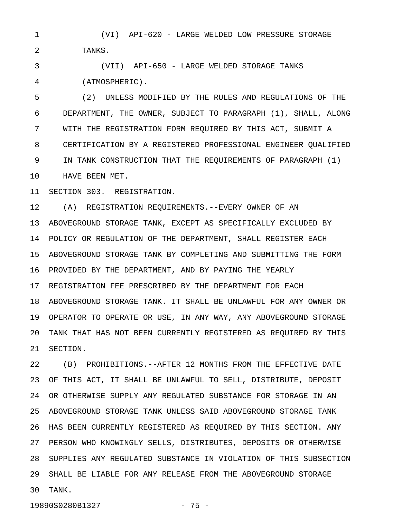1 (VI) API-620 - LARGE WELDED LOW PRESSURE STORAGE 2 TANKS.

3 (VII) API-650 - LARGE WELDED STORAGE TANKS 4 (ATMOSPHERIC).

5 (2) UNLESS MODIFIED BY THE RULES AND REGULATIONS OF THE 6 DEPARTMENT, THE OWNER, SUBJECT TO PARAGRAPH (1), SHALL, ALONG 7 WITH THE REGISTRATION FORM REQUIRED BY THIS ACT, SUBMIT A 8 CERTIFICATION BY A REGISTERED PROFESSIONAL ENGINEER QUALIFIED 9 IN TANK CONSTRUCTION THAT THE REQUIREMENTS OF PARAGRAPH (1) 10 HAVE BEEN MET.

11 SECTION 303. REGISTRATION.

12 (A) REGISTRATION REQUIREMENTS.--EVERY OWNER OF AN 13 ABOVEGROUND STORAGE TANK, EXCEPT AS SPECIFICALLY EXCLUDED BY 14 POLICY OR REGULATION OF THE DEPARTMENT, SHALL REGISTER EACH 15 ABOVEGROUND STORAGE TANK BY COMPLETING AND SUBMITTING THE FORM 16 PROVIDED BY THE DEPARTMENT, AND BY PAYING THE YEARLY 17 REGISTRATION FEE PRESCRIBED BY THE DEPARTMENT FOR EACH 18 ABOVEGROUND STORAGE TANK. IT SHALL BE UNLAWFUL FOR ANY OWNER OR 19 OPERATOR TO OPERATE OR USE, IN ANY WAY, ANY ABOVEGROUND STORAGE 20 TANK THAT HAS NOT BEEN CURRENTLY REGISTERED AS REQUIRED BY THIS 21 SECTION.

22 (B) PROHIBITIONS.--AFTER 12 MONTHS FROM THE EFFECTIVE DATE 23 OF THIS ACT, IT SHALL BE UNLAWFUL TO SELL, DISTRIBUTE, DEPOSIT 24 OR OTHERWISE SUPPLY ANY REGULATED SUBSTANCE FOR STORAGE IN AN 25 ABOVEGROUND STORAGE TANK UNLESS SAID ABOVEGROUND STORAGE TANK 26 HAS BEEN CURRENTLY REGISTERED AS REQUIRED BY THIS SECTION. ANY 27 PERSON WHO KNOWINGLY SELLS, DISTRIBUTES, DEPOSITS OR OTHERWISE 28 SUPPLIES ANY REGULATED SUBSTANCE IN VIOLATION OF THIS SUBSECTION 29 SHALL BE LIABLE FOR ANY RELEASE FROM THE ABOVEGROUND STORAGE 30 TANK.

19890S0280B1327 - 75 -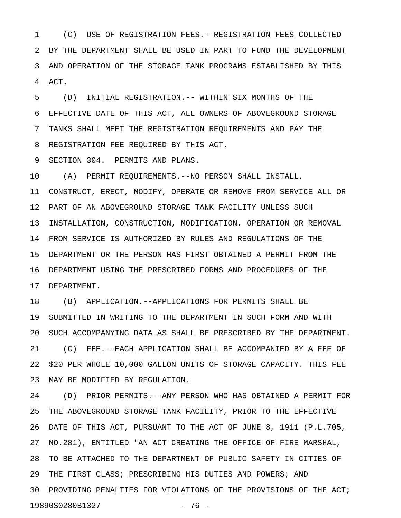1 (C) USE OF REGISTRATION FEES.--REGISTRATION FEES COLLECTED 2 BY THE DEPARTMENT SHALL BE USED IN PART TO FUND THE DEVELOPMENT 3 AND OPERATION OF THE STORAGE TANK PROGRAMS ESTABLISHED BY THIS 4 ACT.

5 (D) INITIAL REGISTRATION.-- WITHIN SIX MONTHS OF THE 6 EFFECTIVE DATE OF THIS ACT, ALL OWNERS OF ABOVEGROUND STORAGE 7 TANKS SHALL MEET THE REGISTRATION REQUIREMENTS AND PAY THE 8 REGISTRATION FEE REQUIRED BY THIS ACT.

9 SECTION 304. PERMITS AND PLANS.

10 (A) PERMIT REQUIREMENTS.--NO PERSON SHALL INSTALL, 11 CONSTRUCT, ERECT, MODIFY, OPERATE OR REMOVE FROM SERVICE ALL OR 12 PART OF AN ABOVEGROUND STORAGE TANK FACILITY UNLESS SUCH 13 INSTALLATION, CONSTRUCTION, MODIFICATION, OPERATION OR REMOVAL 14 FROM SERVICE IS AUTHORIZED BY RULES AND REGULATIONS OF THE 15 DEPARTMENT OR THE PERSON HAS FIRST OBTAINED A PERMIT FROM THE 16 DEPARTMENT USING THE PRESCRIBED FORMS AND PROCEDURES OF THE 17 DEPARTMENT.

18 (B) APPLICATION.--APPLICATIONS FOR PERMITS SHALL BE 19 SUBMITTED IN WRITING TO THE DEPARTMENT IN SUCH FORM AND WITH 20 SUCH ACCOMPANYING DATA AS SHALL BE PRESCRIBED BY THE DEPARTMENT. 21 (C) FEE.--EACH APPLICATION SHALL BE ACCOMPANIED BY A FEE OF 22 \$20 PER WHOLE 10,000 GALLON UNITS OF STORAGE CAPACITY. THIS FEE 23 MAY BE MODIFIED BY REGULATION.

24 (D) PRIOR PERMITS.--ANY PERSON WHO HAS OBTAINED A PERMIT FOR 25 THE ABOVEGROUND STORAGE TANK FACILITY, PRIOR TO THE EFFECTIVE 26 DATE OF THIS ACT, PURSUANT TO THE ACT OF JUNE 8, 1911 (P.L.705, 27 NO.281), ENTITLED "AN ACT CREATING THE OFFICE OF FIRE MARSHAL, 28 TO BE ATTACHED TO THE DEPARTMENT OF PUBLIC SAFETY IN CITIES OF 29 THE FIRST CLASS; PRESCRIBING HIS DUTIES AND POWERS; AND 30 PROVIDING PENALTIES FOR VIOLATIONS OF THE PROVISIONS OF THE ACT; 19890S0280B1327 - 76 -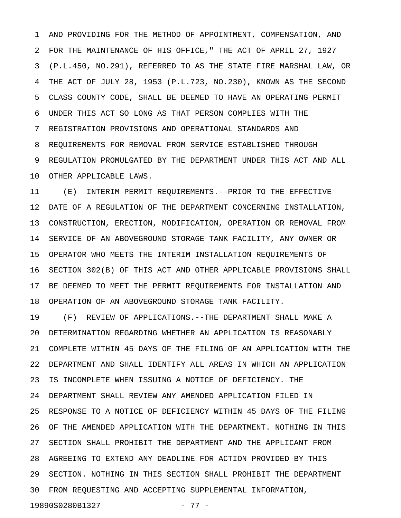1 AND PROVIDING FOR THE METHOD OF APPOINTMENT, COMPENSATION, AND 2 FOR THE MAINTENANCE OF HIS OFFICE," THE ACT OF APRIL 27, 1927 3 (P.L.450, NO.291), REFERRED TO AS THE STATE FIRE MARSHAL LAW, OR 4 THE ACT OF JULY 28, 1953 (P.L.723, NO.230), KNOWN AS THE SECOND 5 CLASS COUNTY CODE, SHALL BE DEEMED TO HAVE AN OPERATING PERMIT 6 UNDER THIS ACT SO LONG AS THAT PERSON COMPLIES WITH THE 7 REGISTRATION PROVISIONS AND OPERATIONAL STANDARDS AND 8 REQUIREMENTS FOR REMOVAL FROM SERVICE ESTABLISHED THROUGH 9 REGULATION PROMULGATED BY THE DEPARTMENT UNDER THIS ACT AND ALL 10 OTHER APPLICABLE LAWS.

11 (E) INTERIM PERMIT REQUIREMENTS.--PRIOR TO THE EFFECTIVE 12 DATE OF A REGULATION OF THE DEPARTMENT CONCERNING INSTALLATION, 13 CONSTRUCTION, ERECTION, MODIFICATION, OPERATION OR REMOVAL FROM 14 SERVICE OF AN ABOVEGROUND STORAGE TANK FACILITY, ANY OWNER OR 15 OPERATOR WHO MEETS THE INTERIM INSTALLATION REQUIREMENTS OF 16 SECTION 302(B) OF THIS ACT AND OTHER APPLICABLE PROVISIONS SHALL 17 BE DEEMED TO MEET THE PERMIT REQUIREMENTS FOR INSTALLATION AND 18 OPERATION OF AN ABOVEGROUND STORAGE TANK FACILITY.

19 (F) REVIEW OF APPLICATIONS.--THE DEPARTMENT SHALL MAKE A 20 DETERMINATION REGARDING WHETHER AN APPLICATION IS REASONABLY 21 COMPLETE WITHIN 45 DAYS OF THE FILING OF AN APPLICATION WITH THE 22 DEPARTMENT AND SHALL IDENTIFY ALL AREAS IN WHICH AN APPLICATION 23 IS INCOMPLETE WHEN ISSUING A NOTICE OF DEFICIENCY. THE 24 DEPARTMENT SHALL REVIEW ANY AMENDED APPLICATION FILED IN 25 RESPONSE TO A NOTICE OF DEFICIENCY WITHIN 45 DAYS OF THE FILING 26 OF THE AMENDED APPLICATION WITH THE DEPARTMENT. NOTHING IN THIS 27 SECTION SHALL PROHIBIT THE DEPARTMENT AND THE APPLICANT FROM 28 AGREEING TO EXTEND ANY DEADLINE FOR ACTION PROVIDED BY THIS 29 SECTION. NOTHING IN THIS SECTION SHALL PROHIBIT THE DEPARTMENT 30 FROM REQUESTING AND ACCEPTING SUPPLEMENTAL INFORMATION, 19890S0280B1327 - 77 -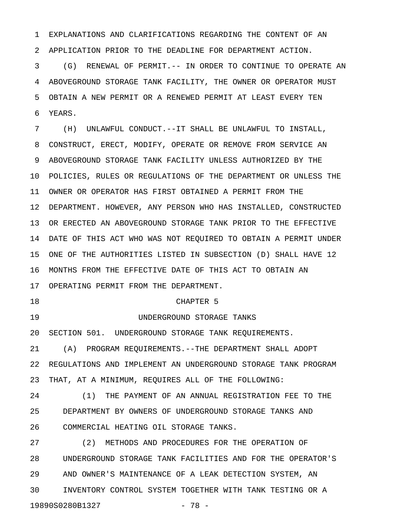1 EXPLANATIONS AND CLARIFICATIONS REGARDING THE CONTENT OF AN 2 APPLICATION PRIOR TO THE DEADLINE FOR DEPARTMENT ACTION.

3 (G) RENEWAL OF PERMIT.-- IN ORDER TO CONTINUE TO OPERATE AN 4 ABOVEGROUND STORAGE TANK FACILITY, THE OWNER OR OPERATOR MUST 5 OBTAIN A NEW PERMIT OR A RENEWED PERMIT AT LEAST EVERY TEN 6 YEARS.

7 (H) UNLAWFUL CONDUCT.--IT SHALL BE UNLAWFUL TO INSTALL, 8 CONSTRUCT, ERECT, MODIFY, OPERATE OR REMOVE FROM SERVICE AN 9 ABOVEGROUND STORAGE TANK FACILITY UNLESS AUTHORIZED BY THE 10 POLICIES, RULES OR REGULATIONS OF THE DEPARTMENT OR UNLESS THE 11 OWNER OR OPERATOR HAS FIRST OBTAINED A PERMIT FROM THE 12 DEPARTMENT. HOWEVER, ANY PERSON WHO HAS INSTALLED, CONSTRUCTED 13 OR ERECTED AN ABOVEGROUND STORAGE TANK PRIOR TO THE EFFECTIVE 14 DATE OF THIS ACT WHO WAS NOT REQUIRED TO OBTAIN A PERMIT UNDER 15 ONE OF THE AUTHORITIES LISTED IN SUBSECTION (D) SHALL HAVE 12 16 MONTHS FROM THE EFFECTIVE DATE OF THIS ACT TO OBTAIN AN 17 OPERATING PERMIT FROM THE DEPARTMENT.

18 CHAPTER 5

19 UNDERGROUND STORAGE TANKS

20 SECTION 501. UNDERGROUND STORAGE TANK REQUIREMENTS.

21 (A) PROGRAM REQUIREMENTS.--THE DEPARTMENT SHALL ADOPT 22 REGULATIONS AND IMPLEMENT AN UNDERGROUND STORAGE TANK PROGRAM 23 THAT, AT A MINIMUM, REQUIRES ALL OF THE FOLLOWING:

24 (1) THE PAYMENT OF AN ANNUAL REGISTRATION FEE TO THE 25 DEPARTMENT BY OWNERS OF UNDERGROUND STORAGE TANKS AND 26 COMMERCIAL HEATING OIL STORAGE TANKS.

27 (2) METHODS AND PROCEDURES FOR THE OPERATION OF 28 UNDERGROUND STORAGE TANK FACILITIES AND FOR THE OPERATOR'S 29 AND OWNER'S MAINTENANCE OF A LEAK DETECTION SYSTEM, AN 30 INVENTORY CONTROL SYSTEM TOGETHER WITH TANK TESTING OR A 19890S0280B1327 - 78 -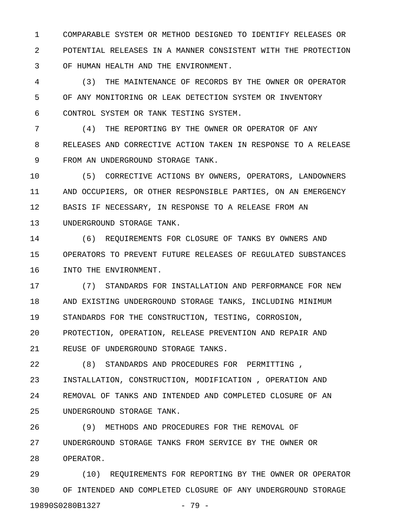1 COMPARABLE SYSTEM OR METHOD DESIGNED TO IDENTIFY RELEASES OR 2 POTENTIAL RELEASES IN A MANNER CONSISTENT WITH THE PROTECTION 3 OF HUMAN HEALTH AND THE ENVIRONMENT.

4 (3) THE MAINTENANCE OF RECORDS BY THE OWNER OR OPERATOR 5 OF ANY MONITORING OR LEAK DETECTION SYSTEM OR INVENTORY 6 CONTROL SYSTEM OR TANK TESTING SYSTEM.

7 (4) THE REPORTING BY THE OWNER OR OPERATOR OF ANY 8 RELEASES AND CORRECTIVE ACTION TAKEN IN RESPONSE TO A RELEASE 9 FROM AN UNDERGROUND STORAGE TANK.

10 (5) CORRECTIVE ACTIONS BY OWNERS, OPERATORS, LANDOWNERS 11 AND OCCUPIERS, OR OTHER RESPONSIBLE PARTIES, ON AN EMERGENCY 12 BASIS IF NECESSARY, IN RESPONSE TO A RELEASE FROM AN 13 UNDERGROUND STORAGE TANK.

14 (6) REQUIREMENTS FOR CLOSURE OF TANKS BY OWNERS AND 15 OPERATORS TO PREVENT FUTURE RELEASES OF REGULATED SUBSTANCES 16 INTO THE ENVIRONMENT.

17 (7) STANDARDS FOR INSTALLATION AND PERFORMANCE FOR NEW 18 AND EXISTING UNDERGROUND STORAGE TANKS, INCLUDING MINIMUM 19 STANDARDS FOR THE CONSTRUCTION, TESTING, CORROSION, 20 PROTECTION, OPERATION, RELEASE PREVENTION AND REPAIR AND 21 REUSE OF UNDERGROUND STORAGE TANKS.

22 (8) STANDARDS AND PROCEDURES FOR PERMITTING , 23 INSTALLATION, CONSTRUCTION, MODIFICATION , OPERATION AND 24 REMOVAL OF TANKS AND INTENDED AND COMPLETED CLOSURE OF AN 25 UNDERGROUND STORAGE TANK.

26 (9) METHODS AND PROCEDURES FOR THE REMOVAL OF 27 UNDERGROUND STORAGE TANKS FROM SERVICE BY THE OWNER OR 28 OPERATOR.

29 (10) REQUIREMENTS FOR REPORTING BY THE OWNER OR OPERATOR 30 OF INTENDED AND COMPLETED CLOSURE OF ANY UNDERGROUND STORAGE 19890S0280B1327 - 79 -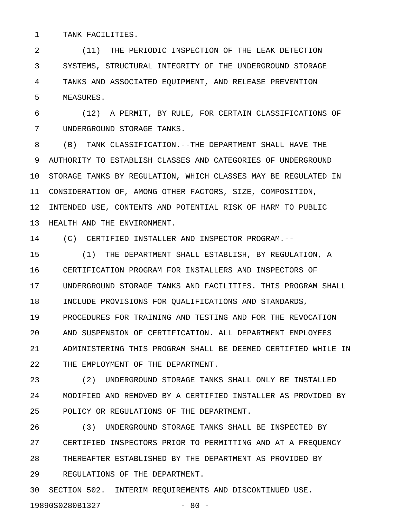1 TANK FACILITIES.

2 (11) THE PERIODIC INSPECTION OF THE LEAK DETECTION 3 SYSTEMS, STRUCTURAL INTEGRITY OF THE UNDERGROUND STORAGE 4 TANKS AND ASSOCIATED EQUIPMENT, AND RELEASE PREVENTION 5 MEASURES.

6 (12) A PERMIT, BY RULE, FOR CERTAIN CLASSIFICATIONS OF 7 UNDERGROUND STORAGE TANKS.

8 (B) TANK CLASSIFICATION.--THE DEPARTMENT SHALL HAVE THE 9 AUTHORITY TO ESTABLISH CLASSES AND CATEGORIES OF UNDERGROUND 10 STORAGE TANKS BY REGULATION, WHICH CLASSES MAY BE REGULATED IN 11 CONSIDERATION OF, AMONG OTHER FACTORS, SIZE, COMPOSITION, 12 INTENDED USE, CONTENTS AND POTENTIAL RISK OF HARM TO PUBLIC 13 HEALTH AND THE ENVIRONMENT.

14 (C) CERTIFIED INSTALLER AND INSPECTOR PROGRAM.--

15 (1) THE DEPARTMENT SHALL ESTABLISH, BY REGULATION, A 16 CERTIFICATION PROGRAM FOR INSTALLERS AND INSPECTORS OF 17 UNDERGROUND STORAGE TANKS AND FACILITIES. THIS PROGRAM SHALL 18 INCLUDE PROVISIONS FOR QUALIFICATIONS AND STANDARDS, 19 PROCEDURES FOR TRAINING AND TESTING AND FOR THE REVOCATION 20 AND SUSPENSION OF CERTIFICATION. ALL DEPARTMENT EMPLOYEES 21 ADMINISTERING THIS PROGRAM SHALL BE DEEMED CERTIFIED WHILE IN 22 THE EMPLOYMENT OF THE DEPARTMENT.

23 (2) UNDERGROUND STORAGE TANKS SHALL ONLY BE INSTALLED 24 MODIFIED AND REMOVED BY A CERTIFIED INSTALLER AS PROVIDED BY 25 POLICY OR REGULATIONS OF THE DEPARTMENT.

26 (3) UNDERGROUND STORAGE TANKS SHALL BE INSPECTED BY 27 CERTIFIED INSPECTORS PRIOR TO PERMITTING AND AT A FREQUENCY 28 THEREAFTER ESTABLISHED BY THE DEPARTMENT AS PROVIDED BY 29 REGULATIONS OF THE DEPARTMENT.

30 SECTION 502. INTERIM REQUIREMENTS AND DISCONTINUED USE.

19890S0280B1327 - 80 -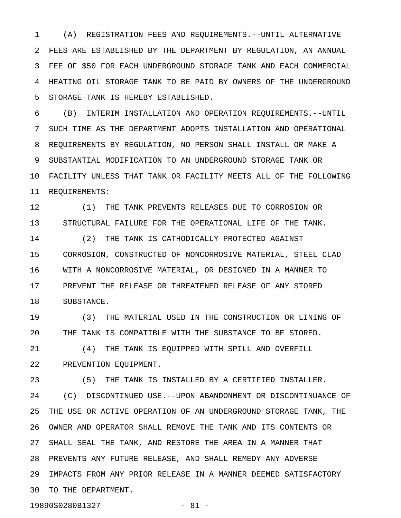1 (A) REGISTRATION FEES AND REQUIREMENTS.--UNTIL ALTERNATIVE 2 FEES ARE ESTABLISHED BY THE DEPARTMENT BY REGULATION, AN ANNUAL 3 FEE OF \$50 FOR EACH UNDERGROUND STORAGE TANK AND EACH COMMERCIAL 4 HEATING OIL STORAGE TANK TO BE PAID BY OWNERS OF THE UNDERGROUND 5 STORAGE TANK IS HEREBY ESTABLISHED.

6 (B) INTERIM INSTALLATION AND OPERATION REQUIREMENTS.--UNTIL 7 SUCH TIME AS THE DEPARTMENT ADOPTS INSTALLATION AND OPERATIONAL 8 REQUIREMENTS BY REGULATION, NO PERSON SHALL INSTALL OR MAKE A 9 SUBSTANTIAL MODIFICATION TO AN UNDERGROUND STORAGE TANK OR 10 FACILITY UNLESS THAT TANK OR FACILITY MEETS ALL OF THE FOLLOWING 11 REQUIREMENTS:

12 (1) THE TANK PREVENTS RELEASES DUE TO CORROSION OR 13 STRUCTURAL FAILURE FOR THE OPERATIONAL LIFE OF THE TANK.

14 (2) THE TANK IS CATHODICALLY PROTECTED AGAINST 15 CORROSION, CONSTRUCTED OF NONCORROSIVE MATERIAL, STEEL CLAD 16 WITH A NONCORROSIVE MATERIAL, OR DESIGNED IN A MANNER TO 17 PREVENT THE RELEASE OR THREATENED RELEASE OF ANY STORED 18 SUBSTANCE.

19 (3) THE MATERIAL USED IN THE CONSTRUCTION OR LINING OF 20 THE TANK IS COMPATIBLE WITH THE SUBSTANCE TO BE STORED.

21 (4) THE TANK IS EQUIPPED WITH SPILL AND OVERFILL 22 PREVENTION EQUIPMENT.

23 (5) THE TANK IS INSTALLED BY A CERTIFIED INSTALLER. 24 (C) DISCONTINUED USE.--UPON ABANDONMENT OR DISCONTINUANCE OF 25 THE USE OR ACTIVE OPERATION OF AN UNDERGROUND STORAGE TANK, THE 26 OWNER AND OPERATOR SHALL REMOVE THE TANK AND ITS CONTENTS OR 27 SHALL SEAL THE TANK, AND RESTORE THE AREA IN A MANNER THAT 28 PREVENTS ANY FUTURE RELEASE, AND SHALL REMEDY ANY ADVERSE 29 IMPACTS FROM ANY PRIOR RELEASE IN A MANNER DEEMED SATISFACTORY 30 TO THE DEPARTMENT.

19890S0280B1327 - 81 -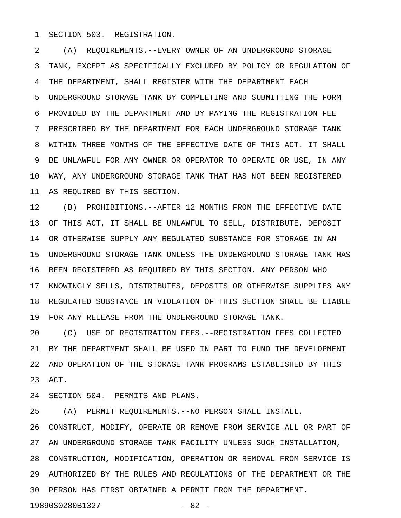1 SECTION 503. REGISTRATION.

2 (A) REQUIREMENTS.--EVERY OWNER OF AN UNDERGROUND STORAGE 3 TANK, EXCEPT AS SPECIFICALLY EXCLUDED BY POLICY OR REGULATION OF 4 THE DEPARTMENT, SHALL REGISTER WITH THE DEPARTMENT EACH 5 UNDERGROUND STORAGE TANK BY COMPLETING AND SUBMITTING THE FORM 6 PROVIDED BY THE DEPARTMENT AND BY PAYING THE REGISTRATION FEE 7 PRESCRIBED BY THE DEPARTMENT FOR EACH UNDERGROUND STORAGE TANK 8 WITHIN THREE MONTHS OF THE EFFECTIVE DATE OF THIS ACT. IT SHALL 9 BE UNLAWFUL FOR ANY OWNER OR OPERATOR TO OPERATE OR USE, IN ANY 10 WAY, ANY UNDERGROUND STORAGE TANK THAT HAS NOT BEEN REGISTERED 11 AS REQUIRED BY THIS SECTION.

12 (B) PROHIBITIONS.--AFTER 12 MONTHS FROM THE EFFECTIVE DATE 13 OF THIS ACT, IT SHALL BE UNLAWFUL TO SELL, DISTRIBUTE, DEPOSIT 14 OR OTHERWISE SUPPLY ANY REGULATED SUBSTANCE FOR STORAGE IN AN 15 UNDERGROUND STORAGE TANK UNLESS THE UNDERGROUND STORAGE TANK HAS 16 BEEN REGISTERED AS REQUIRED BY THIS SECTION. ANY PERSON WHO 17 KNOWINGLY SELLS, DISTRIBUTES, DEPOSITS OR OTHERWISE SUPPLIES ANY 18 REGULATED SUBSTANCE IN VIOLATION OF THIS SECTION SHALL BE LIABLE 19 FOR ANY RELEASE FROM THE UNDERGROUND STORAGE TANK.

20 (C) USE OF REGISTRATION FEES.--REGISTRATION FEES COLLECTED 21 BY THE DEPARTMENT SHALL BE USED IN PART TO FUND THE DEVELOPMENT 22 AND OPERATION OF THE STORAGE TANK PROGRAMS ESTABLISHED BY THIS 23 ACT.

24 SECTION 504. PERMITS AND PLANS.

25 (A) PERMIT REQUIREMENTS.--NO PERSON SHALL INSTALL, 26 CONSTRUCT, MODIFY, OPERATE OR REMOVE FROM SERVICE ALL OR PART OF 27 AN UNDERGROUND STORAGE TANK FACILITY UNLESS SUCH INSTALLATION, 28 CONSTRUCTION, MODIFICATION, OPERATION OR REMOVAL FROM SERVICE IS 29 AUTHORIZED BY THE RULES AND REGULATIONS OF THE DEPARTMENT OR THE 30 PERSON HAS FIRST OBTAINED A PERMIT FROM THE DEPARTMENT. 19890S0280B1327 - 82 -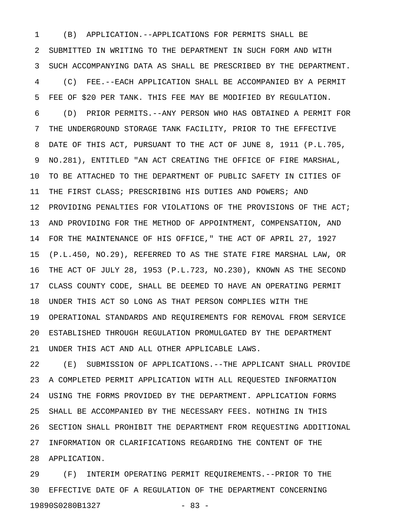1 (B) APPLICATION.--APPLICATIONS FOR PERMITS SHALL BE 2 SUBMITTED IN WRITING TO THE DEPARTMENT IN SUCH FORM AND WITH 3 SUCH ACCOMPANYING DATA AS SHALL BE PRESCRIBED BY THE DEPARTMENT. 4 (C) FEE.--EACH APPLICATION SHALL BE ACCOMPANIED BY A PERMIT 5 FEE OF \$20 PER TANK. THIS FEE MAY BE MODIFIED BY REGULATION. 6 (D) PRIOR PERMITS.--ANY PERSON WHO HAS OBTAINED A PERMIT FOR 7 THE UNDERGROUND STORAGE TANK FACILITY, PRIOR TO THE EFFECTIVE 8 DATE OF THIS ACT, PURSUANT TO THE ACT OF JUNE 8, 1911 (P.L.705, 9 NO.281), ENTITLED "AN ACT CREATING THE OFFICE OF FIRE MARSHAL, 10 TO BE ATTACHED TO THE DEPARTMENT OF PUBLIC SAFETY IN CITIES OF 11 THE FIRST CLASS; PRESCRIBING HIS DUTIES AND POWERS; AND 12 PROVIDING PENALTIES FOR VIOLATIONS OF THE PROVISIONS OF THE ACT; 13 AND PROVIDING FOR THE METHOD OF APPOINTMENT, COMPENSATION, AND 14 FOR THE MAINTENANCE OF HIS OFFICE," THE ACT OF APRIL 27, 1927 15 (P.L.450, NO.29), REFERRED TO AS THE STATE FIRE MARSHAL LAW, OR 16 THE ACT OF JULY 28, 1953 (P.L.723, NO.230), KNOWN AS THE SECOND 17 CLASS COUNTY CODE, SHALL BE DEEMED TO HAVE AN OPERATING PERMIT 18 UNDER THIS ACT SO LONG AS THAT PERSON COMPLIES WITH THE 19 OPERATIONAL STANDARDS AND REQUIREMENTS FOR REMOVAL FROM SERVICE 20 ESTABLISHED THROUGH REGULATION PROMULGATED BY THE DEPARTMENT 21 UNDER THIS ACT AND ALL OTHER APPLICABLE LAWS.

22 (E) SUBMISSION OF APPLICATIONS.--THE APPLICANT SHALL PROVIDE 23 A COMPLETED PERMIT APPLICATION WITH ALL REQUESTED INFORMATION 24 USING THE FORMS PROVIDED BY THE DEPARTMENT. APPLICATION FORMS 25 SHALL BE ACCOMPANIED BY THE NECESSARY FEES. NOTHING IN THIS 26 SECTION SHALL PROHIBIT THE DEPARTMENT FROM REQUESTING ADDITIONAL 27 INFORMATION OR CLARIFICATIONS REGARDING THE CONTENT OF THE 28 APPLICATION.

29 (F) INTERIM OPERATING PERMIT REQUIREMENTS.--PRIOR TO THE 30 EFFECTIVE DATE OF A REGULATION OF THE DEPARTMENT CONCERNING 19890S0280B1327 - 83 -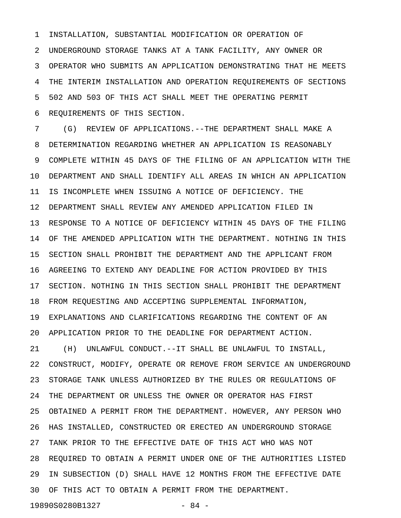1 INSTALLATION, SUBSTANTIAL MODIFICATION OR OPERATION OF 2 UNDERGROUND STORAGE TANKS AT A TANK FACILITY, ANY OWNER OR 3 OPERATOR WHO SUBMITS AN APPLICATION DEMONSTRATING THAT HE MEETS 4 THE INTERIM INSTALLATION AND OPERATION REQUIREMENTS OF SECTIONS 5 502 AND 503 OF THIS ACT SHALL MEET THE OPERATING PERMIT 6 REQUIREMENTS OF THIS SECTION.

7 (G) REVIEW OF APPLICATIONS.--THE DEPARTMENT SHALL MAKE A 8 DETERMINATION REGARDING WHETHER AN APPLICATION IS REASONABLY 9 COMPLETE WITHIN 45 DAYS OF THE FILING OF AN APPLICATION WITH THE 10 DEPARTMENT AND SHALL IDENTIFY ALL AREAS IN WHICH AN APPLICATION 11 IS INCOMPLETE WHEN ISSUING A NOTICE OF DEFICIENCY. THE 12 DEPARTMENT SHALL REVIEW ANY AMENDED APPLICATION FILED IN 13 RESPONSE TO A NOTICE OF DEFICIENCY WITHIN 45 DAYS OF THE FILING 14 OF THE AMENDED APPLICATION WITH THE DEPARTMENT. NOTHING IN THIS 15 SECTION SHALL PROHIBIT THE DEPARTMENT AND THE APPLICANT FROM 16 AGREEING TO EXTEND ANY DEADLINE FOR ACTION PROVIDED BY THIS 17 SECTION. NOTHING IN THIS SECTION SHALL PROHIBIT THE DEPARTMENT 18 FROM REQUESTING AND ACCEPTING SUPPLEMENTAL INFORMATION, 19 EXPLANATIONS AND CLARIFICATIONS REGARDING THE CONTENT OF AN 20 APPLICATION PRIOR TO THE DEADLINE FOR DEPARTMENT ACTION. 21 (H) UNLAWFUL CONDUCT.--IT SHALL BE UNLAWFUL TO INSTALL,

22 CONSTRUCT, MODIFY, OPERATE OR REMOVE FROM SERVICE AN UNDERGROUND 23 STORAGE TANK UNLESS AUTHORIZED BY THE RULES OR REGULATIONS OF 24 THE DEPARTMENT OR UNLESS THE OWNER OR OPERATOR HAS FIRST 25 OBTAINED A PERMIT FROM THE DEPARTMENT. HOWEVER, ANY PERSON WHO 26 HAS INSTALLED, CONSTRUCTED OR ERECTED AN UNDERGROUND STORAGE 27 TANK PRIOR TO THE EFFECTIVE DATE OF THIS ACT WHO WAS NOT 28 REQUIRED TO OBTAIN A PERMIT UNDER ONE OF THE AUTHORITIES LISTED 29 IN SUBSECTION (D) SHALL HAVE 12 MONTHS FROM THE EFFECTIVE DATE 30 OF THIS ACT TO OBTAIN A PERMIT FROM THE DEPARTMENT.

19890S0280B1327 - 84 -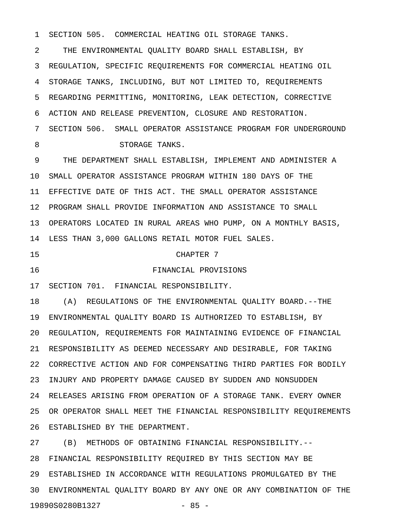1 SECTION 505. COMMERCIAL HEATING OIL STORAGE TANKS.

2 THE ENVIRONMENTAL QUALITY BOARD SHALL ESTABLISH, BY 3 REGULATION, SPECIFIC REQUIREMENTS FOR COMMERCIAL HEATING OIL 4 STORAGE TANKS, INCLUDING, BUT NOT LIMITED TO, REQUIREMENTS 5 REGARDING PERMITTING, MONITORING, LEAK DETECTION, CORRECTIVE 6 ACTION AND RELEASE PREVENTION, CLOSURE AND RESTORATION. 7 SECTION 506. SMALL OPERATOR ASSISTANCE PROGRAM FOR UNDERGROUND

8 STORAGE TANKS.

9 THE DEPARTMENT SHALL ESTABLISH, IMPLEMENT AND ADMINISTER A 10 SMALL OPERATOR ASSISTANCE PROGRAM WITHIN 180 DAYS OF THE 11 EFFECTIVE DATE OF THIS ACT. THE SMALL OPERATOR ASSISTANCE 12 PROGRAM SHALL PROVIDE INFORMATION AND ASSISTANCE TO SMALL 13 OPERATORS LOCATED IN RURAL AREAS WHO PUMP, ON A MONTHLY BASIS, 14 LESS THAN 3,000 GALLONS RETAIL MOTOR FUEL SALES.

## 15 CHAPTER 7

16 FINANCIAL PROVISIONS

17 SECTION 701. FINANCIAL RESPONSIBILITY.

18 (A) REGULATIONS OF THE ENVIRONMENTAL QUALITY BOARD.--THE 19 ENVIRONMENTAL QUALITY BOARD IS AUTHORIZED TO ESTABLISH, BY 20 REGULATION, REQUIREMENTS FOR MAINTAINING EVIDENCE OF FINANCIAL 21 RESPONSIBILITY AS DEEMED NECESSARY AND DESIRABLE, FOR TAKING 22 CORRECTIVE ACTION AND FOR COMPENSATING THIRD PARTIES FOR BODILY 23 INJURY AND PROPERTY DAMAGE CAUSED BY SUDDEN AND NONSUDDEN 24 RELEASES ARISING FROM OPERATION OF A STORAGE TANK. EVERY OWNER 25 OR OPERATOR SHALL MEET THE FINANCIAL RESPONSIBILITY REQUIREMENTS 26 ESTABLISHED BY THE DEPARTMENT.

27 (B) METHODS OF OBTAINING FINANCIAL RESPONSIBILITY.-- 28 FINANCIAL RESPONSIBILITY REQUIRED BY THIS SECTION MAY BE 29 ESTABLISHED IN ACCORDANCE WITH REGULATIONS PROMULGATED BY THE 30 ENVIRONMENTAL QUALITY BOARD BY ANY ONE OR ANY COMBINATION OF THE 19890S0280B1327 - 85 -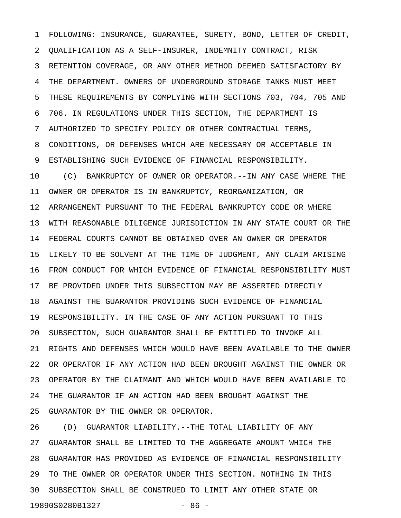1 FOLLOWING: INSURANCE, GUARANTEE, SURETY, BOND, LETTER OF CREDIT, 2 QUALIFICATION AS A SELF-INSURER, INDEMNITY CONTRACT, RISK 3 RETENTION COVERAGE, OR ANY OTHER METHOD DEEMED SATISFACTORY BY 4 THE DEPARTMENT. OWNERS OF UNDERGROUND STORAGE TANKS MUST MEET 5 THESE REQUIREMENTS BY COMPLYING WITH SECTIONS 703, 704, 705 AND 6 706. IN REGULATIONS UNDER THIS SECTION, THE DEPARTMENT IS 7 AUTHORIZED TO SPECIFY POLICY OR OTHER CONTRACTUAL TERMS, 8 CONDITIONS, OR DEFENSES WHICH ARE NECESSARY OR ACCEPTABLE IN 9 ESTABLISHING SUCH EVIDENCE OF FINANCIAL RESPONSIBILITY. 10 (C) BANKRUPTCY OF OWNER OR OPERATOR.--IN ANY CASE WHERE THE 11 OWNER OR OPERATOR IS IN BANKRUPTCY, REORGANIZATION, OR 12 ARRANGEMENT PURSUANT TO THE FEDERAL BANKRUPTCY CODE OR WHERE 13 WITH REASONABLE DILIGENCE JURISDICTION IN ANY STATE COURT OR THE 14 FEDERAL COURTS CANNOT BE OBTAINED OVER AN OWNER OR OPERATOR 15 LIKELY TO BE SOLVENT AT THE TIME OF JUDGMENT, ANY CLAIM ARISING 16 FROM CONDUCT FOR WHICH EVIDENCE OF FINANCIAL RESPONSIBILITY MUST 17 BE PROVIDED UNDER THIS SUBSECTION MAY BE ASSERTED DIRECTLY 18 AGAINST THE GUARANTOR PROVIDING SUCH EVIDENCE OF FINANCIAL 19 RESPONSIBILITY. IN THE CASE OF ANY ACTION PURSUANT TO THIS 20 SUBSECTION, SUCH GUARANTOR SHALL BE ENTITLED TO INVOKE ALL 21 RIGHTS AND DEFENSES WHICH WOULD HAVE BEEN AVAILABLE TO THE OWNER 22 OR OPERATOR IF ANY ACTION HAD BEEN BROUGHT AGAINST THE OWNER OR 23 OPERATOR BY THE CLAIMANT AND WHICH WOULD HAVE BEEN AVAILABLE TO 24 THE GUARANTOR IF AN ACTION HAD BEEN BROUGHT AGAINST THE 25 GUARANTOR BY THE OWNER OR OPERATOR.

26 (D) GUARANTOR LIABILITY.--THE TOTAL LIABILITY OF ANY 27 GUARANTOR SHALL BE LIMITED TO THE AGGREGATE AMOUNT WHICH THE 28 GUARANTOR HAS PROVIDED AS EVIDENCE OF FINANCIAL RESPONSIBILITY 29 TO THE OWNER OR OPERATOR UNDER THIS SECTION. NOTHING IN THIS 30 SUBSECTION SHALL BE CONSTRUED TO LIMIT ANY OTHER STATE OR 19890S0280B1327 - 86 -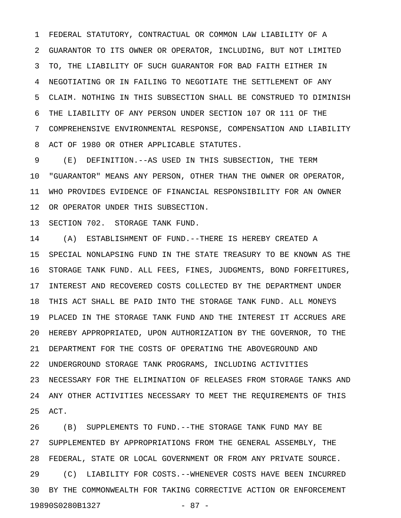1 FEDERAL STATUTORY, CONTRACTUAL OR COMMON LAW LIABILITY OF A 2 GUARANTOR TO ITS OWNER OR OPERATOR, INCLUDING, BUT NOT LIMITED 3 TO, THE LIABILITY OF SUCH GUARANTOR FOR BAD FAITH EITHER IN 4 NEGOTIATING OR IN FAILING TO NEGOTIATE THE SETTLEMENT OF ANY 5 CLAIM. NOTHING IN THIS SUBSECTION SHALL BE CONSTRUED TO DIMINISH 6 THE LIABILITY OF ANY PERSON UNDER SECTION 107 OR 111 OF THE 7 COMPREHENSIVE ENVIRONMENTAL RESPONSE, COMPENSATION AND LIABILITY 8 ACT OF 1980 OR OTHER APPLICABLE STATUTES.

9 (E) DEFINITION.--AS USED IN THIS SUBSECTION, THE TERM 10 "GUARANTOR" MEANS ANY PERSON, OTHER THAN THE OWNER OR OPERATOR, 11 WHO PROVIDES EVIDENCE OF FINANCIAL RESPONSIBILITY FOR AN OWNER 12 OR OPERATOR UNDER THIS SUBSECTION.

13 SECTION 702. STORAGE TANK FUND.

14 (A) ESTABLISHMENT OF FUND.--THERE IS HEREBY CREATED A 15 SPECIAL NONLAPSING FUND IN THE STATE TREASURY TO BE KNOWN AS THE 16 STORAGE TANK FUND. ALL FEES, FINES, JUDGMENTS, BOND FORFEITURES, 17 INTEREST AND RECOVERED COSTS COLLECTED BY THE DEPARTMENT UNDER 18 THIS ACT SHALL BE PAID INTO THE STORAGE TANK FUND. ALL MONEYS 19 PLACED IN THE STORAGE TANK FUND AND THE INTEREST IT ACCRUES ARE 20 HEREBY APPROPRIATED, UPON AUTHORIZATION BY THE GOVERNOR, TO THE 21 DEPARTMENT FOR THE COSTS OF OPERATING THE ABOVEGROUND AND 22 UNDERGROUND STORAGE TANK PROGRAMS, INCLUDING ACTIVITIES 23 NECESSARY FOR THE ELIMINATION OF RELEASES FROM STORAGE TANKS AND 24 ANY OTHER ACTIVITIES NECESSARY TO MEET THE REQUIREMENTS OF THIS 25 ACT.

26 (B) SUPPLEMENTS TO FUND.--THE STORAGE TANK FUND MAY BE 27 SUPPLEMENTED BY APPROPRIATIONS FROM THE GENERAL ASSEMBLY, THE 28 FEDERAL, STATE OR LOCAL GOVERNMENT OR FROM ANY PRIVATE SOURCE. 29 (C) LIABILITY FOR COSTS.--WHENEVER COSTS HAVE BEEN INCURRED 30 BY THE COMMONWEALTH FOR TAKING CORRECTIVE ACTION OR ENFORCEMENT 19890S0280B1327 - 87 -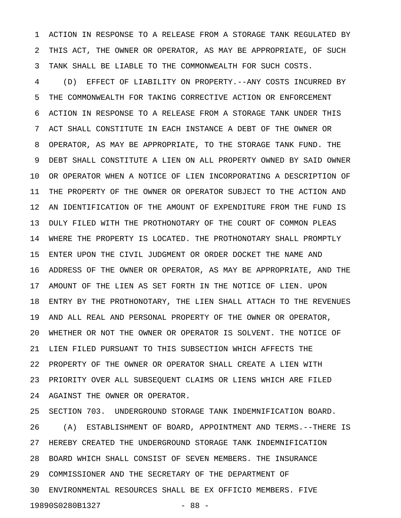1 ACTION IN RESPONSE TO A RELEASE FROM A STORAGE TANK REGULATED BY 2 THIS ACT, THE OWNER OR OPERATOR, AS MAY BE APPROPRIATE, OF SUCH 3 TANK SHALL BE LIABLE TO THE COMMONWEALTH FOR SUCH COSTS.

4 (D) EFFECT OF LIABILITY ON PROPERTY.--ANY COSTS INCURRED BY 5 THE COMMONWEALTH FOR TAKING CORRECTIVE ACTION OR ENFORCEMENT 6 ACTION IN RESPONSE TO A RELEASE FROM A STORAGE TANK UNDER THIS 7 ACT SHALL CONSTITUTE IN EACH INSTANCE A DEBT OF THE OWNER OR 8 OPERATOR, AS MAY BE APPROPRIATE, TO THE STORAGE TANK FUND. THE 9 DEBT SHALL CONSTITUTE A LIEN ON ALL PROPERTY OWNED BY SAID OWNER 10 OR OPERATOR WHEN A NOTICE OF LIEN INCORPORATING A DESCRIPTION OF 11 THE PROPERTY OF THE OWNER OR OPERATOR SUBJECT TO THE ACTION AND 12 AN IDENTIFICATION OF THE AMOUNT OF EXPENDITURE FROM THE FUND IS 13 DULY FILED WITH THE PROTHONOTARY OF THE COURT OF COMMON PLEAS 14 WHERE THE PROPERTY IS LOCATED. THE PROTHONOTARY SHALL PROMPTLY 15 ENTER UPON THE CIVIL JUDGMENT OR ORDER DOCKET THE NAME AND 16 ADDRESS OF THE OWNER OR OPERATOR, AS MAY BE APPROPRIATE, AND THE 17 AMOUNT OF THE LIEN AS SET FORTH IN THE NOTICE OF LIEN. UPON 18 ENTRY BY THE PROTHONOTARY, THE LIEN SHALL ATTACH TO THE REVENUES 19 AND ALL REAL AND PERSONAL PROPERTY OF THE OWNER OR OPERATOR, 20 WHETHER OR NOT THE OWNER OR OPERATOR IS SOLVENT. THE NOTICE OF 21 LIEN FILED PURSUANT TO THIS SUBSECTION WHICH AFFECTS THE 22 PROPERTY OF THE OWNER OR OPERATOR SHALL CREATE A LIEN WITH 23 PRIORITY OVER ALL SUBSEQUENT CLAIMS OR LIENS WHICH ARE FILED 24 AGAINST THE OWNER OR OPERATOR.

25 SECTION 703. UNDERGROUND STORAGE TANK INDEMNIFICATION BOARD. 26 (A) ESTABLISHMENT OF BOARD, APPOINTMENT AND TERMS.--THERE IS 27 HEREBY CREATED THE UNDERGROUND STORAGE TANK INDEMNIFICATION 28 BOARD WHICH SHALL CONSIST OF SEVEN MEMBERS. THE INSURANCE 29 COMMISSIONER AND THE SECRETARY OF THE DEPARTMENT OF 30 ENVIRONMENTAL RESOURCES SHALL BE EX OFFICIO MEMBERS. FIVE 19890S0280B1327 - 88 -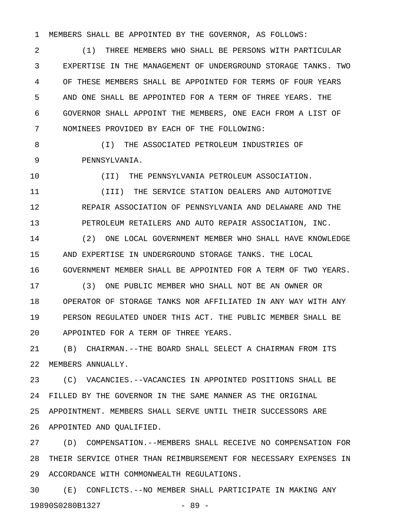1 MEMBERS SHALL BE APPOINTED BY THE GOVERNOR, AS FOLLOWS:

2 (1) THREE MEMBERS WHO SHALL BE PERSONS WITH PARTICULAR 3 EXPERTISE IN THE MANAGEMENT OF UNDERGROUND STORAGE TANKS. TWO 4 OF THESE MEMBERS SHALL BE APPOINTED FOR TERMS OF FOUR YEARS 5 AND ONE SHALL BE APPOINTED FOR A TERM OF THREE YEARS. THE 6 GOVERNOR SHALL APPOINT THE MEMBERS, ONE EACH FROM A LIST OF 7 NOMINEES PROVIDED BY EACH OF THE FOLLOWING:

8 (I) THE ASSOCIATED PETROLEUM INDUSTRIES OF 9 PENNSYLVANIA.

10 (II) THE PENNSYLVANIA PETROLEUM ASSOCIATION.

11 (III) THE SERVICE STATION DEALERS AND AUTOMOTIVE 12 REPAIR ASSOCIATION OF PENNSYLVANIA AND DELAWARE AND THE 13 PETROLEUM RETAILERS AND AUTO REPAIR ASSOCIATION, INC.

14 (2) ONE LOCAL GOVERNMENT MEMBER WHO SHALL HAVE KNOWLEDGE 15 AND EXPERTISE IN UNDERGROUND STORAGE TANKS. THE LOCAL 16 GOVERNMENT MEMBER SHALL BE APPOINTED FOR A TERM OF TWO YEARS.

17 (3) ONE PUBLIC MEMBER WHO SHALL NOT BE AN OWNER OR 18 OPERATOR OF STORAGE TANKS NOR AFFILIATED IN ANY WAY WITH ANY 19 PERSON REGULATED UNDER THIS ACT. THE PUBLIC MEMBER SHALL BE 20 APPOINTED FOR A TERM OF THREE YEARS.

21 (B) CHAIRMAN.--THE BOARD SHALL SELECT A CHAIRMAN FROM ITS 22 MEMBERS ANNUALLY.

23 (C) VACANCIES.--VACANCIES IN APPOINTED POSITIONS SHALL BE 24 FILLED BY THE GOVERNOR IN THE SAME MANNER AS THE ORIGINAL 25 APPOINTMENT. MEMBERS SHALL SERVE UNTIL THEIR SUCCESSORS ARE 26 APPOINTED AND QUALIFIED.

27 (D) COMPENSATION.--MEMBERS SHALL RECEIVE NO COMPENSATION FOR 28 THEIR SERVICE OTHER THAN REIMBURSEMENT FOR NECESSARY EXPENSES IN 29 ACCORDANCE WITH COMMONWEALTH REGULATIONS.

30 (E) CONFLICTS.--NO MEMBER SHALL PARTICIPATE IN MAKING ANY 19890S0280B1327 - 89 -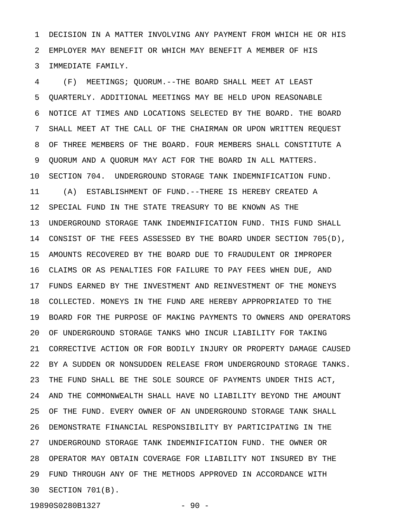1 DECISION IN A MATTER INVOLVING ANY PAYMENT FROM WHICH HE OR HIS 2 EMPLOYER MAY BENEFIT OR WHICH MAY BENEFIT A MEMBER OF HIS 3 IMMEDIATE FAMILY.

4 (F) MEETINGS; QUORUM.--THE BOARD SHALL MEET AT LEAST 5 QUARTERLY. ADDITIONAL MEETINGS MAY BE HELD UPON REASONABLE 6 NOTICE AT TIMES AND LOCATIONS SELECTED BY THE BOARD. THE BOARD 7 SHALL MEET AT THE CALL OF THE CHAIRMAN OR UPON WRITTEN REQUEST 8 OF THREE MEMBERS OF THE BOARD. FOUR MEMBERS SHALL CONSTITUTE A 9 QUORUM AND A QUORUM MAY ACT FOR THE BOARD IN ALL MATTERS. 10 SECTION 704. UNDERGROUND STORAGE TANK INDEMNIFICATION FUND. 11 (A) ESTABLISHMENT OF FUND.--THERE IS HEREBY CREATED A 12 SPECIAL FUND IN THE STATE TREASURY TO BE KNOWN AS THE 13 UNDERGROUND STORAGE TANK INDEMNIFICATION FUND. THIS FUND SHALL 14 CONSIST OF THE FEES ASSESSED BY THE BOARD UNDER SECTION 705(D), 15 AMOUNTS RECOVERED BY THE BOARD DUE TO FRAUDULENT OR IMPROPER 16 CLAIMS OR AS PENALTIES FOR FAILURE TO PAY FEES WHEN DUE, AND 17 FUNDS EARNED BY THE INVESTMENT AND REINVESTMENT OF THE MONEYS 18 COLLECTED. MONEYS IN THE FUND ARE HEREBY APPROPRIATED TO THE 19 BOARD FOR THE PURPOSE OF MAKING PAYMENTS TO OWNERS AND OPERATORS 20 OF UNDERGROUND STORAGE TANKS WHO INCUR LIABILITY FOR TAKING 21 CORRECTIVE ACTION OR FOR BODILY INJURY OR PROPERTY DAMAGE CAUSED 22 BY A SUDDEN OR NONSUDDEN RELEASE FROM UNDERGROUND STORAGE TANKS. 23 THE FUND SHALL BE THE SOLE SOURCE OF PAYMENTS UNDER THIS ACT, 24 AND THE COMMONWEALTH SHALL HAVE NO LIABILITY BEYOND THE AMOUNT 25 OF THE FUND. EVERY OWNER OF AN UNDERGROUND STORAGE TANK SHALL 26 DEMONSTRATE FINANCIAL RESPONSIBILITY BY PARTICIPATING IN THE 27 UNDERGROUND STORAGE TANK INDEMNIFICATION FUND. THE OWNER OR 28 OPERATOR MAY OBTAIN COVERAGE FOR LIABILITY NOT INSURED BY THE 29 FUND THROUGH ANY OF THE METHODS APPROVED IN ACCORDANCE WITH 30 SECTION 701(B).

19890S0280B1327 - 90 -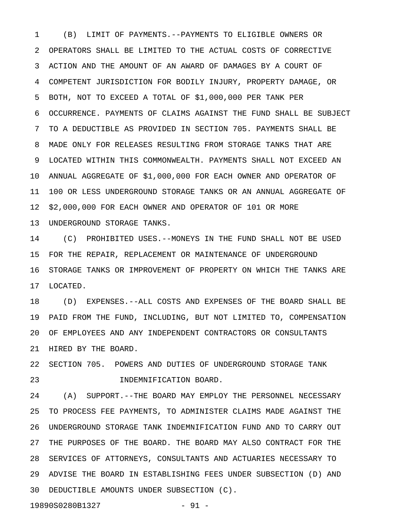1 (B) LIMIT OF PAYMENTS.--PAYMENTS TO ELIGIBLE OWNERS OR 2 OPERATORS SHALL BE LIMITED TO THE ACTUAL COSTS OF CORRECTIVE 3 ACTION AND THE AMOUNT OF AN AWARD OF DAMAGES BY A COURT OF 4 COMPETENT JURISDICTION FOR BODILY INJURY, PROPERTY DAMAGE, OR 5 BOTH, NOT TO EXCEED A TOTAL OF \$1,000,000 PER TANK PER 6 OCCURRENCE. PAYMENTS OF CLAIMS AGAINST THE FUND SHALL BE SUBJECT 7 TO A DEDUCTIBLE AS PROVIDED IN SECTION 705. PAYMENTS SHALL BE 8 MADE ONLY FOR RELEASES RESULTING FROM STORAGE TANKS THAT ARE 9 LOCATED WITHIN THIS COMMONWEALTH. PAYMENTS SHALL NOT EXCEED AN 10 ANNUAL AGGREGATE OF \$1,000,000 FOR EACH OWNER AND OPERATOR OF 11 100 OR LESS UNDERGROUND STORAGE TANKS OR AN ANNUAL AGGREGATE OF 12 \$2,000,000 FOR EACH OWNER AND OPERATOR OF 101 OR MORE 13 UNDERGROUND STORAGE TANKS.

14 (C) PROHIBITED USES.--MONEYS IN THE FUND SHALL NOT BE USED 15 FOR THE REPAIR, REPLACEMENT OR MAINTENANCE OF UNDERGROUND 16 STORAGE TANKS OR IMPROVEMENT OF PROPERTY ON WHICH THE TANKS ARE 17 LOCATED.

18 (D) EXPENSES.--ALL COSTS AND EXPENSES OF THE BOARD SHALL BE 19 PAID FROM THE FUND, INCLUDING, BUT NOT LIMITED TO, COMPENSATION 20 OF EMPLOYEES AND ANY INDEPENDENT CONTRACTORS OR CONSULTANTS 21 HIRED BY THE BOARD.

22 SECTION 705. POWERS AND DUTIES OF UNDERGROUND STORAGE TANK 23 INDEMNIFICATION BOARD.

24 (A) SUPPORT.--THE BOARD MAY EMPLOY THE PERSONNEL NECESSARY 25 TO PROCESS FEE PAYMENTS, TO ADMINISTER CLAIMS MADE AGAINST THE 26 UNDERGROUND STORAGE TANK INDEMNIFICATION FUND AND TO CARRY OUT 27 THE PURPOSES OF THE BOARD. THE BOARD MAY ALSO CONTRACT FOR THE 28 SERVICES OF ATTORNEYS, CONSULTANTS AND ACTUARIES NECESSARY TO 29 ADVISE THE BOARD IN ESTABLISHING FEES UNDER SUBSECTION (D) AND 30 DEDUCTIBLE AMOUNTS UNDER SUBSECTION (C).

19890S0280B1327 - 91 -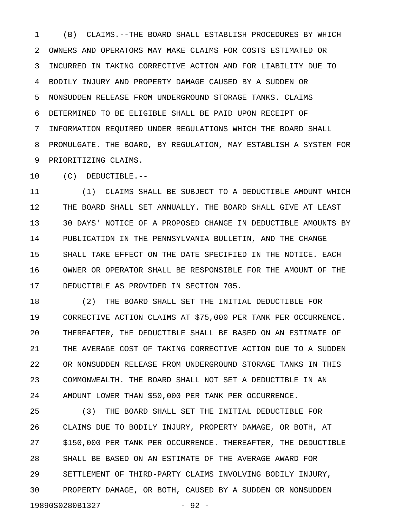1 (B) CLAIMS.--THE BOARD SHALL ESTABLISH PROCEDURES BY WHICH 2 OWNERS AND OPERATORS MAY MAKE CLAIMS FOR COSTS ESTIMATED OR 3 INCURRED IN TAKING CORRECTIVE ACTION AND FOR LIABILITY DUE TO 4 BODILY INJURY AND PROPERTY DAMAGE CAUSED BY A SUDDEN OR 5 NONSUDDEN RELEASE FROM UNDERGROUND STORAGE TANKS. CLAIMS 6 DETERMINED TO BE ELIGIBLE SHALL BE PAID UPON RECEIPT OF 7 INFORMATION REQUIRED UNDER REGULATIONS WHICH THE BOARD SHALL 8 PROMULGATE. THE BOARD, BY REGULATION, MAY ESTABLISH A SYSTEM FOR 9 PRIORITIZING CLAIMS.

10 (C) DEDUCTIBLE.--

11 (1) CLAIMS SHALL BE SUBJECT TO A DEDUCTIBLE AMOUNT WHICH 12 THE BOARD SHALL SET ANNUALLY. THE BOARD SHALL GIVE AT LEAST 13 30 DAYS' NOTICE OF A PROPOSED CHANGE IN DEDUCTIBLE AMOUNTS BY 14 PUBLICATION IN THE PENNSYLVANIA BULLETIN, AND THE CHANGE 15 SHALL TAKE EFFECT ON THE DATE SPECIFIED IN THE NOTICE. EACH 16 OWNER OR OPERATOR SHALL BE RESPONSIBLE FOR THE AMOUNT OF THE 17 DEDUCTIBLE AS PROVIDED IN SECTION 705.

18 (2) THE BOARD SHALL SET THE INITIAL DEDUCTIBLE FOR 19 CORRECTIVE ACTION CLAIMS AT \$75,000 PER TANK PER OCCURRENCE. 20 THEREAFTER, THE DEDUCTIBLE SHALL BE BASED ON AN ESTIMATE OF 21 THE AVERAGE COST OF TAKING CORRECTIVE ACTION DUE TO A SUDDEN 22 OR NONSUDDEN RELEASE FROM UNDERGROUND STORAGE TANKS IN THIS 23 COMMONWEALTH. THE BOARD SHALL NOT SET A DEDUCTIBLE IN AN 24 AMOUNT LOWER THAN \$50,000 PER TANK PER OCCURRENCE.

25 (3) THE BOARD SHALL SET THE INITIAL DEDUCTIBLE FOR 26 CLAIMS DUE TO BODILY INJURY, PROPERTY DAMAGE, OR BOTH, AT 27 \$150,000 PER TANK PER OCCURRENCE. THEREAFTER, THE DEDUCTIBLE 28 SHALL BE BASED ON AN ESTIMATE OF THE AVERAGE AWARD FOR 29 SETTLEMENT OF THIRD-PARTY CLAIMS INVOLVING BODILY INJURY, 30 PROPERTY DAMAGE, OR BOTH, CAUSED BY A SUDDEN OR NONSUDDEN 19890S0280B1327 - 92 -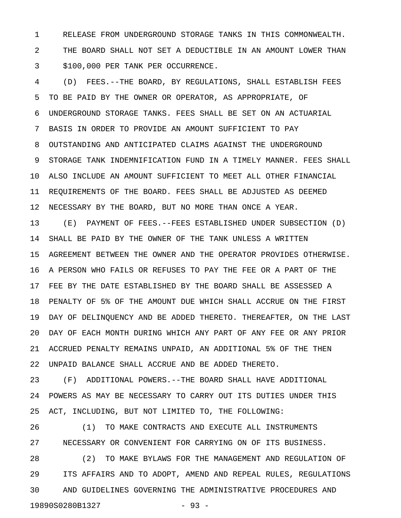1 RELEASE FROM UNDERGROUND STORAGE TANKS IN THIS COMMONWEALTH. 2 THE BOARD SHALL NOT SET A DEDUCTIBLE IN AN AMOUNT LOWER THAN 3 \$100,000 PER TANK PER OCCURRENCE.

4 (D) FEES.--THE BOARD, BY REGULATIONS, SHALL ESTABLISH FEES 5 TO BE PAID BY THE OWNER OR OPERATOR, AS APPROPRIATE, OF 6 UNDERGROUND STORAGE TANKS. FEES SHALL BE SET ON AN ACTUARIAL 7 BASIS IN ORDER TO PROVIDE AN AMOUNT SUFFICIENT TO PAY 8 OUTSTANDING AND ANTICIPATED CLAIMS AGAINST THE UNDERGROUND 9 STORAGE TANK INDEMNIFICATION FUND IN A TIMELY MANNER. FEES SHALL 10 ALSO INCLUDE AN AMOUNT SUFFICIENT TO MEET ALL OTHER FINANCIAL 11 REQUIREMENTS OF THE BOARD. FEES SHALL BE ADJUSTED AS DEEMED 12 NECESSARY BY THE BOARD, BUT NO MORE THAN ONCE A YEAR.

13 (E) PAYMENT OF FEES.--FEES ESTABLISHED UNDER SUBSECTION (D) 14 SHALL BE PAID BY THE OWNER OF THE TANK UNLESS A WRITTEN 15 AGREEMENT BETWEEN THE OWNER AND THE OPERATOR PROVIDES OTHERWISE. 16 A PERSON WHO FAILS OR REFUSES TO PAY THE FEE OR A PART OF THE 17 FEE BY THE DATE ESTABLISHED BY THE BOARD SHALL BE ASSESSED A 18 PENALTY OF 5% OF THE AMOUNT DUE WHICH SHALL ACCRUE ON THE FIRST 19 DAY OF DELINQUENCY AND BE ADDED THERETO. THEREAFTER, ON THE LAST 20 DAY OF EACH MONTH DURING WHICH ANY PART OF ANY FEE OR ANY PRIOR 21 ACCRUED PENALTY REMAINS UNPAID, AN ADDITIONAL 5% OF THE THEN 22 UNPAID BALANCE SHALL ACCRUE AND BE ADDED THERETO.

23 (F) ADDITIONAL POWERS.--THE BOARD SHALL HAVE ADDITIONAL 24 POWERS AS MAY BE NECESSARY TO CARRY OUT ITS DUTIES UNDER THIS 25 ACT, INCLUDING, BUT NOT LIMITED TO, THE FOLLOWING:

26 (1) TO MAKE CONTRACTS AND EXECUTE ALL INSTRUMENTS 27 NECESSARY OR CONVENIENT FOR CARRYING ON OF ITS BUSINESS.

28 (2) TO MAKE BYLAWS FOR THE MANAGEMENT AND REGULATION OF 29 ITS AFFAIRS AND TO ADOPT, AMEND AND REPEAL RULES, REGULATIONS 30 AND GUIDELINES GOVERNING THE ADMINISTRATIVE PROCEDURES AND 19890S0280B1327 - 93 -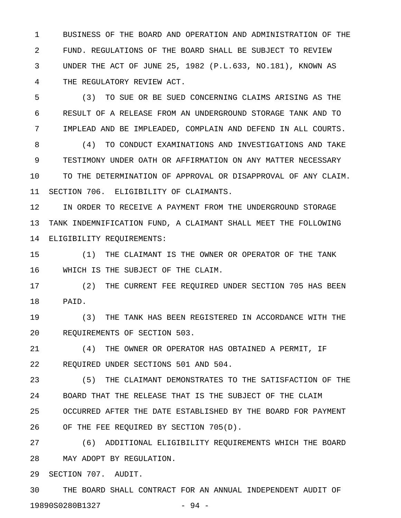1 BUSINESS OF THE BOARD AND OPERATION AND ADMINISTRATION OF THE 2 FUND. REGULATIONS OF THE BOARD SHALL BE SUBJECT TO REVIEW 3 UNDER THE ACT OF JUNE 25, 1982 (P.L.633, NO.181), KNOWN AS 4 THE REGULATORY REVIEW ACT.

5 (3) TO SUE OR BE SUED CONCERNING CLAIMS ARISING AS THE 6 RESULT OF A RELEASE FROM AN UNDERGROUND STORAGE TANK AND TO 7 IMPLEAD AND BE IMPLEADED, COMPLAIN AND DEFEND IN ALL COURTS.

8 (4) TO CONDUCT EXAMINATIONS AND INVESTIGATIONS AND TAKE 9 TESTIMONY UNDER OATH OR AFFIRMATION ON ANY MATTER NECESSARY 10 TO THE DETERMINATION OF APPROVAL OR DISAPPROVAL OF ANY CLAIM. 11 SECTION 706. ELIGIBILITY OF CLAIMANTS.

12 IN ORDER TO RECEIVE A PAYMENT FROM THE UNDERGROUND STORAGE 13 TANK INDEMNIFICATION FUND, A CLAIMANT SHALL MEET THE FOLLOWING 14 ELIGIBILITY REQUIREMENTS:

15 (1) THE CLAIMANT IS THE OWNER OR OPERATOR OF THE TANK 16 WHICH IS THE SUBJECT OF THE CLAIM.

17 (2) THE CURRENT FEE REQUIRED UNDER SECTION 705 HAS BEEN 18 PAID.

19 (3) THE TANK HAS BEEN REGISTERED IN ACCORDANCE WITH THE 20 REQUIREMENTS OF SECTION 503.

21 (4) THE OWNER OR OPERATOR HAS OBTAINED A PERMIT, IF 22 REQUIRED UNDER SECTIONS 501 AND 504.

23 (5) THE CLAIMANT DEMONSTRATES TO THE SATISFACTION OF THE 24 BOARD THAT THE RELEASE THAT IS THE SUBJECT OF THE CLAIM 25 OCCURRED AFTER THE DATE ESTABLISHED BY THE BOARD FOR PAYMENT 26 OF THE FEE REQUIRED BY SECTION 705(D).

27 (6) ADDITIONAL ELIGIBILITY REQUIREMENTS WHICH THE BOARD 28 MAY ADOPT BY REGULATION.

29 SECTION 707. AUDIT.

30 THE BOARD SHALL CONTRACT FOR AN ANNUAL INDEPENDENT AUDIT OF 19890S0280B1327 - 94 -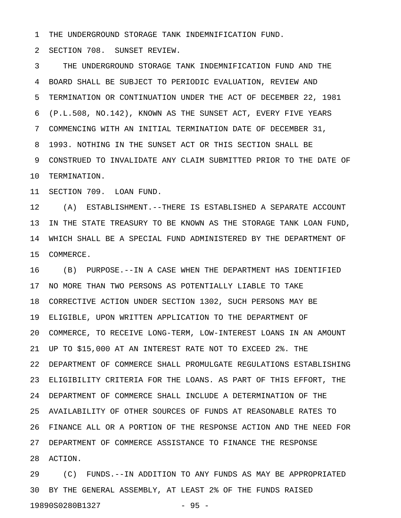1 THE UNDERGROUND STORAGE TANK INDEMNIFICATION FUND.

2 SECTION 708. SUNSET REVIEW.

3 THE UNDERGROUND STORAGE TANK INDEMNIFICATION FUND AND THE 4 BOARD SHALL BE SUBJECT TO PERIODIC EVALUATION, REVIEW AND 5 TERMINATION OR CONTINUATION UNDER THE ACT OF DECEMBER 22, 1981 6 (P.L.508, NO.142), KNOWN AS THE SUNSET ACT, EVERY FIVE YEARS 7 COMMENCING WITH AN INITIAL TERMINATION DATE OF DECEMBER 31, 8 1993. NOTHING IN THE SUNSET ACT OR THIS SECTION SHALL BE 9 CONSTRUED TO INVALIDATE ANY CLAIM SUBMITTED PRIOR TO THE DATE OF 10 TERMINATION.

11 SECTION 709. LOAN FUND.

12 (A) ESTABLISHMENT.--THERE IS ESTABLISHED A SEPARATE ACCOUNT 13 IN THE STATE TREASURY TO BE KNOWN AS THE STORAGE TANK LOAN FUND, 14 WHICH SHALL BE A SPECIAL FUND ADMINISTERED BY THE DEPARTMENT OF 15 COMMERCE.

16 (B) PURPOSE.--IN A CASE WHEN THE DEPARTMENT HAS IDENTIFIED 17 NO MORE THAN TWO PERSONS AS POTENTIALLY LIABLE TO TAKE 18 CORRECTIVE ACTION UNDER SECTION 1302, SUCH PERSONS MAY BE 19 ELIGIBLE, UPON WRITTEN APPLICATION TO THE DEPARTMENT OF 20 COMMERCE, TO RECEIVE LONG-TERM, LOW-INTEREST LOANS IN AN AMOUNT 21 UP TO \$15,000 AT AN INTEREST RATE NOT TO EXCEED 2%. THE 22 DEPARTMENT OF COMMERCE SHALL PROMULGATE REGULATIONS ESTABLISHING 23 ELIGIBILITY CRITERIA FOR THE LOANS. AS PART OF THIS EFFORT, THE 24 DEPARTMENT OF COMMERCE SHALL INCLUDE A DETERMINATION OF THE 25 AVAILABILITY OF OTHER SOURCES OF FUNDS AT REASONABLE RATES TO 26 FINANCE ALL OR A PORTION OF THE RESPONSE ACTION AND THE NEED FOR 27 DEPARTMENT OF COMMERCE ASSISTANCE TO FINANCE THE RESPONSE 28 ACTION.

29 (C) FUNDS.--IN ADDITION TO ANY FUNDS AS MAY BE APPROPRIATED 30 BY THE GENERAL ASSEMBLY, AT LEAST 2% OF THE FUNDS RAISED 19890S0280B1327 - 95 -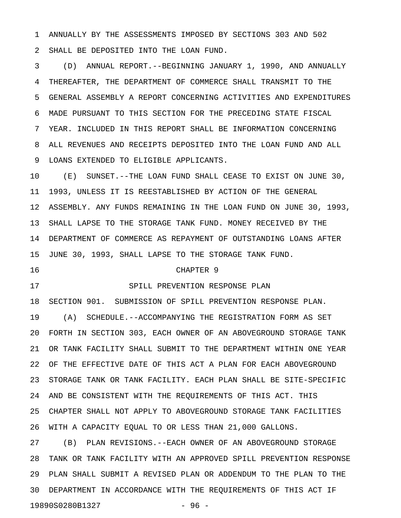1 ANNUALLY BY THE ASSESSMENTS IMPOSED BY SECTIONS 303 AND 502 2 SHALL BE DEPOSITED INTO THE LOAN FUND.

3 (D) ANNUAL REPORT.--BEGINNING JANUARY 1, 1990, AND ANNUALLY 4 THEREAFTER, THE DEPARTMENT OF COMMERCE SHALL TRANSMIT TO THE 5 GENERAL ASSEMBLY A REPORT CONCERNING ACTIVITIES AND EXPENDITURES 6 MADE PURSUANT TO THIS SECTION FOR THE PRECEDING STATE FISCAL 7 YEAR. INCLUDED IN THIS REPORT SHALL BE INFORMATION CONCERNING 8 ALL REVENUES AND RECEIPTS DEPOSITED INTO THE LOAN FUND AND ALL 9 LOANS EXTENDED TO ELIGIBLE APPLICANTS.

10 (E) SUNSET.--THE LOAN FUND SHALL CEASE TO EXIST ON JUNE 30, 11 1993, UNLESS IT IS REESTABLISHED BY ACTION OF THE GENERAL 12 ASSEMBLY. ANY FUNDS REMAINING IN THE LOAN FUND ON JUNE 30, 1993, 13 SHALL LAPSE TO THE STORAGE TANK FUND. MONEY RECEIVED BY THE 14 DEPARTMENT OF COMMERCE AS REPAYMENT OF OUTSTANDING LOANS AFTER 15 JUNE 30, 1993, SHALL LAPSE TO THE STORAGE TANK FUND.

## 16 CHAPTER 9

## 17 SPILL PREVENTION RESPONSE PLAN

18 SECTION 901. SUBMISSION OF SPILL PREVENTION RESPONSE PLAN. 19 (A) SCHEDULE.--ACCOMPANYING THE REGISTRATION FORM AS SET 20 FORTH IN SECTION 303, EACH OWNER OF AN ABOVEGROUND STORAGE TANK 21 OR TANK FACILITY SHALL SUBMIT TO THE DEPARTMENT WITHIN ONE YEAR 22 OF THE EFFECTIVE DATE OF THIS ACT A PLAN FOR EACH ABOVEGROUND 23 STORAGE TANK OR TANK FACILITY. EACH PLAN SHALL BE SITE-SPECIFIC 24 AND BE CONSISTENT WITH THE REQUIREMENTS OF THIS ACT. THIS 25 CHAPTER SHALL NOT APPLY TO ABOVEGROUND STORAGE TANK FACILITIES 26 WITH A CAPACITY EQUAL TO OR LESS THAN 21,000 GALLONS.

27 (B) PLAN REVISIONS.--EACH OWNER OF AN ABOVEGROUND STORAGE 28 TANK OR TANK FACILITY WITH AN APPROVED SPILL PREVENTION RESPONSE 29 PLAN SHALL SUBMIT A REVISED PLAN OR ADDENDUM TO THE PLAN TO THE 30 DEPARTMENT IN ACCORDANCE WITH THE REQUIREMENTS OF THIS ACT IF 19890S0280B1327 - 96 -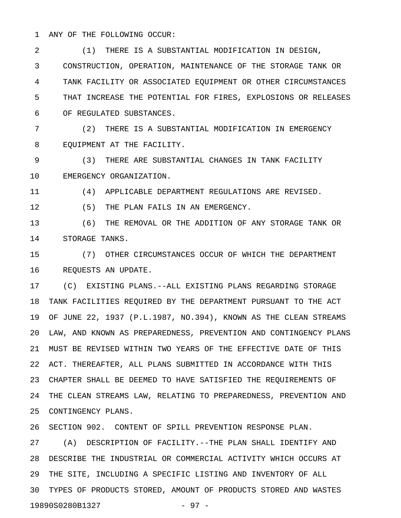1 ANY OF THE FOLLOWING OCCUR:

2 (1) THERE IS A SUBSTANTIAL MODIFICATION IN DESIGN, 3 CONSTRUCTION, OPERATION, MAINTENANCE OF THE STORAGE TANK OR 4 TANK FACILITY OR ASSOCIATED EQUIPMENT OR OTHER CIRCUMSTANCES 5 THAT INCREASE THE POTENTIAL FOR FIRES, EXPLOSIONS OR RELEASES 6 OF REGULATED SUBSTANCES.

7 (2) THERE IS A SUBSTANTIAL MODIFICATION IN EMERGENCY 8 EQUIPMENT AT THE FACILITY.

9 (3) THERE ARE SUBSTANTIAL CHANGES IN TANK FACILITY 10 EMERGENCY ORGANIZATION.

11 (4) APPLICABLE DEPARTMENT REGULATIONS ARE REVISED.

12 (5) THE PLAN FAILS IN AN EMERGENCY.

13 (6) THE REMOVAL OR THE ADDITION OF ANY STORAGE TANK OR 14 STORAGE TANKS.

15 (7) OTHER CIRCUMSTANCES OCCUR OF WHICH THE DEPARTMENT 16 REQUESTS AN UPDATE.

17 (C) EXISTING PLANS.--ALL EXISTING PLANS REGARDING STORAGE 18 TANK FACILITIES REQUIRED BY THE DEPARTMENT PURSUANT TO THE ACT 19 OF JUNE 22, 1937 (P.L.1987, NO.394), KNOWN AS THE CLEAN STREAMS 20 LAW, AND KNOWN AS PREPAREDNESS, PREVENTION AND CONTINGENCY PLANS 21 MUST BE REVISED WITHIN TWO YEARS OF THE EFFECTIVE DATE OF THIS 22 ACT. THEREAFTER, ALL PLANS SUBMITTED IN ACCORDANCE WITH THIS 23 CHAPTER SHALL BE DEEMED TO HAVE SATISFIED THE REQUIREMENTS OF 24 THE CLEAN STREAMS LAW, RELATING TO PREPAREDNESS, PREVENTION AND 25 CONTINGENCY PLANS.

26 SECTION 902. CONTENT OF SPILL PREVENTION RESPONSE PLAN.

27 (A) DESCRIPTION OF FACILITY.--THE PLAN SHALL IDENTIFY AND 28 DESCRIBE THE INDUSTRIAL OR COMMERCIAL ACTIVITY WHICH OCCURS AT 29 THE SITE, INCLUDING A SPECIFIC LISTING AND INVENTORY OF ALL 30 TYPES OF PRODUCTS STORED, AMOUNT OF PRODUCTS STORED AND WASTES 19890S0280B1327 - 97 -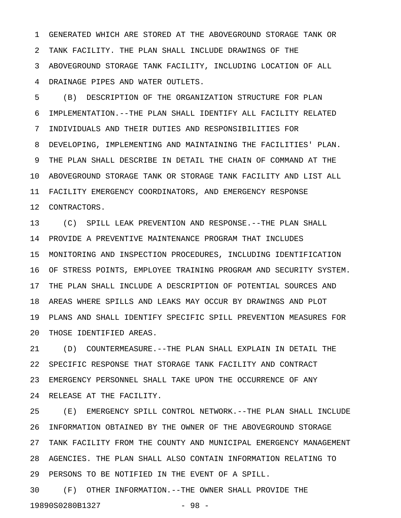1 GENERATED WHICH ARE STORED AT THE ABOVEGROUND STORAGE TANK OR 2 TANK FACILITY. THE PLAN SHALL INCLUDE DRAWINGS OF THE 3 ABOVEGROUND STORAGE TANK FACILITY, INCLUDING LOCATION OF ALL 4 DRAINAGE PIPES AND WATER OUTLETS.

5 (B) DESCRIPTION OF THE ORGANIZATION STRUCTURE FOR PLAN 6 IMPLEMENTATION.--THE PLAN SHALL IDENTIFY ALL FACILITY RELATED 7 INDIVIDUALS AND THEIR DUTIES AND RESPONSIBILITIES FOR 8 DEVELOPING, IMPLEMENTING AND MAINTAINING THE FACILITIES' PLAN. 9 THE PLAN SHALL DESCRIBE IN DETAIL THE CHAIN OF COMMAND AT THE 10 ABOVEGROUND STORAGE TANK OR STORAGE TANK FACILITY AND LIST ALL 11 FACILITY EMERGENCY COORDINATORS, AND EMERGENCY RESPONSE 12 CONTRACTORS.

13 (C) SPILL LEAK PREVENTION AND RESPONSE.--THE PLAN SHALL 14 PROVIDE A PREVENTIVE MAINTENANCE PROGRAM THAT INCLUDES 15 MONITORING AND INSPECTION PROCEDURES, INCLUDING IDENTIFICATION 16 OF STRESS POINTS, EMPLOYEE TRAINING PROGRAM AND SECURITY SYSTEM. 17 THE PLAN SHALL INCLUDE A DESCRIPTION OF POTENTIAL SOURCES AND 18 AREAS WHERE SPILLS AND LEAKS MAY OCCUR BY DRAWINGS AND PLOT 19 PLANS AND SHALL IDENTIFY SPECIFIC SPILL PREVENTION MEASURES FOR 20 THOSE IDENTIFIED AREAS.

21 (D) COUNTERMEASURE.--THE PLAN SHALL EXPLAIN IN DETAIL THE 22 SPECIFIC RESPONSE THAT STORAGE TANK FACILITY AND CONTRACT 23 EMERGENCY PERSONNEL SHALL TAKE UPON THE OCCURRENCE OF ANY 24 RELEASE AT THE FACILITY.

25 (E) EMERGENCY SPILL CONTROL NETWORK.--THE PLAN SHALL INCLUDE 26 INFORMATION OBTAINED BY THE OWNER OF THE ABOVEGROUND STORAGE 27 TANK FACILITY FROM THE COUNTY AND MUNICIPAL EMERGENCY MANAGEMENT 28 AGENCIES. THE PLAN SHALL ALSO CONTAIN INFORMATION RELATING TO 29 PERSONS TO BE NOTIFIED IN THE EVENT OF A SPILL.

30 (F) OTHER INFORMATION.--THE OWNER SHALL PROVIDE THE 19890S0280B1327 - 98 -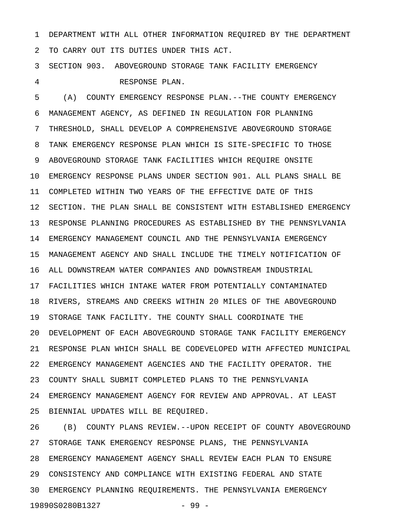1 DEPARTMENT WITH ALL OTHER INFORMATION REQUIRED BY THE DEPARTMENT 2 TO CARRY OUT ITS DUTIES UNDER THIS ACT.

3 SECTION 903. ABOVEGROUND STORAGE TANK FACILITY EMERGENCY 4 RESPONSE PLAN.

5 (A) COUNTY EMERGENCY RESPONSE PLAN.--THE COUNTY EMERGENCY 6 MANAGEMENT AGENCY, AS DEFINED IN REGULATION FOR PLANNING 7 THRESHOLD, SHALL DEVELOP A COMPREHENSIVE ABOVEGROUND STORAGE 8 TANK EMERGENCY RESPONSE PLAN WHICH IS SITE-SPECIFIC TO THOSE 9 ABOVEGROUND STORAGE TANK FACILITIES WHICH REQUIRE ONSITE 10 EMERGENCY RESPONSE PLANS UNDER SECTION 901. ALL PLANS SHALL BE 11 COMPLETED WITHIN TWO YEARS OF THE EFFECTIVE DATE OF THIS 12 SECTION. THE PLAN SHALL BE CONSISTENT WITH ESTABLISHED EMERGENCY 13 RESPONSE PLANNING PROCEDURES AS ESTABLISHED BY THE PENNSYLVANIA 14 EMERGENCY MANAGEMENT COUNCIL AND THE PENNSYLVANIA EMERGENCY 15 MANAGEMENT AGENCY AND SHALL INCLUDE THE TIMELY NOTIFICATION OF 16 ALL DOWNSTREAM WATER COMPANIES AND DOWNSTREAM INDUSTRIAL 17 FACILITIES WHICH INTAKE WATER FROM POTENTIALLY CONTAMINATED 18 RIVERS, STREAMS AND CREEKS WITHIN 20 MILES OF THE ABOVEGROUND 19 STORAGE TANK FACILITY. THE COUNTY SHALL COORDINATE THE 20 DEVELOPMENT OF EACH ABOVEGROUND STORAGE TANK FACILITY EMERGENCY 21 RESPONSE PLAN WHICH SHALL BE CODEVELOPED WITH AFFECTED MUNICIPAL 22 EMERGENCY MANAGEMENT AGENCIES AND THE FACILITY OPERATOR. THE 23 COUNTY SHALL SUBMIT COMPLETED PLANS TO THE PENNSYLVANIA 24 EMERGENCY MANAGEMENT AGENCY FOR REVIEW AND APPROVAL. AT LEAST 25 BIENNIAL UPDATES WILL BE REQUIRED.

26 (B) COUNTY PLANS REVIEW.--UPON RECEIPT OF COUNTY ABOVEGROUND 27 STORAGE TANK EMERGENCY RESPONSE PLANS, THE PENNSYLVANIA 28 EMERGENCY MANAGEMENT AGENCY SHALL REVIEW EACH PLAN TO ENSURE 29 CONSISTENCY AND COMPLIANCE WITH EXISTING FEDERAL AND STATE 30 EMERGENCY PLANNING REQUIREMENTS. THE PENNSYLVANIA EMERGENCY 19890S0280B1327 - 99 -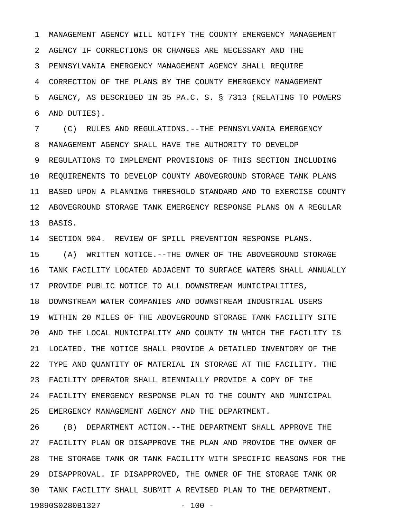1 MANAGEMENT AGENCY WILL NOTIFY THE COUNTY EMERGENCY MANAGEMENT 2 AGENCY IF CORRECTIONS OR CHANGES ARE NECESSARY AND THE 3 PENNSYLVANIA EMERGENCY MANAGEMENT AGENCY SHALL REQUIRE 4 CORRECTION OF THE PLANS BY THE COUNTY EMERGENCY MANAGEMENT 5 AGENCY, AS DESCRIBED IN 35 PA.C. S. § 7313 (RELATING TO POWERS 6 AND DUTIES).

7 (C) RULES AND REGULATIONS.--THE PENNSYLVANIA EMERGENCY 8 MANAGEMENT AGENCY SHALL HAVE THE AUTHORITY TO DEVELOP 9 REGULATIONS TO IMPLEMENT PROVISIONS OF THIS SECTION INCLUDING 10 REQUIREMENTS TO DEVELOP COUNTY ABOVEGROUND STORAGE TANK PLANS 11 BASED UPON A PLANNING THRESHOLD STANDARD AND TO EXERCISE COUNTY 12 ABOVEGROUND STORAGE TANK EMERGENCY RESPONSE PLANS ON A REGULAR 13 BASIS.

14 SECTION 904. REVIEW OF SPILL PREVENTION RESPONSE PLANS.

15 (A) WRITTEN NOTICE.--THE OWNER OF THE ABOVEGROUND STORAGE 16 TANK FACILITY LOCATED ADJACENT TO SURFACE WATERS SHALL ANNUALLY 17 PROVIDE PUBLIC NOTICE TO ALL DOWNSTREAM MUNICIPALITIES,

18 DOWNSTREAM WATER COMPANIES AND DOWNSTREAM INDUSTRIAL USERS 19 WITHIN 20 MILES OF THE ABOVEGROUND STORAGE TANK FACILITY SITE 20 AND THE LOCAL MUNICIPALITY AND COUNTY IN WHICH THE FACILITY IS 21 LOCATED. THE NOTICE SHALL PROVIDE A DETAILED INVENTORY OF THE 22 TYPE AND QUANTITY OF MATERIAL IN STORAGE AT THE FACILITY. THE 23 FACILITY OPERATOR SHALL BIENNIALLY PROVIDE A COPY OF THE 24 FACILITY EMERGENCY RESPONSE PLAN TO THE COUNTY AND MUNICIPAL 25 EMERGENCY MANAGEMENT AGENCY AND THE DEPARTMENT.

26 (B) DEPARTMENT ACTION.--THE DEPARTMENT SHALL APPROVE THE 27 FACILITY PLAN OR DISAPPROVE THE PLAN AND PROVIDE THE OWNER OF 28 THE STORAGE TANK OR TANK FACILITY WITH SPECIFIC REASONS FOR THE 29 DISAPPROVAL. IF DISAPPROVED, THE OWNER OF THE STORAGE TANK OR 30 TANK FACILITY SHALL SUBMIT A REVISED PLAN TO THE DEPARTMENT. 19890S0280B1327 - 100 -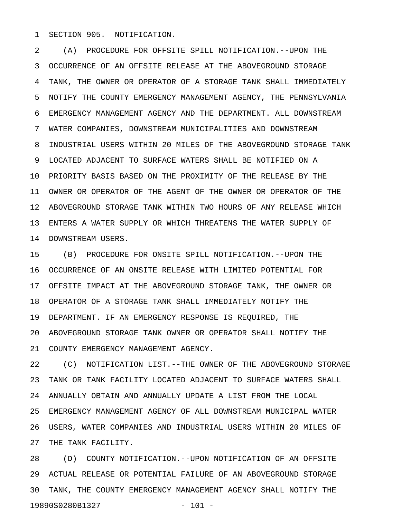1 SECTION 905. NOTIFICATION.

2 (A) PROCEDURE FOR OFFSITE SPILL NOTIFICATION.--UPON THE 3 OCCURRENCE OF AN OFFSITE RELEASE AT THE ABOVEGROUND STORAGE 4 TANK, THE OWNER OR OPERATOR OF A STORAGE TANK SHALL IMMEDIATELY 5 NOTIFY THE COUNTY EMERGENCY MANAGEMENT AGENCY, THE PENNSYLVANIA 6 EMERGENCY MANAGEMENT AGENCY AND THE DEPARTMENT. ALL DOWNSTREAM 7 WATER COMPANIES, DOWNSTREAM MUNICIPALITIES AND DOWNSTREAM 8 INDUSTRIAL USERS WITHIN 20 MILES OF THE ABOVEGROUND STORAGE TANK 9 LOCATED ADJACENT TO SURFACE WATERS SHALL BE NOTIFIED ON A 10 PRIORITY BASIS BASED ON THE PROXIMITY OF THE RELEASE BY THE 11 OWNER OR OPERATOR OF THE AGENT OF THE OWNER OR OPERATOR OF THE 12 ABOVEGROUND STORAGE TANK WITHIN TWO HOURS OF ANY RELEASE WHICH 13 ENTERS A WATER SUPPLY OR WHICH THREATENS THE WATER SUPPLY OF 14 DOWNSTREAM USERS.

15 (B) PROCEDURE FOR ONSITE SPILL NOTIFICATION.--UPON THE 16 OCCURRENCE OF AN ONSITE RELEASE WITH LIMITED POTENTIAL FOR 17 OFFSITE IMPACT AT THE ABOVEGROUND STORAGE TANK, THE OWNER OR 18 OPERATOR OF A STORAGE TANK SHALL IMMEDIATELY NOTIFY THE 19 DEPARTMENT. IF AN EMERGENCY RESPONSE IS REQUIRED, THE 20 ABOVEGROUND STORAGE TANK OWNER OR OPERATOR SHALL NOTIFY THE 21 COUNTY EMERGENCY MANAGEMENT AGENCY.

22 (C) NOTIFICATION LIST.--THE OWNER OF THE ABOVEGROUND STORAGE 23 TANK OR TANK FACILITY LOCATED ADJACENT TO SURFACE WATERS SHALL 24 ANNUALLY OBTAIN AND ANNUALLY UPDATE A LIST FROM THE LOCAL 25 EMERGENCY MANAGEMENT AGENCY OF ALL DOWNSTREAM MUNICIPAL WATER 26 USERS, WATER COMPANIES AND INDUSTRIAL USERS WITHIN 20 MILES OF 27 THE TANK FACILITY.

28 (D) COUNTY NOTIFICATION.--UPON NOTIFICATION OF AN OFFSITE 29 ACTUAL RELEASE OR POTENTIAL FAILURE OF AN ABOVEGROUND STORAGE 30 TANK, THE COUNTY EMERGENCY MANAGEMENT AGENCY SHALL NOTIFY THE 19890S0280B1327 - 101 -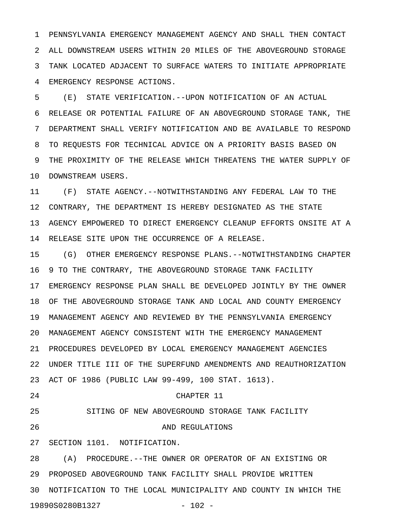1 PENNSYLVANIA EMERGENCY MANAGEMENT AGENCY AND SHALL THEN CONTACT 2 ALL DOWNSTREAM USERS WITHIN 20 MILES OF THE ABOVEGROUND STORAGE 3 TANK LOCATED ADJACENT TO SURFACE WATERS TO INITIATE APPROPRIATE 4 EMERGENCY RESPONSE ACTIONS.

5 (E) STATE VERIFICATION.--UPON NOTIFICATION OF AN ACTUAL 6 RELEASE OR POTENTIAL FAILURE OF AN ABOVEGROUND STORAGE TANK, THE 7 DEPARTMENT SHALL VERIFY NOTIFICATION AND BE AVAILABLE TO RESPOND 8 TO REQUESTS FOR TECHNICAL ADVICE ON A PRIORITY BASIS BASED ON 9 THE PROXIMITY OF THE RELEASE WHICH THREATENS THE WATER SUPPLY OF 10 DOWNSTREAM USERS.

11 (F) STATE AGENCY.--NOTWITHSTANDING ANY FEDERAL LAW TO THE 12 CONTRARY, THE DEPARTMENT IS HEREBY DESIGNATED AS THE STATE 13 AGENCY EMPOWERED TO DIRECT EMERGENCY CLEANUP EFFORTS ONSITE AT A 14 RELEASE SITE UPON THE OCCURRENCE OF A RELEASE.

15 (G) OTHER EMERGENCY RESPONSE PLANS.--NOTWITHSTANDING CHAPTER 16 9 TO THE CONTRARY, THE ABOVEGROUND STORAGE TANK FACILITY 17 EMERGENCY RESPONSE PLAN SHALL BE DEVELOPED JOINTLY BY THE OWNER 18 OF THE ABOVEGROUND STORAGE TANK AND LOCAL AND COUNTY EMERGENCY 19 MANAGEMENT AGENCY AND REVIEWED BY THE PENNSYLVANIA EMERGENCY 20 MANAGEMENT AGENCY CONSISTENT WITH THE EMERGENCY MANAGEMENT 21 PROCEDURES DEVELOPED BY LOCAL EMERGENCY MANAGEMENT AGENCIES 22 UNDER TITLE III OF THE SUPERFUND AMENDMENTS AND REAUTHORIZATION 23 ACT OF 1986 (PUBLIC LAW 99-499, 100 STAT. 1613). 24 CHAPTER 11 25 SITING OF NEW ABOVEGROUND STORAGE TANK FACILITY 26 AND REGULATIONS 27 SECTION 1101. NOTIFICATION.

28 (A) PROCEDURE.--THE OWNER OR OPERATOR OF AN EXISTING OR 29 PROPOSED ABOVEGROUND TANK FACILITY SHALL PROVIDE WRITTEN 30 NOTIFICATION TO THE LOCAL MUNICIPALITY AND COUNTY IN WHICH THE 19890S0280B1327 - 102 -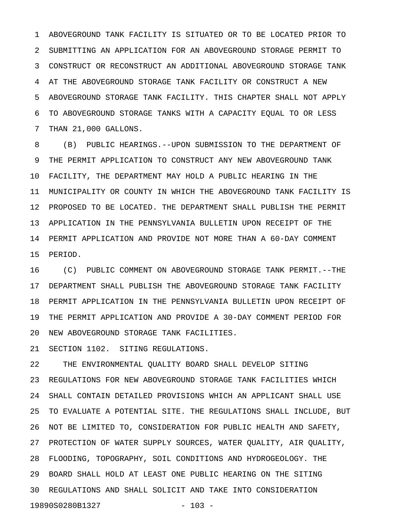1 ABOVEGROUND TANK FACILITY IS SITUATED OR TO BE LOCATED PRIOR TO 2 SUBMITTING AN APPLICATION FOR AN ABOVEGROUND STORAGE PERMIT TO 3 CONSTRUCT OR RECONSTRUCT AN ADDITIONAL ABOVEGROUND STORAGE TANK 4 AT THE ABOVEGROUND STORAGE TANK FACILITY OR CONSTRUCT A NEW 5 ABOVEGROUND STORAGE TANK FACILITY. THIS CHAPTER SHALL NOT APPLY 6 TO ABOVEGROUND STORAGE TANKS WITH A CAPACITY EQUAL TO OR LESS 7 THAN 21,000 GALLONS.

8 (B) PUBLIC HEARINGS.--UPON SUBMISSION TO THE DEPARTMENT OF 9 THE PERMIT APPLICATION TO CONSTRUCT ANY NEW ABOVEGROUND TANK 10 FACILITY, THE DEPARTMENT MAY HOLD A PUBLIC HEARING IN THE 11 MUNICIPALITY OR COUNTY IN WHICH THE ABOVEGROUND TANK FACILITY IS 12 PROPOSED TO BE LOCATED. THE DEPARTMENT SHALL PUBLISH THE PERMIT 13 APPLICATION IN THE PENNSYLVANIA BULLETIN UPON RECEIPT OF THE 14 PERMIT APPLICATION AND PROVIDE NOT MORE THAN A 60-DAY COMMENT 15 PERIOD.

16 (C) PUBLIC COMMENT ON ABOVEGROUND STORAGE TANK PERMIT.--THE 17 DEPARTMENT SHALL PUBLISH THE ABOVEGROUND STORAGE TANK FACILITY 18 PERMIT APPLICATION IN THE PENNSYLVANIA BULLETIN UPON RECEIPT OF 19 THE PERMIT APPLICATION AND PROVIDE A 30-DAY COMMENT PERIOD FOR 20 NEW ABOVEGROUND STORAGE TANK FACILITIES.

21 SECTION 1102. SITING REGULATIONS.

22 THE ENVIRONMENTAL QUALITY BOARD SHALL DEVELOP SITING 23 REGULATIONS FOR NEW ABOVEGROUND STORAGE TANK FACILITIES WHICH 24 SHALL CONTAIN DETAILED PROVISIONS WHICH AN APPLICANT SHALL USE 25 TO EVALUATE A POTENTIAL SITE. THE REGULATIONS SHALL INCLUDE, BUT 26 NOT BE LIMITED TO, CONSIDERATION FOR PUBLIC HEALTH AND SAFETY, 27 PROTECTION OF WATER SUPPLY SOURCES, WATER QUALITY, AIR QUALITY, 28 FLOODING, TOPOGRAPHY, SOIL CONDITIONS AND HYDROGEOLOGY. THE 29 BOARD SHALL HOLD AT LEAST ONE PUBLIC HEARING ON THE SITING 30 REGULATIONS AND SHALL SOLICIT AND TAKE INTO CONSIDERATION 19890S0280B1327 - 103 -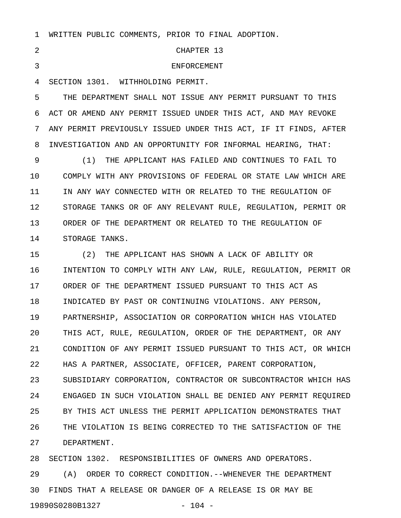|  |  |  | WRITTEN PUBLIC COMMENTS, PRIOR TO FINAL ADOPTION. |  |  |  |  |
|--|--|--|---------------------------------------------------|--|--|--|--|
|--|--|--|---------------------------------------------------|--|--|--|--|

2 CHAPTER 13 3 4 SECTION 1301. WITHHOLDING PERMIT. 5 THE DEPARTMENT SHALL NOT ISSUE ANY PERMIT PURSUANT TO THIS 6 ACT OR AMEND ANY PERMIT ISSUED UNDER THIS ACT, AND MAY REVOKE 7 ANY PERMIT PREVIOUSLY ISSUED UNDER THIS ACT, IF IT FINDS, AFTER 8 INVESTIGATION AND AN OPPORTUNITY FOR INFORMAL HEARING, THAT: 9 (1) THE APPLICANT HAS FAILED AND CONTINUES TO FAIL TO 10 COMPLY WITH ANY PROVISIONS OF FEDERAL OR STATE LAW WHICH ARE 11 IN ANY WAY CONNECTED WITH OR RELATED TO THE REGULATION OF

12 STORAGE TANKS OR OF ANY RELEVANT RULE, REGULATION, PERMIT OR 13 ORDER OF THE DEPARTMENT OR RELATED TO THE REGULATION OF 14 STORAGE TANKS.

15 (2) THE APPLICANT HAS SHOWN A LACK OF ABILITY OR 16 INTENTION TO COMPLY WITH ANY LAW, RULE, REGULATION, PERMIT OR 17 ORDER OF THE DEPARTMENT ISSUED PURSUANT TO THIS ACT AS 18 INDICATED BY PAST OR CONTINUING VIOLATIONS. ANY PERSON, 19 PARTNERSHIP, ASSOCIATION OR CORPORATION WHICH HAS VIOLATED 20 THIS ACT, RULE, REGULATION, ORDER OF THE DEPARTMENT, OR ANY 21 CONDITION OF ANY PERMIT ISSUED PURSUANT TO THIS ACT, OR WHICH 22 HAS A PARTNER, ASSOCIATE, OFFICER, PARENT CORPORATION, 23 SUBSIDIARY CORPORATION, CONTRACTOR OR SUBCONTRACTOR WHICH HAS 24 ENGAGED IN SUCH VIOLATION SHALL BE DENIED ANY PERMIT REQUIRED 25 BY THIS ACT UNLESS THE PERMIT APPLICATION DEMONSTRATES THAT 26 THE VIOLATION IS BEING CORRECTED TO THE SATISFACTION OF THE 27 DEPARTMENT.

28 SECTION 1302. RESPONSIBILITIES OF OWNERS AND OPERATORS. 29 (A) ORDER TO CORRECT CONDITION.--WHENEVER THE DEPARTMENT 30 FINDS THAT A RELEASE OR DANGER OF A RELEASE IS OR MAY BE 19890S0280B1327 - 104 -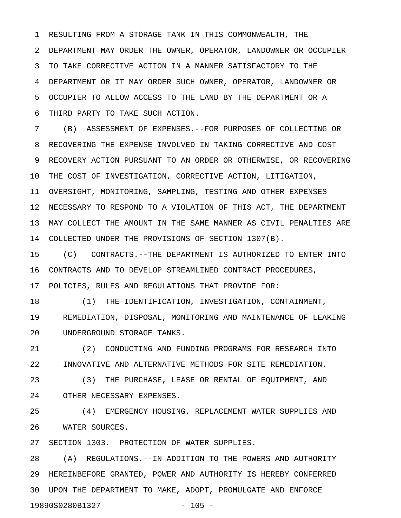1 RESULTING FROM A STORAGE TANK IN THIS COMMONWEALTH, THE 2 DEPARTMENT MAY ORDER THE OWNER, OPERATOR, LANDOWNER OR OCCUPIER 3 TO TAKE CORRECTIVE ACTION IN A MANNER SATISFACTORY TO THE 4 DEPARTMENT OR IT MAY ORDER SUCH OWNER, OPERATOR, LANDOWNER OR 5 OCCUPIER TO ALLOW ACCESS TO THE LAND BY THE DEPARTMENT OR A 6 THIRD PARTY TO TAKE SUCH ACTION.

7 (B) ASSESSMENT OF EXPENSES.--FOR PURPOSES OF COLLECTING OR 8 RECOVERING THE EXPENSE INVOLVED IN TAKING CORRECTIVE AND COST 9 RECOVERY ACTION PURSUANT TO AN ORDER OR OTHERWISE, OR RECOVERING 10 THE COST OF INVESTIGATION, CORRECTIVE ACTION, LITIGATION, 11 OVERSIGHT, MONITORING, SAMPLING, TESTING AND OTHER EXPENSES 12 NECESSARY TO RESPOND TO A VIOLATION OF THIS ACT, THE DEPARTMENT 13 MAY COLLECT THE AMOUNT IN THE SAME MANNER AS CIVIL PENALTIES ARE 14 COLLECTED UNDER THE PROVISIONS OF SECTION 1307(B).

15 (C) CONTRACTS.--THE DEPARTMENT IS AUTHORIZED TO ENTER INTO 16 CONTRACTS AND TO DEVELOP STREAMLINED CONTRACT PROCEDURES, 17 POLICIES, RULES AND REGULATIONS THAT PROVIDE FOR:

18 (1) THE IDENTIFICATION, INVESTIGATION, CONTAINMENT, 19 REMEDIATION, DISPOSAL, MONITORING AND MAINTENANCE OF LEAKING 20 UNDERGROUND STORAGE TANKS.

21 (2) CONDUCTING AND FUNDING PROGRAMS FOR RESEARCH INTO 22 INNOVATIVE AND ALTERNATIVE METHODS FOR SITE REMEDIATION.

23 (3) THE PURCHASE, LEASE OR RENTAL OF EQUIPMENT, AND 24 OTHER NECESSARY EXPENSES.

25 (4) EMERGENCY HOUSING, REPLACEMENT WATER SUPPLIES AND 26 WATER SOURCES.

27 SECTION 1303. PROTECTION OF WATER SUPPLIES.

28 (A) REGULATIONS.--IN ADDITION TO THE POWERS AND AUTHORITY 29 HEREINBEFORE GRANTED, POWER AND AUTHORITY IS HEREBY CONFERRED 30 UPON THE DEPARTMENT TO MAKE, ADOPT, PROMULGATE AND ENFORCE 19890S0280B1327 - 105 -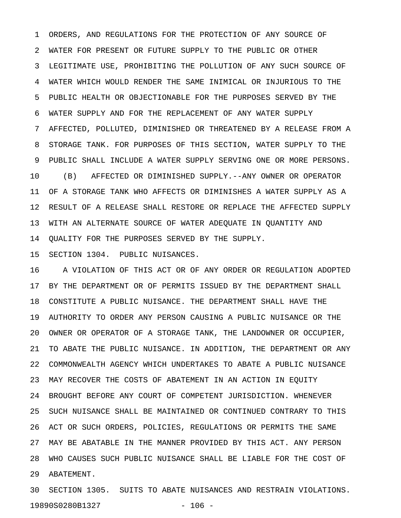1 ORDERS, AND REGULATIONS FOR THE PROTECTION OF ANY SOURCE OF 2 WATER FOR PRESENT OR FUTURE SUPPLY TO THE PUBLIC OR OTHER 3 LEGITIMATE USE, PROHIBITING THE POLLUTION OF ANY SUCH SOURCE OF 4 WATER WHICH WOULD RENDER THE SAME INIMICAL OR INJURIOUS TO THE 5 PUBLIC HEALTH OR OBJECTIONABLE FOR THE PURPOSES SERVED BY THE 6 WATER SUPPLY AND FOR THE REPLACEMENT OF ANY WATER SUPPLY 7 AFFECTED, POLLUTED, DIMINISHED OR THREATENED BY A RELEASE FROM A 8 STORAGE TANK. FOR PURPOSES OF THIS SECTION, WATER SUPPLY TO THE 9 PUBLIC SHALL INCLUDE A WATER SUPPLY SERVING ONE OR MORE PERSONS. 10 (B) AFFECTED OR DIMINISHED SUPPLY.--ANY OWNER OR OPERATOR 11 OF A STORAGE TANK WHO AFFECTS OR DIMINISHES A WATER SUPPLY AS A 12 RESULT OF A RELEASE SHALL RESTORE OR REPLACE THE AFFECTED SUPPLY 13 WITH AN ALTERNATE SOURCE OF WATER ADEQUATE IN QUANTITY AND 14 QUALITY FOR THE PURPOSES SERVED BY THE SUPPLY.

15 SECTION 1304. PUBLIC NUISANCES.

16 A VIOLATION OF THIS ACT OR OF ANY ORDER OR REGULATION ADOPTED 17 BY THE DEPARTMENT OR OF PERMITS ISSUED BY THE DEPARTMENT SHALL 18 CONSTITUTE A PUBLIC NUISANCE. THE DEPARTMENT SHALL HAVE THE 19 AUTHORITY TO ORDER ANY PERSON CAUSING A PUBLIC NUISANCE OR THE 20 OWNER OR OPERATOR OF A STORAGE TANK, THE LANDOWNER OR OCCUPIER, 21 TO ABATE THE PUBLIC NUISANCE. IN ADDITION, THE DEPARTMENT OR ANY 22 COMMONWEALTH AGENCY WHICH UNDERTAKES TO ABATE A PUBLIC NUISANCE 23 MAY RECOVER THE COSTS OF ABATEMENT IN AN ACTION IN EQUITY 24 BROUGHT BEFORE ANY COURT OF COMPETENT JURISDICTION. WHENEVER 25 SUCH NUISANCE SHALL BE MAINTAINED OR CONTINUED CONTRARY TO THIS 26 ACT OR SUCH ORDERS, POLICIES, REGULATIONS OR PERMITS THE SAME 27 MAY BE ABATABLE IN THE MANNER PROVIDED BY THIS ACT. ANY PERSON 28 WHO CAUSES SUCH PUBLIC NUISANCE SHALL BE LIABLE FOR THE COST OF 29 ABATEMENT.

30 SECTION 1305. SUITS TO ABATE NUISANCES AND RESTRAIN VIOLATIONS. 19890S0280B1327 - 106 -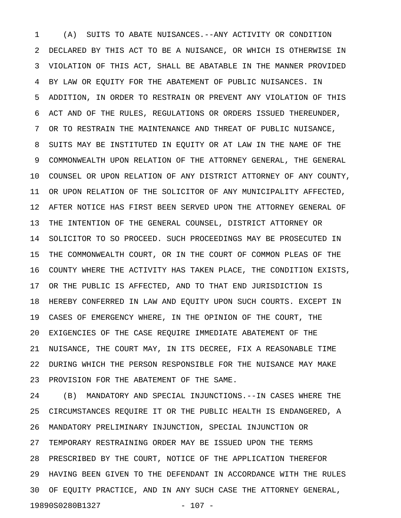1 (A) SUITS TO ABATE NUISANCES.--ANY ACTIVITY OR CONDITION 2 DECLARED BY THIS ACT TO BE A NUISANCE, OR WHICH IS OTHERWISE IN 3 VIOLATION OF THIS ACT, SHALL BE ABATABLE IN THE MANNER PROVIDED 4 BY LAW OR EQUITY FOR THE ABATEMENT OF PUBLIC NUISANCES. IN 5 ADDITION, IN ORDER TO RESTRAIN OR PREVENT ANY VIOLATION OF THIS 6 ACT AND OF THE RULES, REGULATIONS OR ORDERS ISSUED THEREUNDER, 7 OR TO RESTRAIN THE MAINTENANCE AND THREAT OF PUBLIC NUISANCE, 8 SUITS MAY BE INSTITUTED IN EQUITY OR AT LAW IN THE NAME OF THE 9 COMMONWEALTH UPON RELATION OF THE ATTORNEY GENERAL, THE GENERAL 10 COUNSEL OR UPON RELATION OF ANY DISTRICT ATTORNEY OF ANY COUNTY, 11 OR UPON RELATION OF THE SOLICITOR OF ANY MUNICIPALITY AFFECTED, 12 AFTER NOTICE HAS FIRST BEEN SERVED UPON THE ATTORNEY GENERAL OF 13 THE INTENTION OF THE GENERAL COUNSEL, DISTRICT ATTORNEY OR 14 SOLICITOR TO SO PROCEED. SUCH PROCEEDINGS MAY BE PROSECUTED IN 15 THE COMMONWEALTH COURT, OR IN THE COURT OF COMMON PLEAS OF THE 16 COUNTY WHERE THE ACTIVITY HAS TAKEN PLACE, THE CONDITION EXISTS, 17 OR THE PUBLIC IS AFFECTED, AND TO THAT END JURISDICTION IS 18 HEREBY CONFERRED IN LAW AND EQUITY UPON SUCH COURTS. EXCEPT IN 19 CASES OF EMERGENCY WHERE, IN THE OPINION OF THE COURT, THE 20 EXIGENCIES OF THE CASE REQUIRE IMMEDIATE ABATEMENT OF THE 21 NUISANCE, THE COURT MAY, IN ITS DECREE, FIX A REASONABLE TIME 22 DURING WHICH THE PERSON RESPONSIBLE FOR THE NUISANCE MAY MAKE 23 PROVISION FOR THE ABATEMENT OF THE SAME.

24 (B) MANDATORY AND SPECIAL INJUNCTIONS.--IN CASES WHERE THE 25 CIRCUMSTANCES REQUIRE IT OR THE PUBLIC HEALTH IS ENDANGERED, A 26 MANDATORY PRELIMINARY INJUNCTION, SPECIAL INJUNCTION OR 27 TEMPORARY RESTRAINING ORDER MAY BE ISSUED UPON THE TERMS 28 PRESCRIBED BY THE COURT, NOTICE OF THE APPLICATION THEREFOR 29 HAVING BEEN GIVEN TO THE DEFENDANT IN ACCORDANCE WITH THE RULES 30 OF EQUITY PRACTICE, AND IN ANY SUCH CASE THE ATTORNEY GENERAL, 19890S0280B1327 - 107 -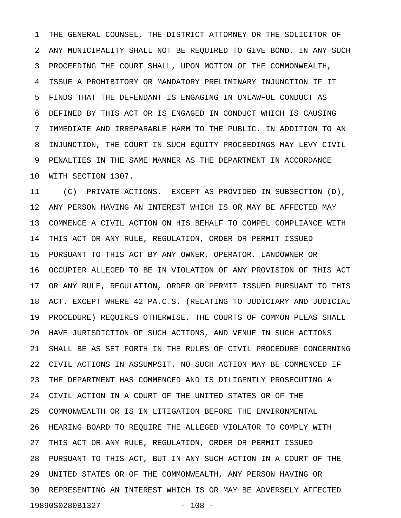1 THE GENERAL COUNSEL, THE DISTRICT ATTORNEY OR THE SOLICITOR OF 2 ANY MUNICIPALITY SHALL NOT BE REQUIRED TO GIVE BOND. IN ANY SUCH 3 PROCEEDING THE COURT SHALL, UPON MOTION OF THE COMMONWEALTH, 4 ISSUE A PROHIBITORY OR MANDATORY PRELIMINARY INJUNCTION IF IT 5 FINDS THAT THE DEFENDANT IS ENGAGING IN UNLAWFUL CONDUCT AS 6 DEFINED BY THIS ACT OR IS ENGAGED IN CONDUCT WHICH IS CAUSING 7 IMMEDIATE AND IRREPARABLE HARM TO THE PUBLIC. IN ADDITION TO AN 8 INJUNCTION, THE COURT IN SUCH EQUITY PROCEEDINGS MAY LEVY CIVIL 9 PENALTIES IN THE SAME MANNER AS THE DEPARTMENT IN ACCORDANCE 10 WITH SECTION 1307.

11 (C) PRIVATE ACTIONS.--EXCEPT AS PROVIDED IN SUBSECTION (D), 12 ANY PERSON HAVING AN INTEREST WHICH IS OR MAY BE AFFECTED MAY 13 COMMENCE A CIVIL ACTION ON HIS BEHALF TO COMPEL COMPLIANCE WITH 14 THIS ACT OR ANY RULE, REGULATION, ORDER OR PERMIT ISSUED 15 PURSUANT TO THIS ACT BY ANY OWNER, OPERATOR, LANDOWNER OR 16 OCCUPIER ALLEGED TO BE IN VIOLATION OF ANY PROVISION OF THIS ACT 17 OR ANY RULE, REGULATION, ORDER OR PERMIT ISSUED PURSUANT TO THIS 18 ACT. EXCEPT WHERE 42 PA.C.S. (RELATING TO JUDICIARY AND JUDICIAL 19 PROCEDURE) REQUIRES OTHERWISE, THE COURTS OF COMMON PLEAS SHALL 20 HAVE JURISDICTION OF SUCH ACTIONS, AND VENUE IN SUCH ACTIONS 21 SHALL BE AS SET FORTH IN THE RULES OF CIVIL PROCEDURE CONCERNING 22 CIVIL ACTIONS IN ASSUMPSIT. NO SUCH ACTION MAY BE COMMENCED IF 23 THE DEPARTMENT HAS COMMENCED AND IS DILIGENTLY PROSECUTING A 24 CIVIL ACTION IN A COURT OF THE UNITED STATES OR OF THE 25 COMMONWEALTH OR IS IN LITIGATION BEFORE THE ENVIRONMENTAL 26 HEARING BOARD TO REQUIRE THE ALLEGED VIOLATOR TO COMPLY WITH 27 THIS ACT OR ANY RULE, REGULATION, ORDER OR PERMIT ISSUED 28 PURSUANT TO THIS ACT, BUT IN ANY SUCH ACTION IN A COURT OF THE 29 UNITED STATES OR OF THE COMMONWEALTH, ANY PERSON HAVING OR 30 REPRESENTING AN INTEREST WHICH IS OR MAY BE ADVERSELY AFFECTED 19890S0280B1327 - 108 -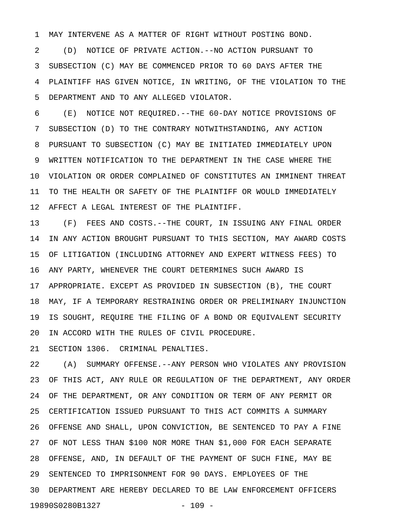1 MAY INTERVENE AS A MATTER OF RIGHT WITHOUT POSTING BOND.

2 (D) NOTICE OF PRIVATE ACTION.--NO ACTION PURSUANT TO 3 SUBSECTION (C) MAY BE COMMENCED PRIOR TO 60 DAYS AFTER THE 4 PLAINTIFF HAS GIVEN NOTICE, IN WRITING, OF THE VIOLATION TO THE 5 DEPARTMENT AND TO ANY ALLEGED VIOLATOR.

6 (E) NOTICE NOT REQUIRED.--THE 60-DAY NOTICE PROVISIONS OF 7 SUBSECTION (D) TO THE CONTRARY NOTWITHSTANDING, ANY ACTION 8 PURSUANT TO SUBSECTION (C) MAY BE INITIATED IMMEDIATELY UPON 9 WRITTEN NOTIFICATION TO THE DEPARTMENT IN THE CASE WHERE THE 10 VIOLATION OR ORDER COMPLAINED OF CONSTITUTES AN IMMINENT THREAT 11 TO THE HEALTH OR SAFETY OF THE PLAINTIFF OR WOULD IMMEDIATELY 12 AFFECT A LEGAL INTEREST OF THE PLAINTIFF.

13 (F) FEES AND COSTS.--THE COURT, IN ISSUING ANY FINAL ORDER 14 IN ANY ACTION BROUGHT PURSUANT TO THIS SECTION, MAY AWARD COSTS 15 OF LITIGATION (INCLUDING ATTORNEY AND EXPERT WITNESS FEES) TO 16 ANY PARTY, WHENEVER THE COURT DETERMINES SUCH AWARD IS 17 APPROPRIATE. EXCEPT AS PROVIDED IN SUBSECTION (B), THE COURT 18 MAY, IF A TEMPORARY RESTRAINING ORDER OR PRELIMINARY INJUNCTION 19 IS SOUGHT, REQUIRE THE FILING OF A BOND OR EQUIVALENT SECURITY 20 IN ACCORD WITH THE RULES OF CIVIL PROCEDURE.

21 SECTION 1306. CRIMINAL PENALTIES.

22 (A) SUMMARY OFFENSE.--ANY PERSON WHO VIOLATES ANY PROVISION 23 OF THIS ACT, ANY RULE OR REGULATION OF THE DEPARTMENT, ANY ORDER 24 OF THE DEPARTMENT, OR ANY CONDITION OR TERM OF ANY PERMIT OR 25 CERTIFICATION ISSUED PURSUANT TO THIS ACT COMMITS A SUMMARY 26 OFFENSE AND SHALL, UPON CONVICTION, BE SENTENCED TO PAY A FINE 27 OF NOT LESS THAN \$100 NOR MORE THAN \$1,000 FOR EACH SEPARATE 28 OFFENSE, AND, IN DEFAULT OF THE PAYMENT OF SUCH FINE, MAY BE 29 SENTENCED TO IMPRISONMENT FOR 90 DAYS. EMPLOYEES OF THE 30 DEPARTMENT ARE HEREBY DECLARED TO BE LAW ENFORCEMENT OFFICERS 19890S0280B1327 - 109 -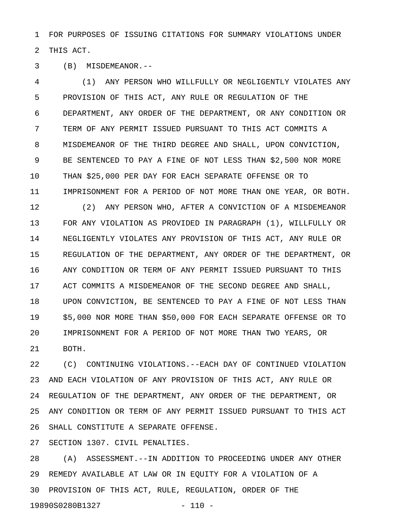1 FOR PURPOSES OF ISSUING CITATIONS FOR SUMMARY VIOLATIONS UNDER 2 THIS ACT.

3 (B) MISDEMEANOR.--

4 (1) ANY PERSON WHO WILLFULLY OR NEGLIGENTLY VIOLATES ANY 5 PROVISION OF THIS ACT, ANY RULE OR REGULATION OF THE 6 DEPARTMENT, ANY ORDER OF THE DEPARTMENT, OR ANY CONDITION OR 7 TERM OF ANY PERMIT ISSUED PURSUANT TO THIS ACT COMMITS A 8 MISDEMEANOR OF THE THIRD DEGREE AND SHALL, UPON CONVICTION, 9 BE SENTENCED TO PAY A FINE OF NOT LESS THAN \$2,500 NOR MORE 10 THAN \$25,000 PER DAY FOR EACH SEPARATE OFFENSE OR TO 11 IMPRISONMENT FOR A PERIOD OF NOT MORE THAN ONE YEAR, OR BOTH. 12 (2) ANY PERSON WHO, AFTER A CONVICTION OF A MISDEMEANOR 13 FOR ANY VIOLATION AS PROVIDED IN PARAGRAPH (1), WILLFULLY OR 14 NEGLIGENTLY VIOLATES ANY PROVISION OF THIS ACT, ANY RULE OR 15 REGULATION OF THE DEPARTMENT, ANY ORDER OF THE DEPARTMENT, OR 16 ANY CONDITION OR TERM OF ANY PERMIT ISSUED PURSUANT TO THIS 17 ACT COMMITS A MISDEMEANOR OF THE SECOND DEGREE AND SHALL, 18 UPON CONVICTION, BE SENTENCED TO PAY A FINE OF NOT LESS THAN 19 \$5,000 NOR MORE THAN \$50,000 FOR EACH SEPARATE OFFENSE OR TO 20 IMPRISONMENT FOR A PERIOD OF NOT MORE THAN TWO YEARS, OR 21 BOTH.

22 (C) CONTINUING VIOLATIONS.--EACH DAY OF CONTINUED VIOLATION 23 AND EACH VIOLATION OF ANY PROVISION OF THIS ACT, ANY RULE OR 24 REGULATION OF THE DEPARTMENT, ANY ORDER OF THE DEPARTMENT, OR 25 ANY CONDITION OR TERM OF ANY PERMIT ISSUED PURSUANT TO THIS ACT 26 SHALL CONSTITUTE A SEPARATE OFFENSE.

27 SECTION 1307. CIVIL PENALTIES.

28 (A) ASSESSMENT.--IN ADDITION TO PROCEEDING UNDER ANY OTHER 29 REMEDY AVAILABLE AT LAW OR IN EQUITY FOR A VIOLATION OF A 30 PROVISION OF THIS ACT, RULE, REGULATION, ORDER OF THE 19890S0280B1327 - 110 -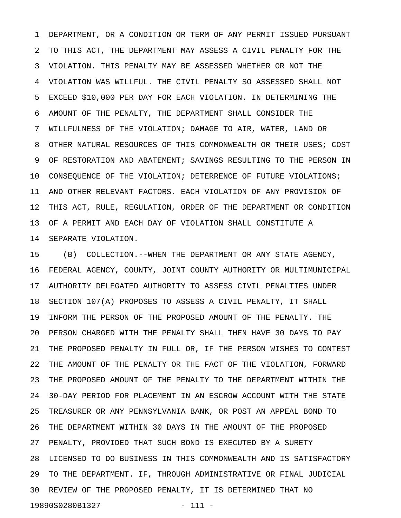1 DEPARTMENT, OR A CONDITION OR TERM OF ANY PERMIT ISSUED PURSUANT 2 TO THIS ACT, THE DEPARTMENT MAY ASSESS A CIVIL PENALTY FOR THE 3 VIOLATION. THIS PENALTY MAY BE ASSESSED WHETHER OR NOT THE 4 VIOLATION WAS WILLFUL. THE CIVIL PENALTY SO ASSESSED SHALL NOT 5 EXCEED \$10,000 PER DAY FOR EACH VIOLATION. IN DETERMINING THE 6 AMOUNT OF THE PENALTY, THE DEPARTMENT SHALL CONSIDER THE 7 WILLFULNESS OF THE VIOLATION; DAMAGE TO AIR, WATER, LAND OR 8 OTHER NATURAL RESOURCES OF THIS COMMONWEALTH OR THEIR USES; COST 9 OF RESTORATION AND ABATEMENT; SAVINGS RESULTING TO THE PERSON IN 10 CONSEQUENCE OF THE VIOLATION; DETERRENCE OF FUTURE VIOLATIONS; 11 AND OTHER RELEVANT FACTORS. EACH VIOLATION OF ANY PROVISION OF 12 THIS ACT, RULE, REGULATION, ORDER OF THE DEPARTMENT OR CONDITION 13 OF A PERMIT AND EACH DAY OF VIOLATION SHALL CONSTITUTE A 14 SEPARATE VIOLATION.

15 (B) COLLECTION.--WHEN THE DEPARTMENT OR ANY STATE AGENCY, 16 FEDERAL AGENCY, COUNTY, JOINT COUNTY AUTHORITY OR MULTIMUNICIPAL 17 AUTHORITY DELEGATED AUTHORITY TO ASSESS CIVIL PENALTIES UNDER 18 SECTION 107(A) PROPOSES TO ASSESS A CIVIL PENALTY, IT SHALL 19 INFORM THE PERSON OF THE PROPOSED AMOUNT OF THE PENALTY. THE 20 PERSON CHARGED WITH THE PENALTY SHALL THEN HAVE 30 DAYS TO PAY 21 THE PROPOSED PENALTY IN FULL OR, IF THE PERSON WISHES TO CONTEST 22 THE AMOUNT OF THE PENALTY OR THE FACT OF THE VIOLATION, FORWARD 23 THE PROPOSED AMOUNT OF THE PENALTY TO THE DEPARTMENT WITHIN THE 24 30-DAY PERIOD FOR PLACEMENT IN AN ESCROW ACCOUNT WITH THE STATE 25 TREASURER OR ANY PENNSYLVANIA BANK, OR POST AN APPEAL BOND TO 26 THE DEPARTMENT WITHIN 30 DAYS IN THE AMOUNT OF THE PROPOSED 27 PENALTY, PROVIDED THAT SUCH BOND IS EXECUTED BY A SURETY 28 LICENSED TO DO BUSINESS IN THIS COMMONWEALTH AND IS SATISFACTORY 29 TO THE DEPARTMENT. IF, THROUGH ADMINISTRATIVE OR FINAL JUDICIAL 30 REVIEW OF THE PROPOSED PENALTY, IT IS DETERMINED THAT NO 19890S0280B1327 - 111 -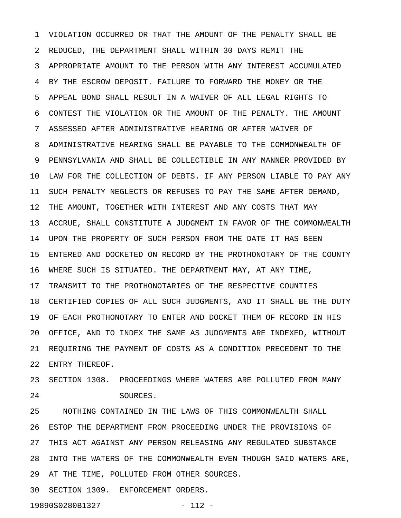1 VIOLATION OCCURRED OR THAT THE AMOUNT OF THE PENALTY SHALL BE 2 REDUCED, THE DEPARTMENT SHALL WITHIN 30 DAYS REMIT THE 3 APPROPRIATE AMOUNT TO THE PERSON WITH ANY INTEREST ACCUMULATED 4 BY THE ESCROW DEPOSIT. FAILURE TO FORWARD THE MONEY OR THE 5 APPEAL BOND SHALL RESULT IN A WAIVER OF ALL LEGAL RIGHTS TO 6 CONTEST THE VIOLATION OR THE AMOUNT OF THE PENALTY. THE AMOUNT 7 ASSESSED AFTER ADMINISTRATIVE HEARING OR AFTER WAIVER OF 8 ADMINISTRATIVE HEARING SHALL BE PAYABLE TO THE COMMONWEALTH OF 9 PENNSYLVANIA AND SHALL BE COLLECTIBLE IN ANY MANNER PROVIDED BY 10 LAW FOR THE COLLECTION OF DEBTS. IF ANY PERSON LIABLE TO PAY ANY 11 SUCH PENALTY NEGLECTS OR REFUSES TO PAY THE SAME AFTER DEMAND, 12 THE AMOUNT, TOGETHER WITH INTEREST AND ANY COSTS THAT MAY 13 ACCRUE, SHALL CONSTITUTE A JUDGMENT IN FAVOR OF THE COMMONWEALTH 14 UPON THE PROPERTY OF SUCH PERSON FROM THE DATE IT HAS BEEN 15 ENTERED AND DOCKETED ON RECORD BY THE PROTHONOTARY OF THE COUNTY 16 WHERE SUCH IS SITUATED. THE DEPARTMENT MAY, AT ANY TIME, 17 TRANSMIT TO THE PROTHONOTARIES OF THE RESPECTIVE COUNTIES 18 CERTIFIED COPIES OF ALL SUCH JUDGMENTS, AND IT SHALL BE THE DUTY 19 OF EACH PROTHONOTARY TO ENTER AND DOCKET THEM OF RECORD IN HIS 20 OFFICE, AND TO INDEX THE SAME AS JUDGMENTS ARE INDEXED, WITHOUT 21 REQUIRING THE PAYMENT OF COSTS AS A CONDITION PRECEDENT TO THE 22 ENTRY THEREOF.

23 SECTION 1308. PROCEEDINGS WHERE WATERS ARE POLLUTED FROM MANY 24 SOURCES.

25 NOTHING CONTAINED IN THE LAWS OF THIS COMMONWEALTH SHALL 26 ESTOP THE DEPARTMENT FROM PROCEEDING UNDER THE PROVISIONS OF 27 THIS ACT AGAINST ANY PERSON RELEASING ANY REGULATED SUBSTANCE 28 INTO THE WATERS OF THE COMMONWEALTH EVEN THOUGH SAID WATERS ARE, 29 AT THE TIME, POLLUTED FROM OTHER SOURCES.

30 SECTION 1309. ENFORCEMENT ORDERS.

19890S0280B1327 - 112 -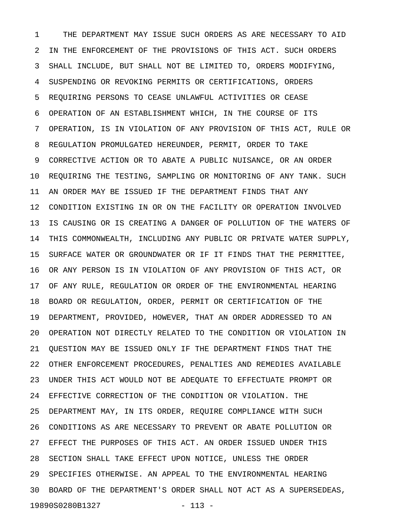1 THE DEPARTMENT MAY ISSUE SUCH ORDERS AS ARE NECESSARY TO AID 2 IN THE ENFORCEMENT OF THE PROVISIONS OF THIS ACT. SUCH ORDERS 3 SHALL INCLUDE, BUT SHALL NOT BE LIMITED TO, ORDERS MODIFYING, 4 SUSPENDING OR REVOKING PERMITS OR CERTIFICATIONS, ORDERS 5 REQUIRING PERSONS TO CEASE UNLAWFUL ACTIVITIES OR CEASE 6 OPERATION OF AN ESTABLISHMENT WHICH, IN THE COURSE OF ITS 7 OPERATION, IS IN VIOLATION OF ANY PROVISION OF THIS ACT, RULE OR 8 REGULATION PROMULGATED HEREUNDER, PERMIT, ORDER TO TAKE 9 CORRECTIVE ACTION OR TO ABATE A PUBLIC NUISANCE, OR AN ORDER 10 REQUIRING THE TESTING, SAMPLING OR MONITORING OF ANY TANK. SUCH 11 AN ORDER MAY BE ISSUED IF THE DEPARTMENT FINDS THAT ANY 12 CONDITION EXISTING IN OR ON THE FACILITY OR OPERATION INVOLVED 13 IS CAUSING OR IS CREATING A DANGER OF POLLUTION OF THE WATERS OF 14 THIS COMMONWEALTH, INCLUDING ANY PUBLIC OR PRIVATE WATER SUPPLY, 15 SURFACE WATER OR GROUNDWATER OR IF IT FINDS THAT THE PERMITTEE, 16 OR ANY PERSON IS IN VIOLATION OF ANY PROVISION OF THIS ACT, OR 17 OF ANY RULE, REGULATION OR ORDER OF THE ENVIRONMENTAL HEARING 18 BOARD OR REGULATION, ORDER, PERMIT OR CERTIFICATION OF THE 19 DEPARTMENT, PROVIDED, HOWEVER, THAT AN ORDER ADDRESSED TO AN 20 OPERATION NOT DIRECTLY RELATED TO THE CONDITION OR VIOLATION IN 21 QUESTION MAY BE ISSUED ONLY IF THE DEPARTMENT FINDS THAT THE 22 OTHER ENFORCEMENT PROCEDURES, PENALTIES AND REMEDIES AVAILABLE 23 UNDER THIS ACT WOULD NOT BE ADEQUATE TO EFFECTUATE PROMPT OR 24 EFFECTIVE CORRECTION OF THE CONDITION OR VIOLATION. THE 25 DEPARTMENT MAY, IN ITS ORDER, REQUIRE COMPLIANCE WITH SUCH 26 CONDITIONS AS ARE NECESSARY TO PREVENT OR ABATE POLLUTION OR 27 EFFECT THE PURPOSES OF THIS ACT. AN ORDER ISSUED UNDER THIS 28 SECTION SHALL TAKE EFFECT UPON NOTICE, UNLESS THE ORDER 29 SPECIFIES OTHERWISE. AN APPEAL TO THE ENVIRONMENTAL HEARING 30 BOARD OF THE DEPARTMENT'S ORDER SHALL NOT ACT AS A SUPERSEDEAS, 19890S0280B1327 - 113 -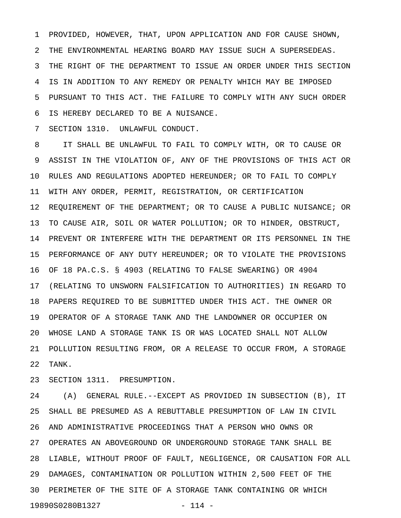1 PROVIDED, HOWEVER, THAT, UPON APPLICATION AND FOR CAUSE SHOWN, 2 THE ENVIRONMENTAL HEARING BOARD MAY ISSUE SUCH A SUPERSEDEAS. 3 THE RIGHT OF THE DEPARTMENT TO ISSUE AN ORDER UNDER THIS SECTION 4 IS IN ADDITION TO ANY REMEDY OR PENALTY WHICH MAY BE IMPOSED 5 PURSUANT TO THIS ACT. THE FAILURE TO COMPLY WITH ANY SUCH ORDER 6 IS HEREBY DECLARED TO BE A NUISANCE.

7 SECTION 1310. UNLAWFUL CONDUCT.

8 IT SHALL BE UNLAWFUL TO FAIL TO COMPLY WITH, OR TO CAUSE OR 9 ASSIST IN THE VIOLATION OF, ANY OF THE PROVISIONS OF THIS ACT OR 10 RULES AND REGULATIONS ADOPTED HEREUNDER; OR TO FAIL TO COMPLY 11 WITH ANY ORDER, PERMIT, REGISTRATION, OR CERTIFICATION 12 REQUIREMENT OF THE DEPARTMENT; OR TO CAUSE A PUBLIC NUISANCE; OR 13 TO CAUSE AIR, SOIL OR WATER POLLUTION; OR TO HINDER, OBSTRUCT, 14 PREVENT OR INTERFERE WITH THE DEPARTMENT OR ITS PERSONNEL IN THE 15 PERFORMANCE OF ANY DUTY HEREUNDER; OR TO VIOLATE THE PROVISIONS 16 OF 18 PA.C.S. § 4903 (RELATING TO FALSE SWEARING) OR 4904 17 (RELATING TO UNSWORN FALSIFICATION TO AUTHORITIES) IN REGARD TO 18 PAPERS REQUIRED TO BE SUBMITTED UNDER THIS ACT. THE OWNER OR 19 OPERATOR OF A STORAGE TANK AND THE LANDOWNER OR OCCUPIER ON 20 WHOSE LAND A STORAGE TANK IS OR WAS LOCATED SHALL NOT ALLOW 21 POLLUTION RESULTING FROM, OR A RELEASE TO OCCUR FROM, A STORAGE 22 TANK.

23 SECTION 1311. PRESUMPTION.

24 (A) GENERAL RULE.--EXCEPT AS PROVIDED IN SUBSECTION (B), IT 25 SHALL BE PRESUMED AS A REBUTTABLE PRESUMPTION OF LAW IN CIVIL 26 AND ADMINISTRATIVE PROCEEDINGS THAT A PERSON WHO OWNS OR 27 OPERATES AN ABOVEGROUND OR UNDERGROUND STORAGE TANK SHALL BE 28 LIABLE, WITHOUT PROOF OF FAULT, NEGLIGENCE, OR CAUSATION FOR ALL 29 DAMAGES, CONTAMINATION OR POLLUTION WITHIN 2,500 FEET OF THE 30 PERIMETER OF THE SITE OF A STORAGE TANK CONTAINING OR WHICH 19890S0280B1327 - 114 -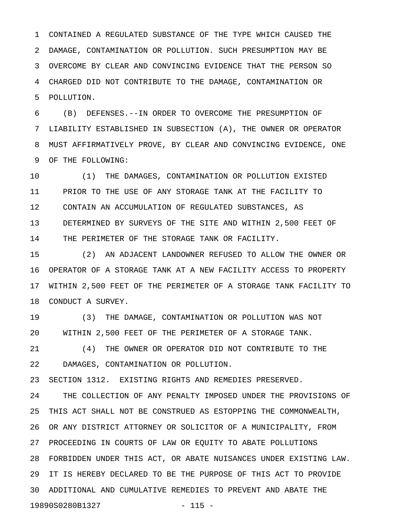1 CONTAINED A REGULATED SUBSTANCE OF THE TYPE WHICH CAUSED THE 2 DAMAGE, CONTAMINATION OR POLLUTION. SUCH PRESUMPTION MAY BE 3 OVERCOME BY CLEAR AND CONVINCING EVIDENCE THAT THE PERSON SO 4 CHARGED DID NOT CONTRIBUTE TO THE DAMAGE, CONTAMINATION OR 5 POLLUTION.

6 (B) DEFENSES.--IN ORDER TO OVERCOME THE PRESUMPTION OF 7 LIABILITY ESTABLISHED IN SUBSECTION (A), THE OWNER OR OPERATOR 8 MUST AFFIRMATIVELY PROVE, BY CLEAR AND CONVINCING EVIDENCE, ONE 9 OF THE FOLLOWING:

10 (1) THE DAMAGES, CONTAMINATION OR POLLUTION EXISTED 11 PRIOR TO THE USE OF ANY STORAGE TANK AT THE FACILITY TO 12 CONTAIN AN ACCUMULATION OF REGULATED SUBSTANCES, AS 13 DETERMINED BY SURVEYS OF THE SITE AND WITHIN 2,500 FEET OF 14 THE PERIMETER OF THE STORAGE TANK OR FACILITY.

15 (2) AN ADJACENT LANDOWNER REFUSED TO ALLOW THE OWNER OR 16 OPERATOR OF A STORAGE TANK AT A NEW FACILITY ACCESS TO PROPERTY 17 WITHIN 2,500 FEET OF THE PERIMETER OF A STORAGE TANK FACILITY TO 18 CONDUCT A SURVEY.

19 (3) THE DAMAGE, CONTAMINATION OR POLLUTION WAS NOT 20 WITHIN 2,500 FEET OF THE PERIMETER OF A STORAGE TANK.

21 (4) THE OWNER OR OPERATOR DID NOT CONTRIBUTE TO THE 22 DAMAGES, CONTAMINATION OR POLLUTION.

23 SECTION 1312. EXISTING RIGHTS AND REMEDIES PRESERVED.

24 THE COLLECTION OF ANY PENALTY IMPOSED UNDER THE PROVISIONS OF 25 THIS ACT SHALL NOT BE CONSTRUED AS ESTOPPING THE COMMONWEALTH, 26 OR ANY DISTRICT ATTORNEY OR SOLICITOR OF A MUNICIPALITY, FROM 27 PROCEEDING IN COURTS OF LAW OR EQUITY TO ABATE POLLUTIONS 28 FORBIDDEN UNDER THIS ACT, OR ABATE NUISANCES UNDER EXISTING LAW. 29 IT IS HEREBY DECLARED TO BE THE PURPOSE OF THIS ACT TO PROVIDE 30 ADDITIONAL AND CUMULATIVE REMEDIES TO PREVENT AND ABATE THE 19890S0280B1327 - 115 -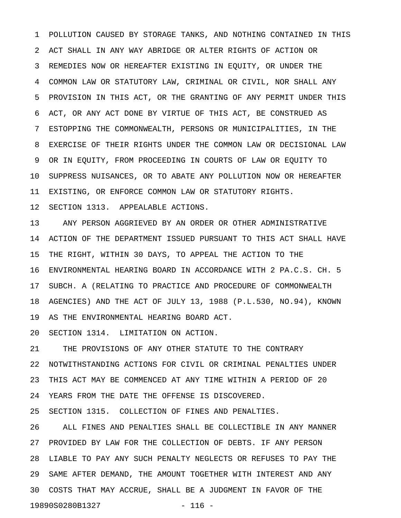1 POLLUTION CAUSED BY STORAGE TANKS, AND NOTHING CONTAINED IN THIS 2 ACT SHALL IN ANY WAY ABRIDGE OR ALTER RIGHTS OF ACTION OR 3 REMEDIES NOW OR HEREAFTER EXISTING IN EQUITY, OR UNDER THE 4 COMMON LAW OR STATUTORY LAW, CRIMINAL OR CIVIL, NOR SHALL ANY 5 PROVISION IN THIS ACT, OR THE GRANTING OF ANY PERMIT UNDER THIS 6 ACT, OR ANY ACT DONE BY VIRTUE OF THIS ACT, BE CONSTRUED AS 7 ESTOPPING THE COMMONWEALTH, PERSONS OR MUNICIPALITIES, IN THE 8 EXERCISE OF THEIR RIGHTS UNDER THE COMMON LAW OR DECISIONAL LAW 9 OR IN EQUITY, FROM PROCEEDING IN COURTS OF LAW OR EQUITY TO 10 SUPPRESS NUISANCES, OR TO ABATE ANY POLLUTION NOW OR HEREAFTER 11 EXISTING, OR ENFORCE COMMON LAW OR STATUTORY RIGHTS. 12 SECTION 1313. APPEALABLE ACTIONS.

13 ANY PERSON AGGRIEVED BY AN ORDER OR OTHER ADMINISTRATIVE 14 ACTION OF THE DEPARTMENT ISSUED PURSUANT TO THIS ACT SHALL HAVE 15 THE RIGHT, WITHIN 30 DAYS, TO APPEAL THE ACTION TO THE 16 ENVIRONMENTAL HEARING BOARD IN ACCORDANCE WITH 2 PA.C.S. CH. 5 17 SUBCH. A (RELATING TO PRACTICE AND PROCEDURE OF COMMONWEALTH 18 AGENCIES) AND THE ACT OF JULY 13, 1988 (P.L.530, NO.94), KNOWN 19 AS THE ENVIRONMENTAL HEARING BOARD ACT.

20 SECTION 1314. LIMITATION ON ACTION.

21 THE PROVISIONS OF ANY OTHER STATUTE TO THE CONTRARY 22 NOTWITHSTANDING ACTIONS FOR CIVIL OR CRIMINAL PENALTIES UNDER 23 THIS ACT MAY BE COMMENCED AT ANY TIME WITHIN A PERIOD OF 20 24 YEARS FROM THE DATE THE OFFENSE IS DISCOVERED.

25 SECTION 1315. COLLECTION OF FINES AND PENALTIES.

26 ALL FINES AND PENALTIES SHALL BE COLLECTIBLE IN ANY MANNER 27 PROVIDED BY LAW FOR THE COLLECTION OF DEBTS. IF ANY PERSON 28 LIABLE TO PAY ANY SUCH PENALTY NEGLECTS OR REFUSES TO PAY THE 29 SAME AFTER DEMAND, THE AMOUNT TOGETHER WITH INTEREST AND ANY 30 COSTS THAT MAY ACCRUE, SHALL BE A JUDGMENT IN FAVOR OF THE 19890S0280B1327 - 116 -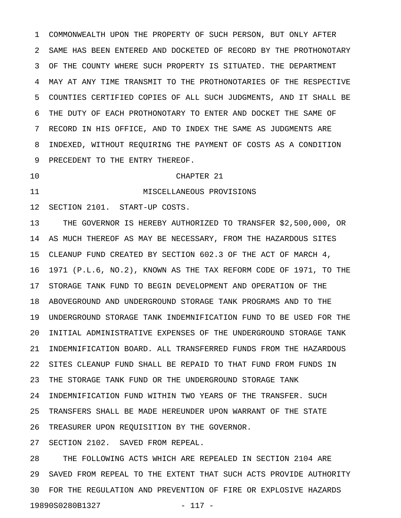1 COMMONWEALTH UPON THE PROPERTY OF SUCH PERSON, BUT ONLY AFTER 2 SAME HAS BEEN ENTERED AND DOCKETED OF RECORD BY THE PROTHONOTARY 3 OF THE COUNTY WHERE SUCH PROPERTY IS SITUATED. THE DEPARTMENT 4 MAY AT ANY TIME TRANSMIT TO THE PROTHONOTARIES OF THE RESPECTIVE 5 COUNTIES CERTIFIED COPIES OF ALL SUCH JUDGMENTS, AND IT SHALL BE 6 THE DUTY OF EACH PROTHONOTARY TO ENTER AND DOCKET THE SAME OF 7 RECORD IN HIS OFFICE, AND TO INDEX THE SAME AS JUDGMENTS ARE 8 INDEXED, WITHOUT REQUIRING THE PAYMENT OF COSTS AS A CONDITION 9 PRECEDENT TO THE ENTRY THEREOF.

## 10 CHAPTER 21

11 MISCELLANEOUS PROVISIONS

12 SECTION 2101. START-UP COSTS.

13 THE GOVERNOR IS HEREBY AUTHORIZED TO TRANSFER \$2,500,000, OR 14 AS MUCH THEREOF AS MAY BE NECESSARY, FROM THE HAZARDOUS SITES 15 CLEANUP FUND CREATED BY SECTION 602.3 OF THE ACT OF MARCH 4, 16 1971 (P.L.6, NO.2), KNOWN AS THE TAX REFORM CODE OF 1971, TO THE 17 STORAGE TANK FUND TO BEGIN DEVELOPMENT AND OPERATION OF THE 18 ABOVEGROUND AND UNDERGROUND STORAGE TANK PROGRAMS AND TO THE 19 UNDERGROUND STORAGE TANK INDEMNIFICATION FUND TO BE USED FOR THE 20 INITIAL ADMINISTRATIVE EXPENSES OF THE UNDERGROUND STORAGE TANK 21 INDEMNIFICATION BOARD. ALL TRANSFERRED FUNDS FROM THE HAZARDOUS 22 SITES CLEANUP FUND SHALL BE REPAID TO THAT FUND FROM FUNDS IN 23 THE STORAGE TANK FUND OR THE UNDERGROUND STORAGE TANK 24 INDEMNIFICATION FUND WITHIN TWO YEARS OF THE TRANSFER. SUCH 25 TRANSFERS SHALL BE MADE HEREUNDER UPON WARRANT OF THE STATE 26 TREASURER UPON REQUISITION BY THE GOVERNOR.

27 SECTION 2102. SAVED FROM REPEAL.

28 THE FOLLOWING ACTS WHICH ARE REPEALED IN SECTION 2104 ARE 29 SAVED FROM REPEAL TO THE EXTENT THAT SUCH ACTS PROVIDE AUTHORITY 30 FOR THE REGULATION AND PREVENTION OF FIRE OR EXPLOSIVE HAZARDS 19890S0280B1327 - 117 -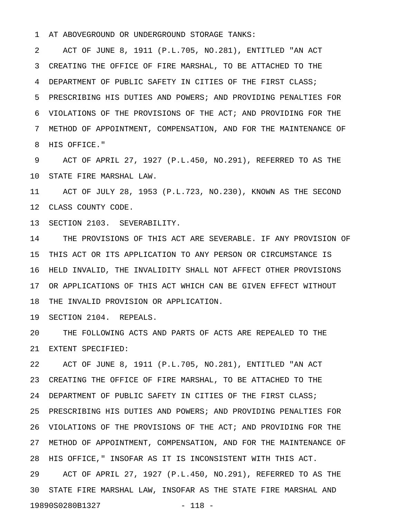1 AT ABOVEGROUND OR UNDERGROUND STORAGE TANKS:

2 ACT OF JUNE 8, 1911 (P.L.705, NO.281), ENTITLED "AN ACT 3 CREATING THE OFFICE OF FIRE MARSHAL, TO BE ATTACHED TO THE 4 DEPARTMENT OF PUBLIC SAFETY IN CITIES OF THE FIRST CLASS; 5 PRESCRIBING HIS DUTIES AND POWERS; AND PROVIDING PENALTIES FOR 6 VIOLATIONS OF THE PROVISIONS OF THE ACT; AND PROVIDING FOR THE 7 METHOD OF APPOINTMENT, COMPENSATION, AND FOR THE MAINTENANCE OF 8 HIS OFFICE."

9 ACT OF APRIL 27, 1927 (P.L.450, NO.291), REFERRED TO AS THE 10 STATE FIRE MARSHAL LAW.

11 ACT OF JULY 28, 1953 (P.L.723, NO.230), KNOWN AS THE SECOND 12 CLASS COUNTY CODE.

13 SECTION 2103. SEVERABILITY.

14 THE PROVISIONS OF THIS ACT ARE SEVERABLE. IF ANY PROVISION OF 15 THIS ACT OR ITS APPLICATION TO ANY PERSON OR CIRCUMSTANCE IS 16 HELD INVALID, THE INVALIDITY SHALL NOT AFFECT OTHER PROVISIONS 17 OR APPLICATIONS OF THIS ACT WHICH CAN BE GIVEN EFFECT WITHOUT 18 THE INVALID PROVISION OR APPLICATION.

19 SECTION 2104. REPEALS.

20 THE FOLLOWING ACTS AND PARTS OF ACTS ARE REPEALED TO THE 21 EXTENT SPECIFIED:

22 ACT OF JUNE 8, 1911 (P.L.705, NO.281), ENTITLED "AN ACT 23 CREATING THE OFFICE OF FIRE MARSHAL, TO BE ATTACHED TO THE 24 DEPARTMENT OF PUBLIC SAFETY IN CITIES OF THE FIRST CLASS; 25 PRESCRIBING HIS DUTIES AND POWERS; AND PROVIDING PENALTIES FOR 26 VIOLATIONS OF THE PROVISIONS OF THE ACT; AND PROVIDING FOR THE 27 METHOD OF APPOINTMENT, COMPENSATION, AND FOR THE MAINTENANCE OF 28 HIS OFFICE," INSOFAR AS IT IS INCONSISTENT WITH THIS ACT. 29 ACT OF APRIL 27, 1927 (P.L.450, NO.291), REFERRED TO AS THE 30 STATE FIRE MARSHAL LAW, INSOFAR AS THE STATE FIRE MARSHAL AND 19890S0280B1327 - 118 -